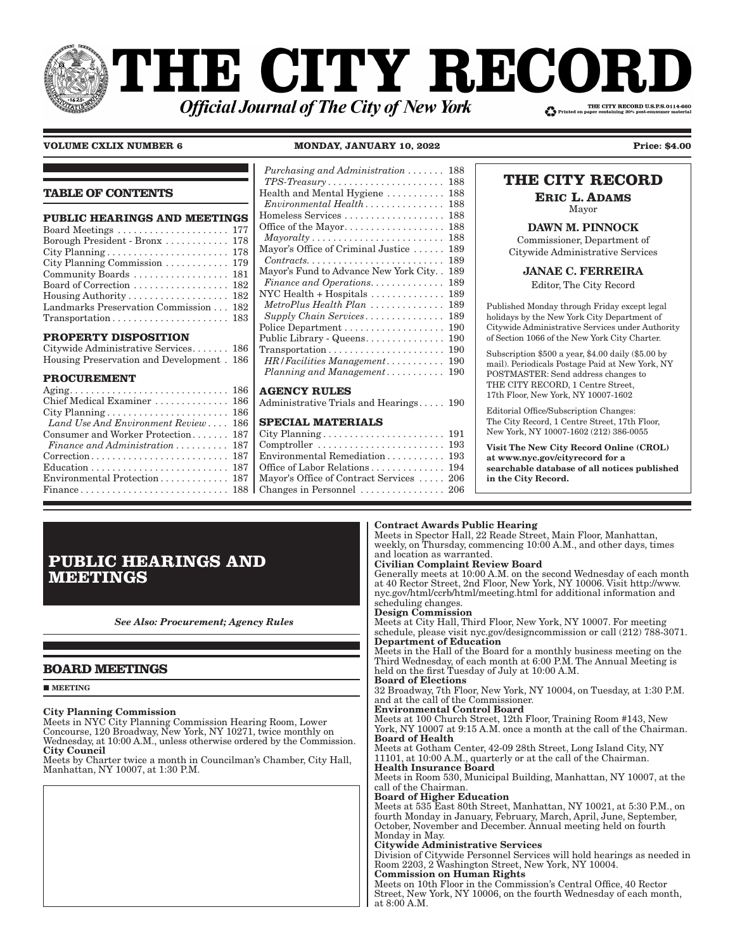# **THE CITY RECOI** THE CITY RECORD U.S.P.S.0114-660 **Official Journal of The City of New York**

**VOLUME CXLIX NUMBER 6 MONDAY, JANUARY 10, 2022 Price: \$4.00**

| (100: | u |
|-------|---|
|       |   |

# **TABLE OF CONTENTS**

| <b>PUBLIC HEARINGS AND MEETINGS</b>                                   |  |
|-----------------------------------------------------------------------|--|
| Board Meetings  177                                                   |  |
| Borough President - Bronx 178                                         |  |
|                                                                       |  |
| City Planning Commission  179                                         |  |
| Community Boards  181                                                 |  |
| Board of Correction  182                                              |  |
| Housing Authority 182                                                 |  |
| Landmarks Preservation Commission 182                                 |  |
| $Transportation \ldots \ldots \ldots \ldots \ldots \ldots \ldots 183$ |  |
|                                                                       |  |

# **PROPERTY DISPOSITION**

| Citywide Administrative Services 186      |  |
|-------------------------------------------|--|
| Housing Preservation and Development. 186 |  |

# **PROCUREMENT**

| $Again, \ldots, \ldots, \ldots, \ldots, \ldots, \ldots, 186$   AGENCY RULES |  |
|-----------------------------------------------------------------------------|--|
| Chief Medical Examiner  186   Administrative Trials and                     |  |
|                                                                             |  |
| Land Use And Environment Review  186   SPECIAL MATERIAL                     |  |
| Consumer and Worker Protection 187   City Planning                          |  |
| Finance and Administration  187   Comptroller                               |  |
|                                                                             |  |
|                                                                             |  |
| Environmental Protection 187   Mayor's Office of Contract                   |  |
|                                                                             |  |
|                                                                             |  |

### $P$ *urchasing and Administration*  $\ldots \ldots$  188 *TPS-Treasury* ........................... 188 Health and Mental Hygiene . . . . . . . . . . . 188  $E$ *nvironmental*  $Health$   $\ldots$   $\ldots$   $\ldots$   $\ldots$   $\ldots$  188 Homeless Services . . . . . . . . . . . . . . . . . . . 188 Office of the Mayor..................... 188  $\textit{Mayoralty} \dots \dots \dots \dots \dots \dots \dots \dots \dots \dots \dots \, 188$ Mayor's Office of Criminal Justice . . . . . . 189  $Contracts. \ldots \ldots \ldots \ldots \ldots \ldots \ldots \ldots 189$ Mayor's Fund to Advance New York City . . 189 *Finance and Operations.*  $\dots$ .  $\dots$ .  $\dots$  189 NYC Health + Hospitals . . . . . . . . . . . . . . 189 *MetroPlus Health Plan*  $\dots\dots\dots\dots\dots$  189 *Supply Chain Services � � � � � � � � � � � � � � �* 189 Police Department . . . . . . . . . . . . . . . . . . . 190 Public Library - Queens................ 190 Transportation . . . . . . . . . . . . . . . . . . . . . . 190 *HR*/*Facilities Management*  $\ldots$ ....... 190 *Planning and Management*  $\ldots \ldots \ldots \ldots$  190

Hearings . . . . . 190

# **SPECIAL MATERIALS**

| Environmental Remediation 193                          |  |
|--------------------------------------------------------|--|
| Office of Labor Relations 194                          |  |
| Mayor's Office of Contract Services  206               |  |
| Changes in Personnel $\ldots \ldots \ldots \ldots$ 206 |  |
|                                                        |  |

# **THE CITY RECORD**

**ERIC L. ADAMS**

Mayor

DAWN M. PINNOCK Commissioner, Department of Citywide Administrative Services

JANAE C. FERREIRA

Editor, The City Record

Published Monday through Friday except legal holidays by the New York City Department of Citywide Administrative Services under Authority of Section 1066 of the New York City Charter.

Subscription \$500 a year, \$4.00 daily (\$5.00 by mail). Periodicals Postage Paid at New York, NY POSTMASTER: Send address changes to THE CITY RECORD, 1 Centre Street, 17th Floor, New York, NY 10007-1602

Editorial Office/Subscription Changes: The City Record, 1 Centre Street, 17th Floor, New York, NY 10007-1602 (212) 386-0055

Visit The New City Record Online (CROL) at www.nyc.gov/cityrecord for a searchable database of all notices published in the City Record.

# Contract Awards Public Hearing

Meets in Spector Hall, 22 Reade Street, Main Floor, Manhattan, weekly, on Thursday, commencing 10:00 A.M., and other days, times and location as warranted.

# Civilian Complaint Review Board

Generally meets at 10:00 A.M. on the second Wednesday of each month at 40 Rector Street, 2nd Floor, New York, NY 10006. Visit http://www. nyc.gov/html/ccrb/html/meeting.html for additional information and scheduling changes.

#### Design Commission

Meets at City Hall, Third Floor, New York, NY 10007. For meeting schedule, please visit nyc.gov/designcommission or call (212) 788-3071. Department of Education

Meets in the Hall of the Board for a monthly business meeting on the Third Wednesday, of each month at 6:00 P.M. The Annual Meeting is held on the first Tuesday of July at 10:00 A.M.

# Board of Elections

32 Broadway, 7th Floor, New York, NY 10004, on Tuesday, at 1:30 P.M. and at the call of the Commissioner.

# Environmental Control Board

Meets at 100 Church Street, 12th Floor, Training Room #143, New York, NY 10007 at 9:15 A.M. once a month at the call of the Chairman. Board of Health

Meets at Gotham Center, 42-09 28th Street, Long Island City, NY 11101, at 10:00 A.M., quarterly or at the call of the Chairman. Health Insurance Board

Meets in Room 530, Municipal Building, Manhattan, NY 10007, at the call of the Chairman.

# Board of Higher Education

Meets at 535 East 80th Street, Manhattan, NY 10021, at 5:30 P.M., on fourth Monday in January, February, March, April, June, September, October, November and December. Annual meeting held on fourth Monday in May.

# Citywide Administrative Services

Division of Citywide Personnel Services will hold hearings as needed in Room 2203, 2 Washington Street, New York, NY 10004.

# Commission on Human Rights

Meets on 10th Floor in the Commission's Central Office, 40 Rector Street, New York, NY 10006, on the fourth Wednesday of each month, at 8:00 A.M.

# **PUBLIC HEARINGS AND MEETINGS**

*See Also: Procurement; Agency Rules*

# **BOARD MEETINGS**

#### **MEETING**

# City Planning Commission

Meets in NYC City Planning Commission Hearing Room, Lower Concourse, 120 Broadway, New York, NY 10271, twice monthly on Wednesday, at 10:00 A.M., unless otherwise ordered by the Commission. City Council

Meets by Charter twice a month in Councilman's Chamber, City Hall, Manhattan, NY 10007, at 1:30 P.M.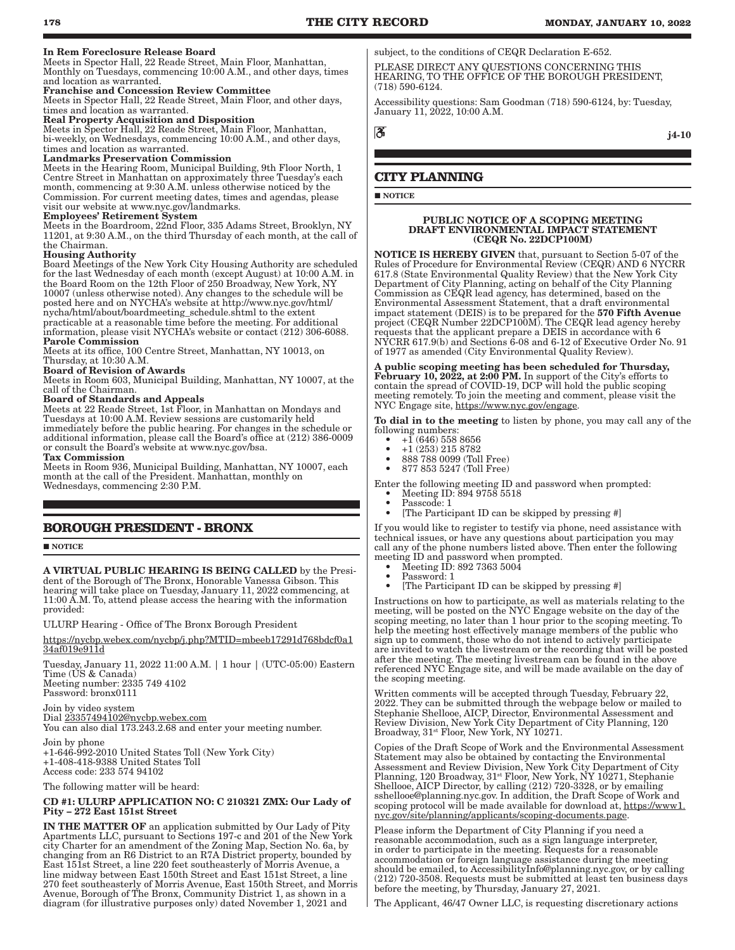#### In Rem Foreclosure Release Board

Meets in Spector Hall, 22 Reade Street, Main Floor, Manhattan, Monthly on Tuesdays, commencing 10:00 A.M., and other days, times and location as warranted.

#### Franchise and Concession Review Committee

Meets in Spector Hall, 22 Reade Street, Main Floor, and other days, times and location as warranted.

# Real Property Acquisition and Disposition

Meets in Spector Hall, 22 Reade Street, Main Floor, Manhattan, bi-weekly, on Wednesdays, commencing 10:00 A.M., and other days, times and location as warranted.

#### Landmarks Preservation Commission

Meets in the Hearing Room, Municipal Building, 9th Floor North, 1 Centre Street in Manhattan on approximately three Tuesday's each month, commencing at 9:30 A.M. unless otherwise noticed by the Commission. For current meeting dates, times and agendas, please visit our website at www.nyc.gov/landmarks.

# Employees' Retirement System

Meets in the Boardroom, 22nd Floor, 335 Adams Street, Brooklyn, NY 11201, at 9:30 A.M., on the third Thursday of each month, at the call of the Chairman.

#### Housing Authority

Board Meetings of the New York City Housing Authority are scheduled for the last Wednesday of each month (except August) at 10:00 A.M. in the Board Room on the 12th Floor of 250 Broadway, New York, NY 10007 (unless otherwise noted). Any changes to the schedule will be posted here and on NYCHA's website at http://www.nyc.gov/html/ nycha/html/about/boardmeeting\_schedule.shtml to the extent practicable at a reasonable time before the meeting. For additional information, please visit NYCHA's website or contact (212) 306-6088. Parole Commission

Meets at its office, 100 Centre Street, Manhattan, NY 10013, on Thursday, at 10:30 A.M.

#### Board of Revision of Awards

Meets in Room 603, Municipal Building, Manhattan, NY 10007, at the call of the Chairman.

#### Board of Standards and Appeals

Meets at 22 Reade Street, 1st Floor, in Manhattan on Mondays and Tuesdays at 10:00 A.M. Review sessions are customarily held immediately before the public hearing. For changes in the schedule or additional information, please call the Board's office at (212) 386-0009 or consult the Board's website at www.nyc.gov/bsa.

#### Tax Commission

Meets in Room 936, Municipal Building, Manhattan, NY 10007, each month at the call of the President. Manhattan, monthly on Wednesdays, commencing 2:30 P.M.

# **BOROUGH PRESIDENT - BRONX**

**NOTICE** 

A VIRTUAL PUBLIC HEARING IS BEING CALLED by the President of the Borough of The Bronx, Honorable Vanessa Gibson. This hearing will take place on Tuesday, January 11, 2022 commencing, at 11:00 A.M. To, attend please access the hearing with the information provided:

ULURP Hearing - Office of The Bronx Borough President

https://nycbp.webex.com/nycbp/j.php?MTID=mbeeb17291d768bdcf0a1 34af019e911d

Tuesday, January 11, 2022 11:00 A.M. | 1 hour | (UTC-05:00) Eastern Time (US & Canada) Meeting number: 2335 749 4102

Password: bronx0111

Join by video system Dial 23357494102@nycbp.webex.com You can also dial  $173.243.2.68$  and enter your meeting number.

Join by phone +1-646-992-2010 United States Toll (New York City) +1-408-418-9388 United States Toll Access code: 233 574 94102

The following matter will be heard:

#### CD #1: ULURP APPLICATION NO: C 210321 ZMX: Our Lady of Pity – 272 East 151st Street

IN THE MATTER OF an application submitted by Our Lady of Pity Apartments LLC, pursuant to Sections 197-c and 201 of the New York city Charter for an amendment of the Zoning Map, Section No. 6a, by changing from an R6 District to an R7A District property, bounded by East 151st Street, a line 220 feet southeasterly of Morris Avenue, a line midway between East 150th Street and East 151st Street, a line 270 feet southeasterly of Morris Avenue, East 150th Street, and Morris Avenue, Borough of The Bronx, Community District 1, as shown in a diagram (for illustrative purposes only) dated November 1, 2021 and

subject, to the conditions of CEQR Declaration E-652.

PLEASE DIRECT ANY QUESTIONS CONCERNING THIS HEARING, TO THE OFFICE OF THE BOROUGH PRESIDENT, (718) 590-6124.

Accessibility questions: Sam Goodman (718) 590-6124, by: Tuesday, January 11, 2022, 10:00 A.M.

ී

#### j4-10

# **CITY PLANNING**

**NOTICE** 

#### PUBLIC NOTICE OF A SCOPING MEETING DRAFT ENVIRONMENTAL IMPACT STATEMENT (CEQR No. 22DCP100M)

NOTICE IS HEREBY GIVEN that, pursuant to Section 5-07 of the Rules of Procedure for Environmental Review (CEQR) AND 6 NYCRR 617.8 (State Environmental Quality Review) that the New York City Department of City Planning, acting on behalf of the City Planning Commission as CEQR lead agency, has determined, based on the Environmental Assessment Statement, that a draft environmental impact statement (DEIS) is to be prepared for the 570 Fifth Avenue project (CEQR Number 22DCP100M). The CEQR lead agency hereby requests that the applicant prepare a DEIS in accordance with 6 NYCRR 617.9(b) and Sections 6-08 and 6-12 of Executive Order No. 91 of 1977 as amended (City Environmental Quality Review).

A public scoping meeting has been scheduled for Thursday, February 10, 2022, at 2:00 PM. In support of the City's efforts to contain the spread of COVID-19, DCP will hold the public scoping meeting remotely. To join the meeting and comment, please visit the NYC Engage site, https://www.nyc.gov/engage.

To dial in to the meeting to listen by phone, you may call any of the following numbers:<br> $+1(646)558$ 

- $\bullet$  +1 (646) 558 8656
- $\bullet$  +1 (253) 215 8782
- 888 788 0099 (Toll Free)
- 877 853 5247 (Toll Free)

Enter the following meeting ID and password when prompted:

- Meeting ID: 894 9758 5518 Passcode: 1
- [The Participant ID can be skipped by pressing #]

If you would like to register to testify via phone, need assistance with technical issues, or have any questions about participation you may call any of the phone numbers listed above. Then enter the following meeting ID and password when prompted.

- Meeting ID: 892 7363 5004
- Password: 1
- [The Participant ID can be skipped by pressing #]

Instructions on how to participate, as well as materials relating to the meeting, will be posted on the NYC Engage website on the day of the scoping meeting, no later than 1 hour prior to the scoping meeting. To help the meeting host effectively manage members of the public who sign up to comment, those who do not intend to actively participate are invited to watch the livestream or the recording that will be posted after the meeting. The meeting livestream can be found in the above referenced NYC Engage site, and will be made available on the day of the scoping meeting.

Written comments will be accepted through Tuesday, February 22, 2022. They can be submitted through the webpage below or mailed to Stephanie Shellooe, AICP, Director, Environmental Assessment and Review Division, New York City Department of City Planning, 120 Broadway, 31st Floor, New York, NY 10271.

Copies of the Draft Scope of Work and the Environmental Assessment Statement may also be obtained by contacting the Environmental Assessment and Review Division, New York City Department of City Planning, 120 Broadway, 31st Floor, New York, NY 10271, Stephanie Shellooe, AICP Director, by calling (212) 720-3328, or by emailing sshellooe@planning.nyc.gov. In addition, the Draft Scope of Work and scoping protocol will be made available for download at, https://www1. nyc.gov/site/planning/applicants/scoping-documents.page.

Please inform the Department of City Planning if you need a reasonable accommodation, such as a sign language interpreter, in order to participate in the meeting. Requests for a reasonable accommodation or foreign language assistance during the meeting should be emailed, to AccessibilityInfo@planning.nyc.gov, or by calling (212) 720-3508. Requests must be submitted at least ten business days before the meeting, by Thursday, January 27, 2021.

The Applicant, 46/47 Owner LLC, is requesting discretionary actions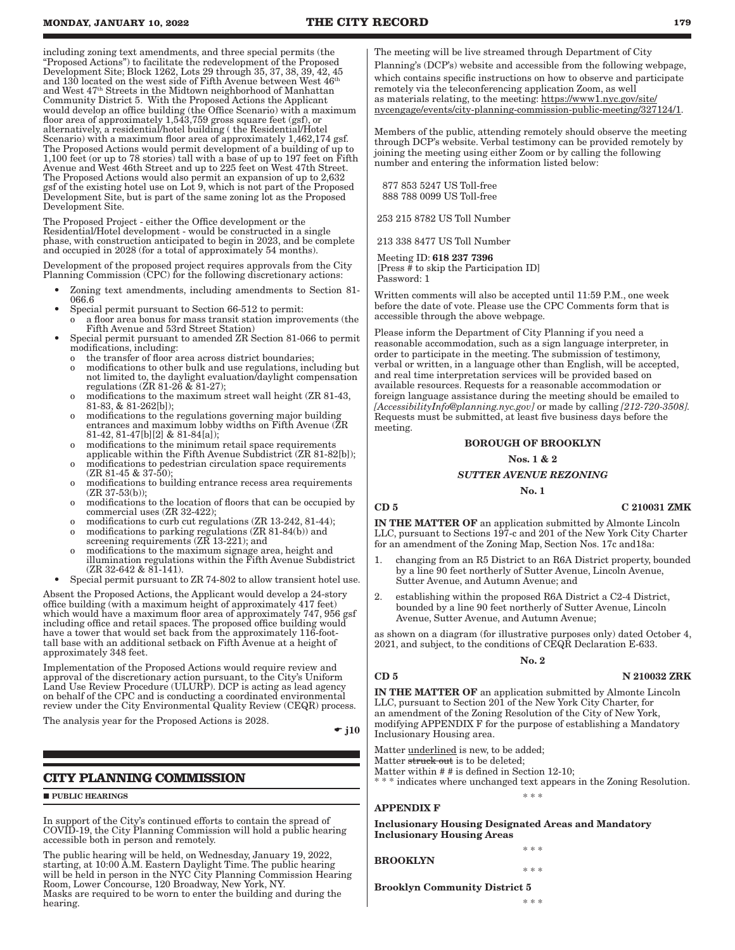including zoning text amendments, and three special permits (the "Proposed Actions") to facilitate the redevelopment of the Proposed Development Site; Block 1262, Lots 29 through 35, 37, 38, 39, 42, 45 and 130 located on the west side of Fifth Avenue between West 46th and West 47th Streets in the Midtown neighborhood of Manhattan Community District 5. With the Proposed Actions the Applicant would develop an office building (the Office Scenario) with a maximum floor area of approximately 1,543,759 gross square feet (gsf), or alternatively, a residential/hotel building ( the Residential/Hotel Scenario) with a maximum floor area of approximately 1,462,174 gsf. The Proposed Actions would permit development of a building of up to 1,100 feet (or up to 78 stories) tall with a base of up to 197 feet on Fifth Avenue and West 46th Street and up to 225 feet on West 47th Street. The Proposed Actions would also permit an expansion of up to 2,632 gsf of the existing hotel use on Lot 9, which is not part of the Proposed Development Site, but is part of the same zoning lot as the Proposed Development Site.

The Proposed Project - either the Office development or the Residential/Hotel development - would be constructed in a single phase, with construction anticipated to begin in 2023, and be complete and occupied in 2028 (for a total of approximately 54 months).

Development of the proposed project requires approvals from the City Planning Commission (CPC) for the following discretionary actions:

- Zoning text amendments, including amendments to Section 81- 066.6
- Special permit pursuant to Section 66-512 to permit:
- o a floor area bonus for mass transit station improvements (the Fifth Avenue and 53rd Street Station)
- Special permit pursuant to amended ZR Section 81-066 to permit modifications, including:
	- o the transfer of floor area across district boundaries;
	- o modifications to other bulk and use regulations, including but not limited to, the daylight evaluation/daylight compensation regulations  $(ZR 81-26 \& 81-27)$ ;
	- o modifications to the maximum street wall height (ZR 81-43, 81-83, & 81-262[b]);
	- o modifications to the regulations governing major building entrances and maximum lobby widths on Fifth Avenue (ZR 81-42, 81-47[b][2] & 81-84[a]);
	- o modifications to the minimum retail space requirements applicable within the Fifth Avenue Subdistrict (ZR 81-82[b]);
	- o modifications to pedestrian circulation space requirements (ZR 81-45 & 37-50);
	- o modifications to building entrance recess area requirements (ZR 37-53(b));
	- o modifications to the location of floors that can be occupied by commercial uses (ZR 32-422);
	- modifications to curb cut regulations (ZR 13-242, 81-44); o modifications to parking regulations (ZR 81-84(b)) and
	- screening requirements (ZR 13-221); and
	- o modifications to the maximum signage area, height and illumination regulations within the Fifth Avenue Subdistrict  $(ZR 32-642 \& 8\overline{1} - 141)$ .
- Special permit pursuant to ZR 74-802 to allow transient hotel use.

Absent the Proposed Actions, the Applicant would develop a 24-story office building (with a maximum height of approximately 417 feet) which would have a maximum floor area of approximately 747, 956 gsf including office and retail spaces. The proposed office building would have a tower that would set back from the approximately 116-foottall base with an additional setback on Fifth Avenue at a height of approximately 348 feet.

Implementation of the Proposed Actions would require review and approval of the discretionary action pursuant, to the City's Uniform Land Use Review Procedure (ULURP). DCP is acting as lead agency on behalf of the CPC and is conducting a coordinated environmental review under the City Environmental Quality Review (CEQR) process.

The analysis year for the Proposed Actions is 2028.

 $\div$  j10

# **CITY PLANNING COMMISSION**

#### **PUBLIC HEARINGS**

In support of the City's continued efforts to contain the spread of COVID-19, the City Planning Commission will hold a public hearing accessible both in person and remotely.

The public hearing will be held, on Wednesday, January 19, 2022, starting, at 10:00 A.M. Eastern Daylight Time. The public hearing will be held in person in the NYC City Planning Commission Hearing Room, Lower Concourse, 120 Broadway, New York, NY. Masks are required to be worn to enter the building and during the hearing.

The meeting will be live streamed through Department of City Planning's (DCP's) website and accessible from the following webpage, which contains specific instructions on how to observe and participate remotely via the teleconferencing application Zoom, as well as materials relating, to the meeting: https://www1.nyc.gov/site/ nycengage/events/city-planning-commission-public-meeting/327124/1.

Members of the public, attending remotely should observe the meeting through DCP's website. Verbal testimony can be provided remotely by joining the meeting using either Zoom or by calling the following number and entering the information listed below:

 877 853 5247 US Toll-free 888 788 0099 US Toll-free

253 215 8782 US Toll Number

213 338 8477 US Toll Number

 Meeting ID: 618 237 7396 [Press # to skip the Participation ID] Password: 1

Written comments will also be accepted until 11:59 P.M., one week before the date of vote. Please use the CPC Comments form that is accessible through the above webpage.

Please inform the Department of City Planning if you need a reasonable accommodation, such as a sign language interpreter, in order to participate in the meeting. The submission of testimony, verbal or written, in a language other than English, will be accepted, and real time interpretation services will be provided based on available resources. Requests for a reasonable accommodation or foreign language assistance during the meeting should be emailed to *[AccessibilityInfo@planning.nyc.gov]* or made by calling *[212-720-3508].* Requests must be submitted, at least five business days before the meeting.

# BOROUGH OF BROOKLYN

#### Nos. 1 & 2

# *SUTTER AVENUE REZONING* No. 1

IN THE MATTER OF an application submitted by Almonte Lincoln LLC, pursuant to Sections 197-c and 201 of the New York City Charter for an amendment of the Zoning Map, Section Nos. 17c and18a:

- 1. changing from an R5 District to an R6A District property, bounded by a line 90 feet northerly of Sutter Avenue, Lincoln Avenue, Sutter Avenue, and Autumn Avenue; and
- 2. establishing within the proposed R6A District a C2-4 District, bounded by a line 90 feet northerly of Sutter Avenue, Lincoln Avenue, Sutter Avenue, and Autumn Avenue;

as shown on a diagram (for illustrative purposes only) dated October 4, 2021, and subject, to the conditions of CEQR Declaration E-633.

#### No. 2

#### $\overline{CD}$  5  $\overline{N}$  210032 ZRK

IN THE MATTER OF an application submitted by Almonte Lincoln LLC, pursuant to Section 201 of the New York City Charter, for an amendment of the Zoning Resolution of the City of New York, modifying APPENDIX F for the purpose of establishing a Mandatory Inclusionary Housing area.

Matter underlined is new, to be added;

Matter struck out is to be deleted;

Matter within # # is defined in Section 12-10;

\* indicates where unchanged text appears in the Zoning Resolution. \* \* \*

#### APPENDIX F

Inclusionary Housing Designated Areas and Mandatory Inclusionary Housing Areas

#### BROOKLYN

Brooklyn Community District 5

\* \* \*

\* \* \*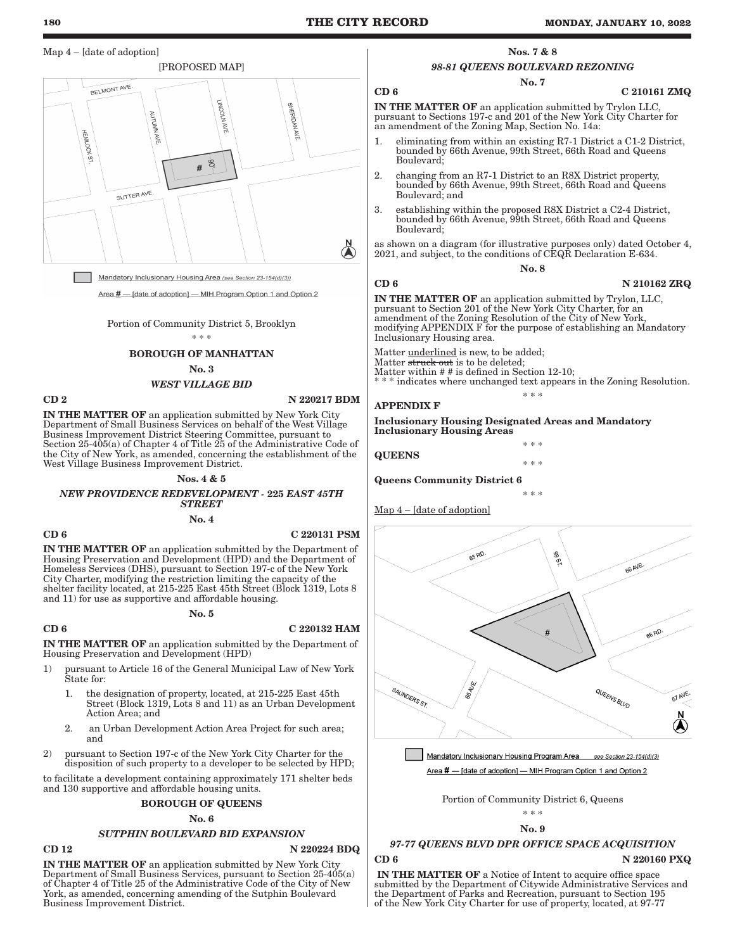# Map 4 – [date of adoption]



Mandatory Inclusionary Housing Area (see Section 23-154(d)(3))

Area # - [date of adoption] - MIH Program Option 1 and Option 2

Portion of Community District 5, Brooklyn \* \* \*

# BOROUGH OF MANHATTAN

No. 3

#### *WEST VILLAGE BID*

# CD 2 N 220217 BDM

IN THE MATTER OF an application submitted by New York City Department of Small Business Services on behalf of the West Village Business Improvement District Steering Committee, pursuant to Section 25-405(a) of Chapter 4 of Title 25 of the Administrative Code of the City of New York, as amended, concerning the establishment of the West Village Business Improvement District.

#### Nos. 4 & 5

*NEW PROVIDENCE REDEVELOPMENT -* 225 *EAST 45TH STREET*

No. 4

#### CD 6 C 220131 PSM

IN THE MATTER OF an application submitted by the Department of Housing Preservation and Development (HPD) and the Department of Homeless Services (DHS), pursuant to Section 197-c of the New York City Charter, modifying the restriction limiting the capacity of the shelter facility located, at 215-225 East 45th Street (Block 1319, Lots 8 and 11) for use as supportive and affordable housing.

#### No. 5

#### $CD 6$   $C 220132$  HAM

IN THE MATTER OF an application submitted by the Department of Housing Preservation and Development (HPD)

- 1) pursuant to Article 16 of the General Municipal Law of New York State for:
	- 1. the designation of property, located, at 215-225 East 45th Street (Block 1319, Lots 8 and 11) as an Urban Development Action Area; and
	- 2. an Urban Development Action Area Project for such area; and
- 2) pursuant to Section 197-c of the New York City Charter for the disposition of such property to a developer to be selected by HPD;

to facilitate a development containing approximately 171 shelter beds and 130 supportive and affordable housing units.

#### BOROUGH OF QUEENS

#### No. 6

#### *SUTPHIN BOULEVARD BID EXPANSION*

# $CD 12$   $N 220224 BDQ$

IN THE MATTER OF an application submitted by New York City Department of Small Business Services, pursuant to Section 25-405(a) of Chapter 4 of Title 25 of the Administrative Code of the City of New York, as amended, concerning amending of the Sutphin Boulevard Business Improvement District.

#### Nos. 7 & 8

# *98-81 QUEENS BOULEVARD REZONING*

No. 7

#### $CD 6$  C 210161 ZMQ

IN THE MATTER OF an application submitted by Trylon LLC, pursuant to Sections 197-c and 201 of the New York City Charter for an amendment of the Zoning Map, Section No. 14a:

- 1. eliminating from within an existing R7-1 District a C1-2 District, bounded by 66th Avenue, 99th Street, 66th Road and Queens Boulevard;
- 2. changing from an R7-1 District to an R8X District property, bounded by 66th Avenue, 99th Street, 66th Road and Queens Boulevard; and
- 3. establishing within the proposed R8X District a C2-4 District, bounded by 66th Avenue, 99th Street, 66th Road and Queens Boulevard;

as shown on a diagram (for illustrative purposes only) dated October 4, 2021, and subject, to the conditions of CEQR Declaration E-634.

No. 8

#### CD 6 N 210162 ZRQ

IN THE MATTER OF an application submitted by Trylon, LLC, pursuant to Section 201 of the New York City Charter, for an amendment of the Zoning Resolution of the City of New York, modifying APPENDIX F for the purpose of establishing an Mandatory Inclusionary Housing area.

Matter **underlined** is new, to be added;

Matter struck out is to be deleted;

Matter within # # is defined in Section 12-10; indicates where unchanged text appears in the Zoning Resolution.

\* \* \*

\* \* \*

\* \* \*

\* \* \*

# APPENDIX F

Inclusionary Housing Designated Areas and Mandatory Inclusionary Housing Areas

**QUEENS** 

Queens Community District 6

Map 4 – [date of adoption]





Portion of Community District 6, Queens

$$
\begin{array}{l} * \ * \ * \\ \mathbf{No.} \ 9 \end{array}
$$

# *97-77 QUEENS BLVD DPR OFFICE SPACE ACQUISITION*

CD 6 N 220160 PXQ

IN THE MATTER OF a Notice of Intent to acquire office space submitted by the Department of Citywide Administrative Services and the Department of Parks and Recreation, pursuant to Section 195 of the New York City Charter for use of property, located, at 97-77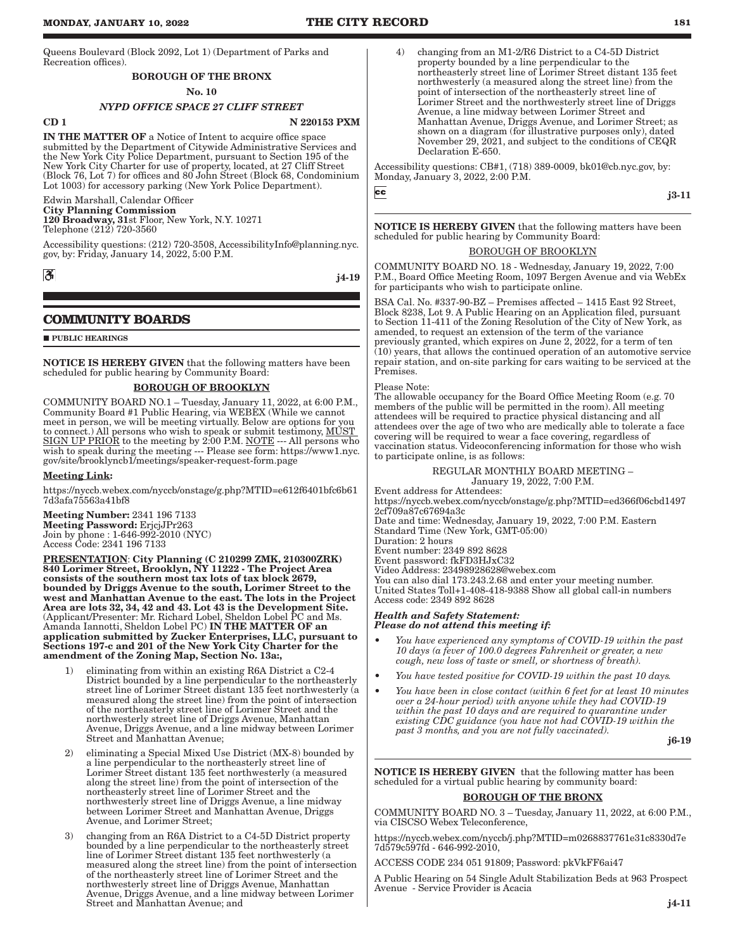Queens Boulevard (Block 2092, Lot 1) (Department of Parks and Recreation offices).

# BOROUGH OF THE BRONX

# No. 10

# *NYPD OFFICE SPACE 27 CLIFF STREET*

CD 1 N 220153 PXM

IN THE MATTER OF a Notice of Intent to acquire office space submitted by the Department of Citywide Administrative Services and the New York City Police Department, pursuant to Section 195 of the New York City Charter for use of property, located, at 27 Cliff Street (Block 76, Lot 7) for offices and 80 John Street (Block 68, Condominium Lot 1003) for accessory parking (New York Police Department).

#### Edwin Marshall, Calendar Officer

City Planning Commission 120 Broadway, 31st Floor, New York, N.Y. 10271 Telephone (212) 720-3560

Accessibility questions: (212) 720-3508, AccessibilityInfo@planning.nyc. gov, by: Friday, January 14, 2022, 5:00 P.M.

 $|\mathcal{S}|$ 

# j4-19

# **COMMUNITY BOARDS**

**PUBLIC HEARINGS** 

NOTICE IS HEREBY GIVEN that the following matters have been scheduled for public hearing by Community Board:

# BOROUGH OF BROOKLYN

COMMUNITY BOARD NO.1 – Tuesday, January 11, 2022, at 6:00 P.M., Community Board #1 Public Hearing, via WEBEX (While we cannot meet in person, we will be meeting virtually. Below are options for you to connect.) All persons who wish to speak or submit testimony, MUST SIGN UP PRIOR to the meeting by 2:00 P.M. NOTE --- All persons who wish to speak during the meeting --- Please see form: https://www1.nyc. gov/site/brooklyncb1/meetings/speaker-request-form.page

#### Meeting Link:

https://nyccb.webex.com/nyccb/onstage/g.php?MTID=e612f6401bfc6b61 7d3afa75563a41bf8

Meeting Number: 2341 196 7133 Meeting Password: ErjcjJPr263 Join by phone : 1-646-992-2010 (NYC) Access Code: 2341 196 7133

PRESENTATION: City Planning (C 210299 ZMK, 210300ZRK) 840 Lorimer Street, Brooklyn, NY 11222 - The Project Area consists of the southern most tax lots of tax block 2679, bounded by Driggs Avenue to the south, Lorimer Street to the west and Manhattan Avenue to the east. The lots in the Project Area are lots 32, 34, 42 and 43. Lot 43 is the Development Site. (Applicant/Presenter: Mr. Richard Lobel, Sheldon Lobel PC and Ms. Amanda Iannotti, Sheldon Lobel PC) IN THE MATTER OF an application submitted by Zucker Enterprises, LLC, pursuant to Sections 197-c and 201 of the New York City Charter for the amendment of the Zoning Map, Section No. 13a:,

- 1) eliminating from within an existing R6A District a C2-4 District bounded by a line perpendicular to the northeasterly street line of Lorimer Street distant 135 feet northwesterly (a measured along the street line) from the point of intersection of the northeasterly street line of Lorimer Street and the northwesterly street line of Driggs Avenue, Manhattan Avenue, Driggs Avenue, and a line midway between Lorimer Street and Manhattan Avenue;
- 2) eliminating a Special Mixed Use District (MX-8) bounded by a line perpendicular to the northeasterly street line of Lorimer Street distant 135 feet northwesterly (a measured along the street line) from the point of intersection of the northeasterly street line of Lorimer Street and the northwesterly street line of Driggs Avenue, a line midway between Lorimer Street and Manhattan Avenue, Driggs Avenue, and Lorimer Street;
- 3) changing from an R6A District to a C4-5D District property bounded by a line perpendicular to the northeasterly street line of Lorimer Street distant 135 feet northwesterly (a measured along the street line) from the point of intersection of the northeasterly street line of Lorimer Street and the northwesterly street line of Driggs Avenue, Manhattan Avenue, Driggs Avenue, and a line midway between Lorimer Street and Manhattan Avenue; and

4) changing from an M1-2/R6 District to a C4-5D District property bounded by a line perpendicular to the northeasterly street line of Lorimer Street distant 135 feet northwesterly (a measured along the street line) from the point of intersection of the northeasterly street line of Lorimer Street and the northwesterly street line of Driggs Avenue, a line midway between Lorimer Street and Manhattan Avenue, Driggs Avenue, and Lorimer Street; as shown on a diagram (for illustrative purposes only), dated November 29, 2021, and subject to the conditions of CEQR Declaration E-650.

Accessibility questions: CB#1, (718) 389-0009, bk01@cb.nyc.gov, by: Monday, January 3, 2022, 2:00 P.M.

 $cc$ 

**NOTICE IS HEREBY GIVEN** that the following matters have been scheduled for public hearing by Community Board:

#### BOROUGH OF BROOKLYN

COMMUNITY BOARD NO. 18 - Wednesday, January 19, 2022, 7:00 P.M., Board Office Meeting Room, 1097 Bergen Avenue and via WebEx for participants who wish to participate online.

BSA Cal. No. #337-90-BZ – Premises affected – 1415 East 92 Street, Block 8238, Lot 9. A Public Hearing on an Application filed, pursuant to Section 11-411 of the Zoning Resolution of the City of New York, as amended, to request an extension of the term of the variance previously granted, which expires on June 2, 2022, for a term of ten (10) years, that allows the continued operation of an automotive service repair station, and on-site parking for cars waiting to be serviced at the Premises.

# Please Note:

The allowable occupancy for the Board Office Meeting Room (e.g. 70 members of the public will be permitted in the room). All meeting attendees will be required to practice physical distancing and all attendees over the age of two who are medically able to tolerate a face covering will be required to wear a face covering, regardless of vaccination status. Videoconferencing information for those who wish to participate online, is as follows:

#### REGULAR MONTHLY BOARD MEETING –

January 19, 2022, 7:00 P.M.

Event address for Attendees: https://nyccb.webex.com/nyccb/onstage/g.php?MTID=ed366f06cbd1497 2cf709a87c67694a3c Date and time: Wednesday, January 19, 2022, 7:00 P.M. Eastern Standard Time (New York, GMT-05:00) Duration: 2 hours

Event number: 2349 892 8628

Event password: fkFD3HJxC32

Video Address: 23498928628@webex.com

You can also dial 173.243.2.68 and enter your meeting number. United States Toll+1-408-418-9388 Show all global call-in numbers Access code: 2349 892 8628

#### *Health and Safety Statement: Please do not attend this meeting if:*

- *You have experienced any symptoms of COVID-19 within the past 10 days (a fever of 100.0 degrees Fahrenheit or greater, a new cough, new loss of taste or smell, or shortness of breath).*
- *You have tested positive for COVID-19 within the past 10 days.*
- *You have been in close contact (within 6 feet for at least 10 minutes over a 24-hour period) with anyone while they had COVID-19 within the past 10 days and are required to quarantine under existing CDC guidance (you have not had COVID-19 within the past 3 months, and you are not fully vaccinated).*

j6-19

NOTICE IS HEREBY GIVEN that the following matter has been scheduled for a virtual public hearing by community board:

#### BOROUGH OF THE BRONX

COMMUNITY BOARD NO. 3 – Tuesday, January 11, 2022, at 6:00 P.M., via CISCSO Webex Teleconference,

https://nyccb.webex.com/nyccb/j.php?MTID=m0268837761e31c8330d7e 7d579c597fd - 646-992-2010,

ACCESS CODE 234 051 91809; Password: pkVkFF6ai47

A Public Hearing on 54 Single Adult Stabilization Beds at 963 Prospect Avenue - Service Provider is Acacia

j3-11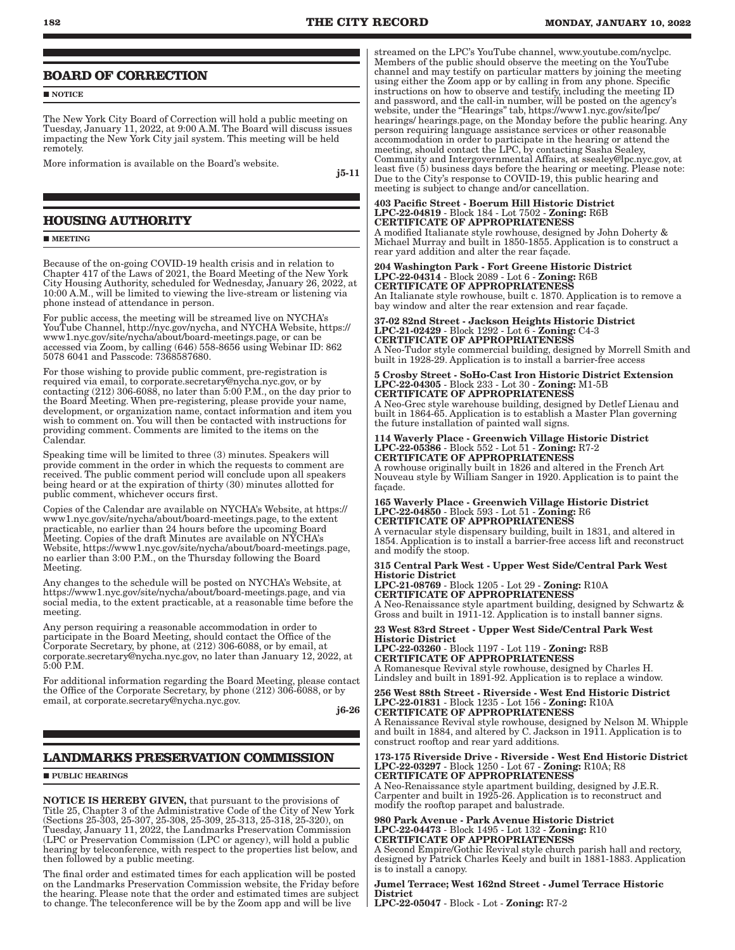# **BOARD OF CORRECTION**

**NOTICE** 

The New York City Board of Correction will hold a public meeting on Tuesday, January 11, 2022, at 9:00 A.M. The Board will discuss issues impacting the New York City jail system. This meeting will be held remotely.

More information is available on the Board's website.

j5-11

# **HOUSING AUTHORITY**

#### **MEETING**

Because of the on-going COVID-19 health crisis and in relation to Chapter 417 of the Laws of 2021, the Board Meeting of the New York City Housing Authority, scheduled for Wednesday, January 26, 2022, at 10:00 A.M., will be limited to viewing the live-stream or listening via phone instead of attendance in person.

For public access, the meeting will be streamed live on NYCHA's YouTube Channel, http://nyc.gov/nycha, and NYCHA Website, https:// www1.nyc.gov/site/nycha/about/board-meetings.page, or can be accessed via Zoom, by calling (646) 558-8656 using Webinar ID: 862 5078 6041 and Passcode: 7368587680.

For those wishing to provide public comment, pre-registration is required via email, to corporate.secretary@nycha.nyc.gov, or by contacting (212) 306-6088, no later than 5:00 P.M., on the day prior to the Board Meeting. When pre-registering, please provide your name, development, or organization name, contact information and item you wish to comment on. You will then be contacted with instructions for providing comment. Comments are limited to the items on the Calendar.

Speaking time will be limited to three (3) minutes. Speakers will provide comment in the order in which the requests to comment are received. The public comment period will conclude upon all speakers being heard or at the expiration of thirty (30) minutes allotted for public comment, whichever occurs first.

Copies of the Calendar are available on NYCHA's Website, at https:// www1.nyc.gov/site/nycha/about/board-meetings.page, to the extent practicable, no earlier than 24 hours before the upcoming Board Meeting. Copies of the draft Minutes are available on NYCHA's Website, https://www1.nyc.gov/site/nycha/about/board-meetings.page, no earlier than 3:00 P.M., on the Thursday following the Board Meeting.

Any changes to the schedule will be posted on NYCHA's Website, at https://www1.nyc.gov/site/nycha/about/board-meetings.page, and via social media, to the extent practicable, at a reasonable time before the meeting.

Any person requiring a reasonable accommodation in order to participate in the Board Meeting, should contact the Office of the Corporate Secretary, by phone, at (212) 306-6088, or by email, at corporate.secretary@nycha.nyc.gov, no later than January 12, 2022, at 5:00 P.M.

For additional information regarding the Board Meeting, please contact the Office of the Corporate Secretary, by phone (212) 306-6088, or by email, at corporate.secretary@nycha.nyc.gov.

j6-26

# **LANDMARKS PRESERVATION COMMISSION**

#### **PUBLIC HEARINGS**

NOTICE IS HEREBY GIVEN, that pursuant to the provisions of Title 25, Chapter 3 of the Administrative Code of the City of New York (Sections 25-303, 25-307, 25-308, 25-309, 25-313, 25-318, 25-320), on Tuesday, January 11, 2022, the Landmarks Preservation Commission (LPC or Preservation Commission (LPC or agency), will hold a public hearing by teleconference, with respect to the properties list below, and then followed by a public meeting.

The final order and estimated times for each application will be posted on the Landmarks Preservation Commission website, the Friday before the hearing. Please note that the order and estimated times are subject to change. The teleconference will be by the Zoom app and will be live

streamed on the LPC's YouTube channel, www.youtube.com/nyclpc. Members of the public should observe the meeting on the YouTube channel and may testify on particular matters by joining the meeting using either the Zoom app or by calling in from any phone. Specific instructions on how to observe and testify, including the meeting ID and password, and the call-in number, will be posted on the agency's website, under the "Hearings" tab, https://www1.nyc.gov/site/lpc/ hearings/ hearings.page, on the Monday before the public hearing. Any person requiring language assistance services or other reasonable accommodation in order to participate in the hearing or attend the meeting, should contact the LPC, by contacting Sasha Sealey, Community and Intergovernmental Affairs, at ssealey@lpc.nyc.gov, at least five (5) business days before the hearing or meeting. Please note: Due to the City's response to COVID-19, this public hearing and meeting is subject to change and/or cancellation.

#### 403 Pacific Street - Boerum Hill Historic District LPC-22-04819 - Block 184 - Lot 7502 - Zoning: R6B CERTIFICATE OF APPROPRIATENESS

A modified Italianate style rowhouse, designed by John Doherty & Michael Murray and built in 1850-1855. Application is to construct a rear yard addition and alter the rear façade.

#### 204 Washington Park - Fort Greene Historic District LPC-22-04314 - Block 2089 - Lot 6 - Zoning: R6B CERTIFICATE OF APPROPRIATENESS

An Italianate style rowhouse, built c. 1870. Application is to remove a bay window and alter the rear extension and rear façade.

#### 37-02 82nd Street - Jackson Heights Historic District LPC-21-02429 - Block 1292 - Lot 6 - Zoning: C4-3 CERTIFICATE OF APPROPRIATENESS

A Neo-Tudor style commercial building, designed by Morrell Smith and built in 1928-29. Application is to install a barrier-free access

5 Crosby Street - SoHo-Cast Iron Historic District Extension LPC-22-04305 - Block 233 - Lot 30 - Zoning: M1-5B CERTIFICATE OF APPROPRIATENESS

A Neo-Grec style warehouse building, designed by Detlef Lienau and built in 1864-65. Application is to establish a Master Plan governing the future installation of painted wall signs.

114 Waverly Place - Greenwich Village Historic District LPC-22-05386 - Block 552 - Lot 51 - Zoning: R7-2 CERTIFICATE OF APPROPRIATENESS

A rowhouse originally built in 1826 and altered in the French Art Nouveau style by William Sanger in 1920. Application is to paint the façade.

#### 165 Waverly Place - Greenwich Village Historic District LPC-22-04850 - Block 593 - Lot 51 - Zoning: R6 CERTIFICATE OF APPROPRIATENESS

A vernacular style dispensary building, built in 1831, and altered in 1854. Application is to install a barrier-free access lift and reconstruct and modify the stoop.

#### 315 Central Park West - Upper West Side/Central Park West Historic District

LPC-21-08769 - Block 1205 - Lot 29 - Zoning: R10A CERTIFICATE OF APPROPRIATENESS A Neo-Renaissance style apartment building, designed by Schwartz & Gross and built in 1911-12. Application is to install banner signs.

# 23 West 83rd Street - Upper West Side/Central Park West Historic District

LPC-22-03260 - Block 1197 - Lot 119 - Zoning: R8B CERTIFICATE OF APPROPRIATENESS A Romanesque Revival style rowhouse, designed by Charles H. Lindsley and built in 1891-92. Application is to replace a window.

256 West 88th Street - Riverside - West End Historic District LPC-22-01831 - Block 1235 - Lot 156 - Zoning: R10A CERTIFICATE OF APPROPRIATENESS

A Renaissance Revival style rowhouse, designed by Nelson M. Whipple and built in 1884, and altered by C. Jackson in 1911. Application is to construct rooftop and rear yard additions.

#### 173-175 Riverside Drive - Riverside - West End Historic District LPC-22-03297 - Block 1250 - Lot 67 - Zoning: R10A; R8 CERTIFICATE OF APPROPRIATENESS

A Neo-Renaissance style apartment building, designed by J.E.R. Carpenter and built in 1925-26. Application is to reconstruct and modify the rooftop parapet and balustrade.

#### 980 Park Avenue - Park Avenue Historic District LPC-22-04473 - Block 1495 - Lot 132 - Zoning: R10 CERTIFICATE OF APPROPRIATENESS

A Second Empire/Gothic Revival style church parish hall and rectory, designed by Patrick Charles Keely and built in 1881-1883. Application is to install a canopy.

### Jumel Terrace; West 162nd Street - Jumel Terrace Historic **District**

LPC-22-05047 - Block - Lot - Zoning: R7-2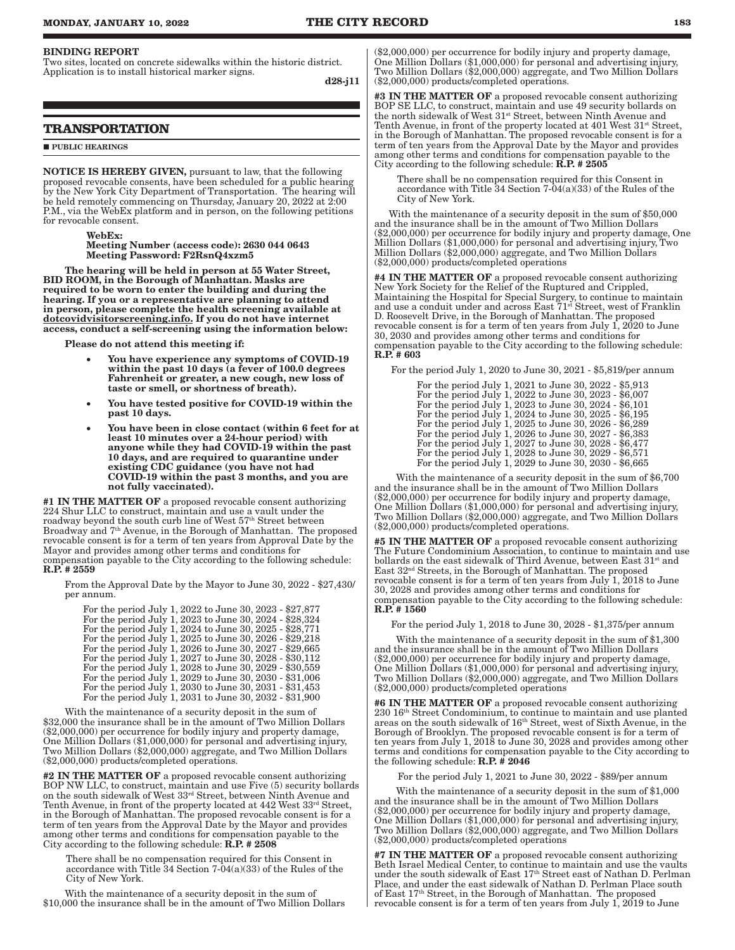#### BINDING REPORT

Two sites, located on concrete sidewalks within the historic district. Application is to install historical marker signs.

d28-j11

# **TRANSPORTATION**

#### **PUBLIC HEARINGS**

NOTICE IS HEREBY GIVEN, pursuant to law, that the following proposed revocable consents, have been scheduled for a public hearing by the New York City Department of Transportation. The hearing will be held remotely commencing on Thursday, January 20, 2022 at 2:00 P.M., via the WebEx platform and in person, on the following petitions for revocable consent.

WebEx:

Meeting Number (access code): 2630 044 0643 Meeting Password: F2RsnQ4xzm5

The hearing will be held in person at 55 Water Street, BID ROOM, in the Borough of Manhattan. Masks are required to be worn to enter the building and during the hearing. If you or a representative are planning to attend in person, please complete the health screening available at dotcovidvisitorscreening.info. If you do not have internet access, conduct a self-screening using the information below:

Please do not attend this meeting if:

- You have experience any symptoms of COVID-19 within the past 10 days (a fever of 100.0 degrees Fahrenheit or greater, a new cough, new loss of taste or smell, or shortness of breath).
- You have tested positive for COVID-19 within the past 10 days.
- • You have been in close contact (within 6 feet for at least 10 minutes over a 24-hour period) with anyone while they had COVID-19 within the past 10 days, and are required to quarantine under existing CDC guidance (you have not had COVID-19 within the past 3 months, and you are not fully vaccinated).

#1 IN THE MATTER OF a proposed revocable consent authorizing 224 Shur LLC to construct, maintain and use a vault under the roadway beyond the south curb line of West 57<sup>th</sup> Street between Broadway and 7<sup>th</sup> Avenue, in the Borough of Manhattan. The proposed revocable consent is for a term of ten years from Approval Date by the Mayor and provides among other terms and conditions for compensation payable to the City according to the following schedule: R.P. # 2559

From the Approval Date by the Mayor to June 30, 2022 - \$27,430/ per annum.

For the period July 1, 2022 to June 30, 2023 - \$27,877 For the period July 1, 2023 to June 30, 2024 - \$28,324 For the period July 1, 2024 to June 30, 2025 - \$28,771 For the period July 1, 2025 to June 30, 2026 - \$29,218 For the period July 1, 2026 to June 30, 2027 - \$29,665 For the period July 1, 2027 to June 30, 2028 - \$30,112 For the period July 1, 2028 to June 30, 2029 - \$30,559 For the period July 1, 2029 to June 30, 2030 - \$31,006 For the period July 1, 2030 to June 30, 2031 - \$31,453 For the period July 1, 2031 to June 30, 2032 - \$31,900

With the maintenance of a security deposit in the sum of \$32,000 the insurance shall be in the amount of Two Million Dollars (\$2,000,000) per occurrence for bodily injury and property damage, One Million Dollars (\$1,000,000) for personal and advertising injury, Two Million Dollars (\$2,000,000) aggregate, and Two Million Dollars (\$2,000,000) products/completed operations.

#2 IN THE MATTER OF a proposed revocable consent authorizing BOP NW LLC, to construct, maintain and use Five (5) security bollards on the south sidewalk of West 33rd Street, between Ninth Avenue and Tenth Avenue, in front of the property located at 442 West 33rd Street, in the Borough of Manhattan. The proposed revocable consent is for a term of ten years from the Approval Date by the Mayor and provides among other terms and conditions for compensation payable to the City according to the following schedule: R.P. # 2508

There shall be no compensation required for this Consent in accordance with Title 34 Section 7-04(a)(33) of the Rules of the City of New York.

With the maintenance of a security deposit in the sum of \$10,000 the insurance shall be in the amount of Two Million Dollars (\$2,000,000) per occurrence for bodily injury and property damage, One Million Dollars (\$1,000,000) for personal and advertising injury, Two Million Dollars (\$2,000,000) aggregate, and Two Million Dollars (\$2,000,000) products/completed operations.

#3 IN THE MATTER OF a proposed revocable consent authorizing BOP SE LLC, to construct, maintain and use 49 security bollards on the north sidewalk of West  $31^{st}$  Street, between Ninth Avenue and Tenth Avenue, in front of the property located at 401 West 31st Street, in the Borough of Manhattan. The proposed revocable consent is for a term of ten years from the Approval Date by the Mayor and provides among other terms and conditions for compensation payable to the City according to the following schedule:  $\dot{R}$ ,  $P$ ,  $\#$  2505

There shall be no compensation required for this Consent in accordance with Title  $34$  Section  $7-04(a)(33)$  of the Rules of the City of New York.

With the maintenance of a security deposit in the sum of \$50,000 and the insurance shall be in the amount of Two Million Dollars (\$2,000,000) per occurrence for bodily injury and property damage, One Million Dollars (\$1,000,000) for personal and advertising injury, Two Million Dollars (\$2,000,000) aggregate, and Two Million Dollars (\$2,000,000) products/completed operations

#4 IN THE MATTER OF a proposed revocable consent authorizing New York Society for the Relief of the Ruptured and Crippled, Maintaining the Hospital for Special Surgery, to continue to maintain and use a conduit under and across East 71<sup>st</sup> Street, west of Franklin D. Roosevelt Drive, in the Borough of Manhattan. The proposed revocable consent is for a term of ten years from July 1, 2020 to June 30, 2030 and provides among other terms and conditions for compensation payable to the City according to the following schedule: R.P. # 603

For the period July 1, 2020 to June 30, 2021 - \$5,819/per annum

| For the period July 1, 2021 to June 30, 2022 - \$5,913 |
|--------------------------------------------------------|
| For the period July 1, 2022 to June 30, 2023 - \$6,007 |
| For the period July 1, 2023 to June 30, 2024 - \$6,101 |
| For the period July 1, 2024 to June 30, 2025 - \$6,195 |
| For the period July 1, 2025 to June 30, 2026 - \$6,289 |
| For the period July 1, 2026 to June 30, 2027 - \$6,383 |
| For the period July 1, 2027 to June 30, 2028 - \$6,477 |
| For the period July 1, 2028 to June 30, 2029 - \$6,571 |
| For the period July 1, 2029 to June 30, 2030 - \$6,665 |

With the maintenance of a security deposit in the sum of \$6,700 and the insurance shall be in the amount of Two Million Dollars (\$2,000,000) per occurrence for bodily injury and property damage, One Million Dollars (\$1,000,000) for personal and advertising injury, Two Million Dollars (\$2,000,000) aggregate, and Two Million Dollars (\$2,000,000) products/completed operations.

#5 IN THE MATTER OF a proposed revocable consent authorizing The Future Condominium Association, to continue to maintain and use bollards on the east sidewalk of Third Avenue, between East 31<sup>st</sup> and East 32nd Streets, in the Borough of Manhattan. The proposed revocable consent is for a term of ten years from July 1, 2018 to June 30, 2028 and provides among other terms and conditions for compensation payable to the City according to the following schedule: R.P. # 1560

For the period July 1, 2018 to June 30, 2028 - \$1,375/per annum

With the maintenance of a security deposit in the sum of \$1,300 and the insurance shall be in the amount of Two Million Dollars (\$2,000,000) per occurrence for bodily injury and property damage, One Million Dollars (\$1,000,000) for personal and advertising injury, Two Million Dollars (\$2,000,000) aggregate, and Two Million Dollars (\$2,000,000) products/completed operations

#6 IN THE MATTER OF a proposed revocable consent authorizing 230 16th Street Condominium, to continue to maintain and use planted areas on the south sidewalk of 16<sup>th</sup> Street, west of Sixth Avenue, in the Borough of Brooklyn. The proposed revocable consent is for a term of ten years from July 1, 2018 to June 30, 2028 and provides among other terms and conditions for compensation payable to the City according to the following schedule:  $R.P.$   $\#$  2046

For the period July 1, 2021 to June 30, 2022 - \$89/per annum

With the maintenance of a security deposit in the sum of \$1,000 and the insurance shall be in the amount of Two Million Dollars (\$2,000,000) per occurrence for bodily injury and property damage, One Million Dollars (\$1,000,000) for personal and advertising injury, Two Million Dollars (\$2,000,000) aggregate, and Two Million Dollars (\$2,000,000) products/completed operations

#7 IN THE MATTER OF a proposed revocable consent authorizing Beth Israel Medical Center, to continue to maintain and use the vaults under the south sidewalk of East 17th Street east of Nathan D. Perlman Place, and under the east sidewalk of Nathan D. Perlman Place south of East 17th Street, in the Borough of Manhattan. The proposed revocable consent is for a term of ten years from July 1, 2019 to June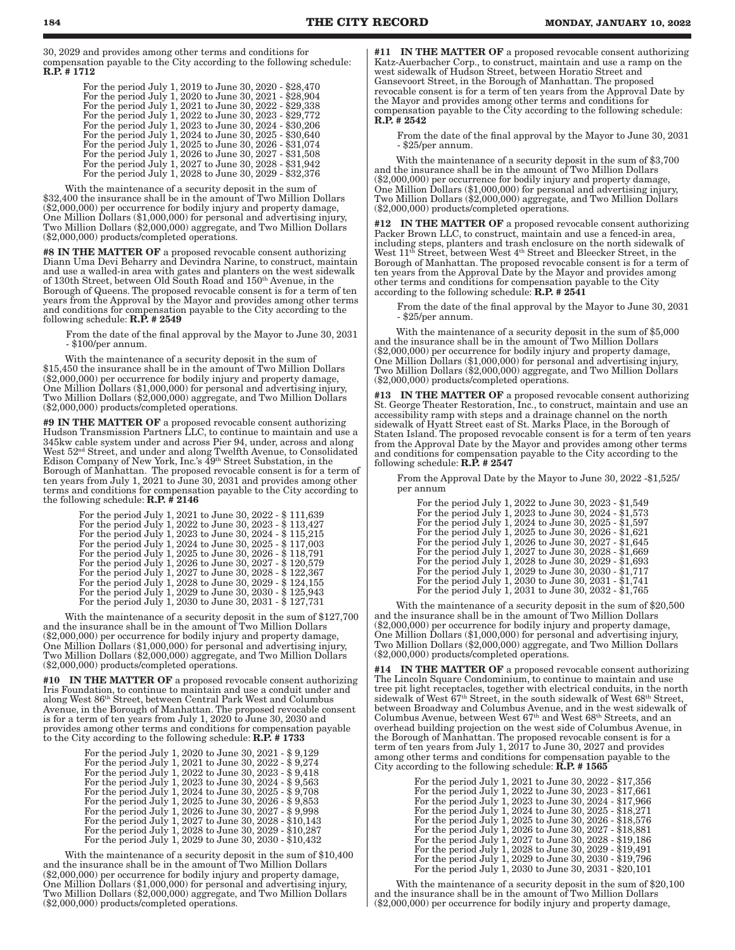30, 2029 and provides among other terms and conditions for compensation payable to the City according to the following schedule: R.P. # 1712

| For the period July 1, 2019 to June 30, 2020 - \$28,470 |
|---------------------------------------------------------|
| For the period July 1, 2020 to June 30, 2021 - \$28,904 |
| For the period July 1, 2021 to June 30, 2022 - \$29,338 |
| For the period July 1, 2022 to June 30, 2023 - \$29,772 |
| For the period July 1, 2023 to June 30, 2024 - \$30,206 |
| For the period July 1, 2024 to June 30, 2025 - \$30,640 |
| For the period July 1, 2025 to June 30, 2026 - \$31,074 |
| For the period July 1, 2026 to June 30, 2027 - \$31,508 |
| For the period July 1, 2027 to June 30, 2028 - \$31,942 |
| For the period July 1, 2028 to June 30, 2029 - \$32,376 |

With the maintenance of a security deposit in the sum of \$32,400 the insurance shall be in the amount of Two Million Dollars (\$2,000,000) per occurrence for bodily injury and property damage, One Million Dollars (\$1,000,000) for personal and advertising injury, Two Million Dollars (\$2,000,000) aggregate, and Two Million Dollars (\$2,000,000) products/completed operations.

#8 IN THE MATTER OF a proposed revocable consent authorizing Diann Uma Devi Beharry and Devindra Narine, to construct, maintain and use a walled-in area with gates and planters on the west sidewalk of 130th Street, between Old South Road and 150th Avenue, in the Borough of Queens. The proposed revocable consent is for a term of ten years from the Approval by the Mayor and provides among other terms and conditions for compensation payable to the City according to the following schedule:  $\mathbf{R}.\bar{\mathbf{P}}$ . # 2549

From the date of the final approval by the Mayor to June 30, 2031 - \$100/per annum.

With the maintenance of a security deposit in the sum of \$15,450 the insurance shall be in the amount of Two Million Dollars (\$2,000,000) per occurrence for bodily injury and property damage, One Million Dollars (\$1,000,000) for personal and advertising injury, Two Million Dollars (\$2,000,000) aggregate, and Two Million Dollars (\$2,000,000) products/completed operations.

#9 IN THE MATTER OF a proposed revocable consent authorizing Hudson Transmission Partners LLC, to continue to maintain and use a 345kw cable system under and across Pier 94, under, across and along West 52nd Street, and under and along Twelfth Avenue, to Consolidated Edison Company of New York, Inc.'s 49th Street Substation, in the Borough of Manhattan. The proposed revocable consent is for a term of ten years from July 1, 2021 to June 30, 2031 and provides among other terms and conditions for compensation payable to the City according to the following schedule:  $\mathbf{R}.\mathbf{P}.\mathbf{\#}$  2146

| For the period July 1, 2021 to June 30, 2022 - \$111,639 |
|----------------------------------------------------------|
| For the period July 1, 2022 to June 30, 2023 - \$113,427 |
| For the period July 1, 2023 to June 30, 2024 - \$115,215 |
| For the period July 1, 2024 to June 30, 2025 - \$117,003 |
| For the period July 1, 2025 to June 30, 2026 - \$118,791 |
| For the period July 1, 2026 to June 30, 2027 - \$120,579 |
| For the period July 1, 2027 to June 30, 2028 - \$122,367 |
| For the period July 1, 2028 to June 30, 2029 - \$124,155 |
| For the period July 1, 2029 to June 30, 2030 - \$125,943 |
| For the period July 1, 2030 to June 30, 2031 - \$127,731 |

With the maintenance of a security deposit in the sum of \$127,700 and the insurance shall be in the amount of Two Million Dollars (\$2,000,000) per occurrence for bodily injury and property damage, One Million Dollars (\$1,000,000) for personal and advertising injury, Two Million Dollars (\$2,000,000) aggregate, and Two Million Dollars (\$2,000,000) products/completed operations.

#10 IN THE MATTER OF a proposed revocable consent authorizing Iris Foundation, to continue to maintain and use a conduit under and along West 86th Street, between Central Park West and Columbus Avenue, in the Borough of Manhattan. The proposed revocable consent is for a term of ten years from July 1, 2020 to June 30, 2030 and provides among other terms and conditions for compensation payable to the City according to the following schedule: **R.P.** # 1733

| For the period July 1, 2020 to June 30, 2021 - \$9,129  |
|---------------------------------------------------------|
| For the period July 1, 2021 to June 30, 2022 - \$9,274  |
| For the period July 1, 2022 to June 30, 2023 - \$9,418  |
| For the period July 1, 2023 to June 30, 2024 - \$9,563  |
| For the period July 1, 2024 to June 30, 2025 - \$9,708  |
| For the period July 1, 2025 to June 30, 2026 - \$9,853  |
| For the period July 1, 2026 to June 30, 2027 - \$9,998  |
| For the period July 1, 2027 to June 30, 2028 - \$10,143 |
| For the period July 1, 2028 to June 30, 2029 - \$10,287 |
| For the period July 1, 2029 to June 30, 2030 - \$10,432 |

With the maintenance of a security deposit in the sum of \$10,400 and the insurance shall be in the amount of Two Million Dollars (\$2,000,000) per occurrence for bodily injury and property damage, One Million Dollars (\$1,000,000) for personal and advertising injury, Two Million Dollars (\$2,000,000) aggregate, and Two Million Dollars (\$2,000,000) products/completed operations.

#11 IN THE MATTER OF a proposed revocable consent authorizing Katz-Auerbacher Corp., to construct, maintain and use a ramp on the west sidewalk of Hudson Street, between Horatio Street and Gansevoort Street, in the Borough of Manhattan. The proposed revocable consent is for a term of ten years from the Approval Date by the Mayor and provides among other terms and conditions for compensation payable to the City according to the following schedule: R.P. # 2542

From the date of the final approval by the Mayor to June 30, 2031 - \$25/per annum.

With the maintenance of a security deposit in the sum of \$3,700 and the insurance shall be in the amount of Two Million Dollars (\$2,000,000) per occurrence for bodily injury and property damage, One Million Dollars (\$1,000,000) for personal and advertising injury, Two Million Dollars (\$2,000,000) aggregate, and Two Million Dollars (\$2,000,000) products/completed operations.

#12 IN THE MATTER OF a proposed revocable consent authorizing Packer Brown LLC, to construct, maintain and use a fenced-in area, including steps, planters and trash enclosure on the north sidewalk of West  $11<sup>th</sup>$  Street, between West  $4<sup>th</sup>$  Street and Bleecker Street, in the Borough of Manhattan. The proposed revocable consent is for a term of ten years from the Approval Date by the Mayor and provides among other terms and conditions for compensation payable to the City according to the following schedule: R.P. # 2541

From the date of the final approval by the Mayor to June 30, 2031 - \$25/per annum.

With the maintenance of a security deposit in the sum of \$5,000 and the insurance shall be in the amount of Two Million Dollars (\$2,000,000) per occurrence for bodily injury and property damage, One Million Dollars (\$1,000,000) for personal and advertising injury, Two Million Dollars (\$2,000,000) aggregate, and Two Million Dollars (\$2,000,000) products/completed operations.

#13 IN THE MATTER OF a proposed revocable consent authorizing St. George Theater Restoration, Inc., to construct, maintain and use an accessibility ramp with steps and a drainage channel on the north sidewalk of Hyatt Street east of St. Marks Place, in the Borough of Staten Island. The proposed revocable consent is for a term of ten years from the Approval Date by the Mayor and provides among other terms and conditions for compensation payable to the City according to the following schedule:  $R.P.$  # 2547

From the Approval Date by the Mayor to June 30, 2022 -\$1,525/ per annum

| For the period July 1, 2022 to June 30, 2023 - \$1,549 |
|--------------------------------------------------------|
| For the period July 1, 2023 to June 30, 2024 - \$1,573 |
| For the period July 1, 2024 to June 30, 2025 - \$1,597 |
| For the period July 1, 2025 to June 30, 2026 - \$1,621 |
| For the period July 1, 2026 to June 30, 2027 - \$1,645 |
| For the period July 1, 2027 to June 30, 2028 - \$1,669 |
| For the period July 1, 2028 to June 30, 2029 - \$1,693 |
| For the period July 1, 2029 to June 30, 2030 - \$1,717 |
| For the period July 1, 2030 to June 30, 2031 - \$1,741 |
| For the period July 1, 2031 to June 30, 2032 - \$1,765 |

With the maintenance of a security deposit in the sum of \$20,500 and the insurance shall be in the amount of Two Million Dollars (\$2,000,000) per occurrence for bodily injury and property damage, One Million Dollars (\$1,000,000) for personal and advertising injury, Two Million Dollars (\$2,000,000) aggregate, and Two Million Dollars (\$2,000,000) products/completed operations.

#14 IN THE MATTER OF a proposed revocable consent authorizing The Lincoln Square Condominium, to continue to maintain and use tree pit light receptacles, together with electrical conduits, in the north sidewalk of West  $67<sup>th</sup> Street$ , in the south sidewalk of West 68<sup>th</sup> Street, between Broadway and Columbus Avenue, and in the west sidewalk of Columbus Avenue, between West 67th and West 68th Streets, and an overhead building projection on the west side of Columbus Avenue, in the Borough of Manhattan. The proposed revocable consent is for a term of ten years from July 1, 2017 to June 30, 2027 and provides among other terms and conditions for compensation payable to the City according to the following schedule:  $\mathbf{R}.\mathbf{P}.\# \mathbf{1565}$ 

| For the period July 1, 2021 to June 30, 2022 - \$17,356<br>For the period July 1, 2022 to June 30, 2023 - \$17,661<br>For the period July 1, 2023 to June 30, 2024 - \$17,966<br>For the period July 1, 2024 to June 30, 2025 - \$18,271<br>For the period July 1, 2025 to June 30, 2026 - \$18,576<br>For the period July 1, 2026 to June 30, 2027 - \$18,881<br>For the period July 1, 2027 to June 30, 2028 - \$19,186<br>For the period July 1, 2028 to June 30, 2029 - \$19,491<br>For the period July 1, 2029 to June 30, 2030 - \$19,796 |  |
|-------------------------------------------------------------------------------------------------------------------------------------------------------------------------------------------------------------------------------------------------------------------------------------------------------------------------------------------------------------------------------------------------------------------------------------------------------------------------------------------------------------------------------------------------|--|
| For the period July 1, 2030 to June 30, 2031 - \$20,101                                                                                                                                                                                                                                                                                                                                                                                                                                                                                         |  |
|                                                                                                                                                                                                                                                                                                                                                                                                                                                                                                                                                 |  |

With the maintenance of a security deposit in the sum of \$20,100 and the insurance shall be in the amount of Two Million Dollars (\$2,000,000) per occurrence for bodily injury and property damage,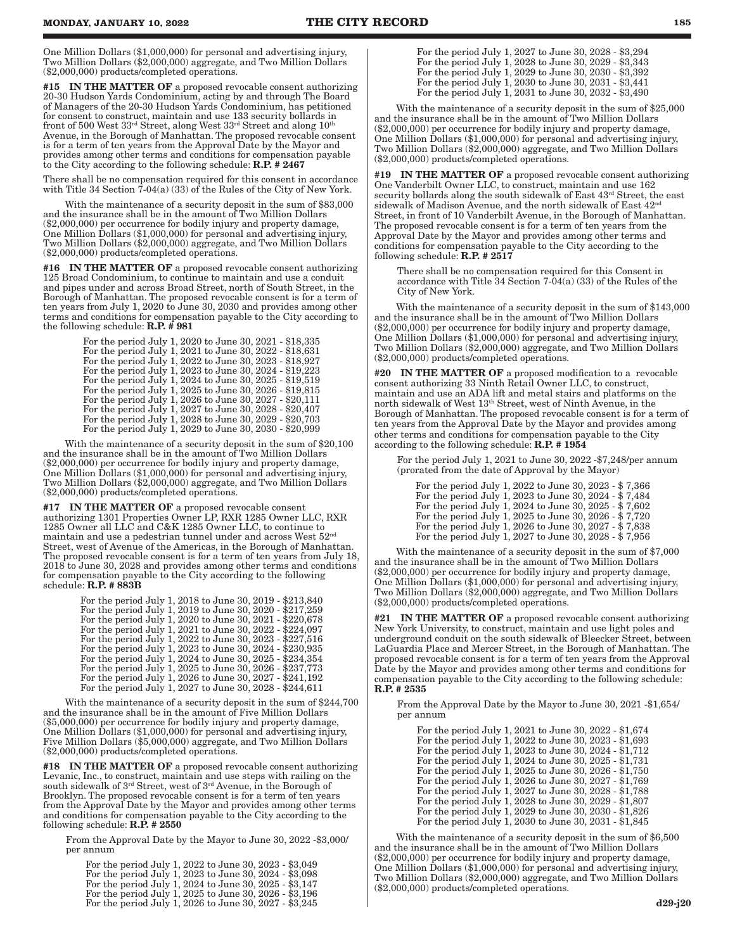One Million Dollars (\$1,000,000) for personal and advertising injury, Two Million Dollars (\$2,000,000) aggregate, and Two Million Dollars (\$2,000,000) products/completed operations.

#15 IN THE MATTER OF a proposed revocable consent authorizing 20-30 Hudson Yards Condominium, acting by and through The Board of Managers of the 20-30 Hudson Yards Condominium, has petitioned for consent to construct, maintain and use 133 security bollards in front of 500 West 33rd Street, along West 33rd Street and along 10th Avenue, in the Borough of Manhattan. The proposed revocable consent is for a term of ten years from the Approval Date by the Mayor and provides among other terms and conditions for compensation payable to the City according to the following schedule: R.P. # 2467

There shall be no compensation required for this consent in accordance with Title 34 Section  $7-04(a)$  (33) of the Rules of the City of New York.

With the maintenance of a security deposit in the sum of \$83,000 and the insurance shall be in the amount of Two Million Dollars (\$2,000,000) per occurrence for bodily injury and property damage, One Million Dollars (\$1,000,000) for personal and advertising injury, Two Million Dollars (\$2,000,000) aggregate, and Two Million Dollars (\$2,000,000) products/completed operations.

#16 IN THE MATTER OF a proposed revocable consent authorizing 125 Broad Condominium, to continue to maintain and use a conduit and pipes under and across Broad Street, north of South Street, in the Borough of Manhattan. The proposed revocable consent is for a term of ten years from July 1, 2020 to June 30, 2030 and provides among other terms and conditions for compensation payable to the City according to the following schedule:  $R.P.$  #  $981$ 

| For the period July 1, 2020 to June 30, 2021 - \$18,335 |
|---------------------------------------------------------|
| For the period July 1, 2021 to June 30, 2022 - \$18,631 |
| For the period July 1, 2022 to June 30, 2023 - \$18,927 |
| For the period July 1, 2023 to June 30, 2024 - \$19,223 |
| For the period July 1, 2024 to June 30, 2025 - \$19,519 |
| For the period July 1, 2025 to June 30, 2026 - \$19,815 |
| For the period July 1, 2026 to June 30, 2027 - \$20,111 |
| For the period July 1, 2027 to June 30, 2028 - \$20,407 |
| For the period July 1, 2028 to June 30, 2029 - \$20,703 |
| For the period July 1, 2029 to June 30, 2030 - \$20,999 |

With the maintenance of a security deposit in the sum of \$20,100 and the insurance shall be in the amount of Two Million Dollars (\$2,000,000) per occurrence for bodily injury and property damage, One Million Dollars (\$1,000,000) for personal and advertising injury, Two Million Dollars (\$2,000,000) aggregate, and Two Million Dollars (\$2,000,000) products/completed operations.

#17 IN THE MATTER OF a proposed revocable consent authorizing 1301 Properties Owner LP, RXR 1285 Owner LLC, RXR 1285 Owner all LLC and C&K 1285 Owner LLC, to continue to maintain and use a pedestrian tunnel under and across West 52nd Street, west of Avenue of the Americas, in the Borough of Manhattan. The proposed revocable consent is for a term of ten years from July 18, 2018 to June 30, 2028 and provides among other terms and conditions for compensation payable to the City according to the following schedule: **R.P.** # 883B

> For the period July 1, 2018 to June 30, 2019 - \$213,840 For the period July 1, 2019 to June 30, 2020 - \$217,259 For the period July 1, 2020 to June 30, 2021 - \$220,678 For the period July 1, 2021 to June 30, 2022 - \$224,097 For the period July 1, 2022 to June 30, 2023 - \$227,516 For the period July 1, 2023 to June 30, 2024 - \$230,935 For the period July 1, 2024 to June 30, 2025 - \$234,354 For the period July 1, 2025 to June 30, 2026 - \$237,773 For the period July 1, 2026 to June 30, 2027 - \$241,192 For the period July 1, 2027 to June 30, 2028 - \$244,611

With the maintenance of a security deposit in the sum of \$244,700 and the insurance shall be in the amount of Five Million Dollars (\$5,000,000) per occurrence for bodily injury and property damage, One Million Dollars (\$1,000,000) for personal and advertising injury, Five Million Dollars (\$5,000,000) aggregate, and Two Million Dollars (\$2,000,000) products/completed operations.

#18 IN THE MATTER OF a proposed revocable consent authorizing Levanic, Inc., to construct, maintain and use steps with railing on the south sidewalk of 3rd Street, west of 3rd Avenue, in the Borough of Brooklyn. The proposed revocable consent is for a term of ten years from the Approval Date by the Mayor and provides among other terms and conditions for compensation payable to the City according to the following schedule:  $\mathbf{R}.\bar{\mathbf{P}}$ . # 2550

From the Approval Date by the Mayor to June 30, 2022 -\$3,000/ per annum

For the period July 1, 2022 to June 30, 2023 - \$3,049 For the period July 1, 2023 to June 30, 2024 - \$3,098 For the period July 1, 2024 to June 30, 2025 - \$3,147 For the period July 1, 2025 to June 30, 2026 - \$3,196 For the period July 1, 2026 to June 30, 2027 - \$3,245

For the period July 1, 2027 to June 30, 2028 - \$3,294 For the period July 1, 2028 to June 30, 2029 - \$3,343 For the period July 1, 2029 to June 30, 2030 - \$3,392 For the period July 1, 2030 to June 30, 2031 - \$3,441 For the period July 1, 2031 to June 30, 2032 - \$3,490

With the maintenance of a security deposit in the sum of \$25,000 and the insurance shall be in the amount of Two Million Dollars (\$2,000,000) per occurrence for bodily injury and property damage, One Million Dollars (\$1,000,000) for personal and advertising injury, Two Million Dollars (\$2,000,000) aggregate, and Two Million Dollars (\$2,000,000) products/completed operations.

#19 IN THE MATTER OF a proposed revocable consent authorizing One Vanderbilt Owner LLC, to construct, maintain and use 162 security bollards along the south sidewalk of East 43rd Street, the east sidewalk of Madison Avenue, and the north sidewalk of East  $42<sup>nd</sup>$ Street, in front of 10 Vanderbilt Avenue, in the Borough of Manhattan. The proposed revocable consent is for a term of ten years from the Approval Date by the Mayor and provides among other terms and conditions for compensation payable to the City according to the following schedule: R.P. # 2517

There shall be no compensation required for this Consent in accordance with Title  $34$  Section  $7-04(a)$  (33) of the Rules of the City of New York.

With the maintenance of a security deposit in the sum of \$143,000 and the insurance shall be in the amount of Two Million Dollars (\$2,000,000) per occurrence for bodily injury and property damage, One Million Dollars (\$1,000,000) for personal and advertising injury, Two Million Dollars (\$2,000,000) aggregate, and Two Million Dollars (\$2,000,000) products/completed operations.

#20 IN THE MATTER OF a proposed modification to a revocable consent authorizing 33 Ninth Retail Owner LLC, to construct, maintain and use an ADA lift and metal stairs and platforms on the north sidewalk of West 13th Street, west of Ninth Avenue, in the Borough of Manhattan. The proposed revocable consent is for a term of ten years from the Approval Date by the Mayor and provides among other terms and conditions for compensation payable to the City according to the following schedule: R.P. # 1954

For the period July 1, 2021 to June 30, 2022 -\$7,248/per annum (prorated from the date of Approval by the Mayor)

For the period July 1, 2022 to June 30, 2023 - \$ 7,366 For the period July 1, 2023 to June 30, 2024 - \$ 7,484 For the period July 1, 2024 to June 30, 2025 - \$ 7,602 For the period July 1, 2025 to June 30, 2026 - \$ 7,720 For the period July 1, 2026 to June 30, 2027 - \$ 7,838 For the period July 1, 2027 to June 30, 2028 - \$ 7,956

With the maintenance of a security deposit in the sum of \$7,000 and the insurance shall be in the amount of Two Million Dollars (\$2,000,000) per occurrence for bodily injury and property damage, One Million Dollars (\$1,000,000) for personal and advertising injury, Two Million Dollars (\$2,000,000) aggregate, and Two Million Dollars (\$2,000,000) products/completed operations.

#21 IN THE MATTER OF a proposed revocable consent authorizing New York University, to construct, maintain and use light poles and underground conduit on the south sidewalk of Bleecker Street, between LaGuardia Place and Mercer Street, in the Borough of Manhattan. The proposed revocable consent is for a term of ten years from the Approval Date by the Mayor and provides among other terms and conditions for compensation payable to the City according to the following schedule: R.P. # 2535

From the Approval Date by the Mayor to June 30, 2021 -\$1,654/ per annum

For the period July 1, 2021 to June 30, 2022 - \$1,674 For the period July 1, 2022 to June 30, 2023 - \$1,693 For the period July 1, 2023 to June 30, 2024 - \$1,712 For the period July 1, 2024 to June 30, 2025 - \$1,731 For the period July 1, 2025 to June 30, 2026 - \$1,750 For the period July 1, 2026 to June 30, 2027 - \$1,769 For the period July 1, 2027 to June 30, 2028 - \$1,788 For the period July 1, 2028 to June 30, 2029 - \$1,807 For the period July 1, 2029 to June 30, 2030 - \$1,826 For the period July 1, 2030 to June 30, 2031 - \$1,845

With the maintenance of a security deposit in the sum of \$6,500 and the insurance shall be in the amount of Two Million Dollars (\$2,000,000) per occurrence for bodily injury and property damage, One Million Dollars (\$1,000,000) for personal and advertising injury, Two Million Dollars (\$2,000,000) aggregate, and Two Million Dollars (\$2,000,000) products/completed operations.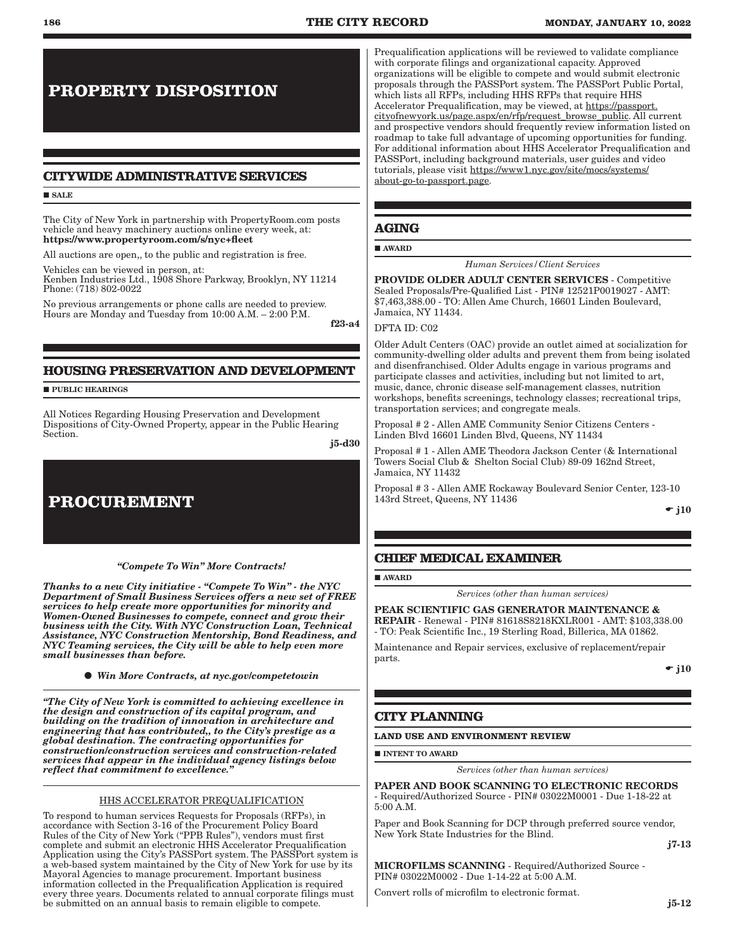# **PROPERTY DISPOSITION**

# **CITYWIDE ADMINISTRATIVE SERVICES**

#### **SALE**

The City of New York in partnership with PropertyRoom.com posts vehicle and heavy machinery auctions online every week, at: https://www.propertyroom.com/s/nyc+fleet

All auctions are open,, to the public and registration is free.

Vehicles can be viewed in person, at: Kenben Industries Ltd., 1908 Shore Parkway, Brooklyn, NY 11214 Phone: (718) 802-0022

No previous arrangements or phone calls are needed to preview. Hours are Monday and Tuesday from 10:00 A.M. – 2:00 P.M.

f23-a4

# **HOUSING PRESERVATION AND DEVELOPMENT**

**PUBLIC HEARINGS** 

All Notices Regarding Housing Preservation and Development Dispositions of City-Owned Property, appear in the Public Hearing Section.

j5-d30

# **PROCUREMENT**

*"Compete To Win" More Contracts!* 

*Thanks to a new City initiative - "Compete To Win" - the NYC Department of Small Business Services offers a new set of FREE services to help create more opportunities for minority and Women-Owned Businesses to compete, connect and grow their business with the City. With NYC Construction Loan, Technical Assistance, NYC Construction Mentorship, Bond Readiness, and NYC Teaming services, the City will be able to help even more small businesses than before.*

*Win More Contracts, at nyc.gov/competetowin*

*"The City of New York is committed to achieving excellence in the design and construction of its capital program, and building on the tradition of innovation in architecture and engineering that has contributed,, to the City's prestige as a global destination. The contracting opportunities for construction/construction services and construction-related services that appear in the individual agency listings below reflect that commitment to excellence."*

#### HHS ACCELERATOR PREQUALIFICATION

To respond to human services Requests for Proposals (RFPs), in accordance with Section 3-16 of the Procurement Policy Board Rules of the City of New York ("PPB Rules"), vendors must first complete and submit an electronic HHS Accelerator Prequalification Application using the City's PASSPort system. The PASSPort system is a web-based system maintained by the City of New York for use by its Mayoral Agencies to manage procurement. Important business information collected in the Prequalification Application is required every three years. Documents related to annual corporate filings must be submitted on an annual basis to remain eligible to compete.

Prequalification applications will be reviewed to validate compliance with corporate filings and organizational capacity. Approved organizations will be eligible to compete and would submit electronic proposals through the PASSPort system. The PASSPort Public Portal, which lists all RFPs, including HHS RFPs that require HHS Accelerator Prequalification, may be viewed, at https://passport. cityofnewyork.us/page.aspx/en/rfp/request\_browse\_public. All current and prospective vendors should frequently review information listed on roadmap to take full advantage of upcoming opportunities for funding. For additional information about HHS Accelerator Prequalification and PASSPort, including background materials, user guides and video tutorials, please visit https://www1.nyc.gov/site/mocs/systems/ about-go-to-passport.page.

# **AGING**

#### AWARD

*Human Services/Client Services*

PROVIDE OLDER ADULT CENTER SERVICES - Competitive Sealed Proposals/Pre-Qualified List - PIN# 12521P0019027 - AMT: \$7,463,388.00 - TO: Allen Ame Church, 16601 Linden Boulevard, Jamaica, NY 11434.

#### DFTA ID: C02

Older Adult Centers (OAC) provide an outlet aimed at socialization for community-dwelling older adults and prevent them from being isolated and disenfranchised. Older Adults engage in various programs and participate classes and activities, including but not limited to art, music, dance, chronic disease self-management classes, nutrition workshops, benefits screenings, technology classes; recreational trips, transportation services; and congregate meals.

Proposal # 2 - Allen AME Community Senior Citizens Centers - Linden Blvd 16601 Linden Blvd, Queens, NY 11434

Proposal # 1 - Allen AME Theodora Jackson Center (& International Towers Social Club & Shelton Social Club) 89-09 162nd Street, Jamaica, NY 11432

Proposal # 3 - Allen AME Rockaway Boulevard Senior Center, 123-10 143rd Street, Queens, NY 11436

 $\div$  j10

# **CHIEF MEDICAL EXAMINER**

### AWARD

*Services (other than human services)*

PEAK SCIENTIFIC GAS GENERATOR MAINTENANCE & REPAIR - Renewal - PIN# 81618S8218KXLR001 - AMT: \$103,338.00 - TO: Peak Scientific Inc., 19 Sterling Road, Billerica, MA 01862.

Maintenance and Repair services, exclusive of replacement/repair parts.

 $\div$  i10

# **CITY PLANNING**

# **LAND USE AND ENVIRONMENT REVIEW**

**INTENT TO AWARD** 

*Services (other than human services)*

PAPER AND BOOK SCANNING TO ELECTRONIC RECORDS - Required/Authorized Source - PIN# 03022M0001 - Due 1-18-22 at 5:00 A.M.

Paper and Book Scanning for DCP through preferred source vendor, New York State Industries for the Blind.

j7-13

MICROFILMS SCANNING - Required/Authorized Source - PIN# 03022M0002 - Due 1-14-22 at 5:00 A.M.

Convert rolls of microfilm to electronic format.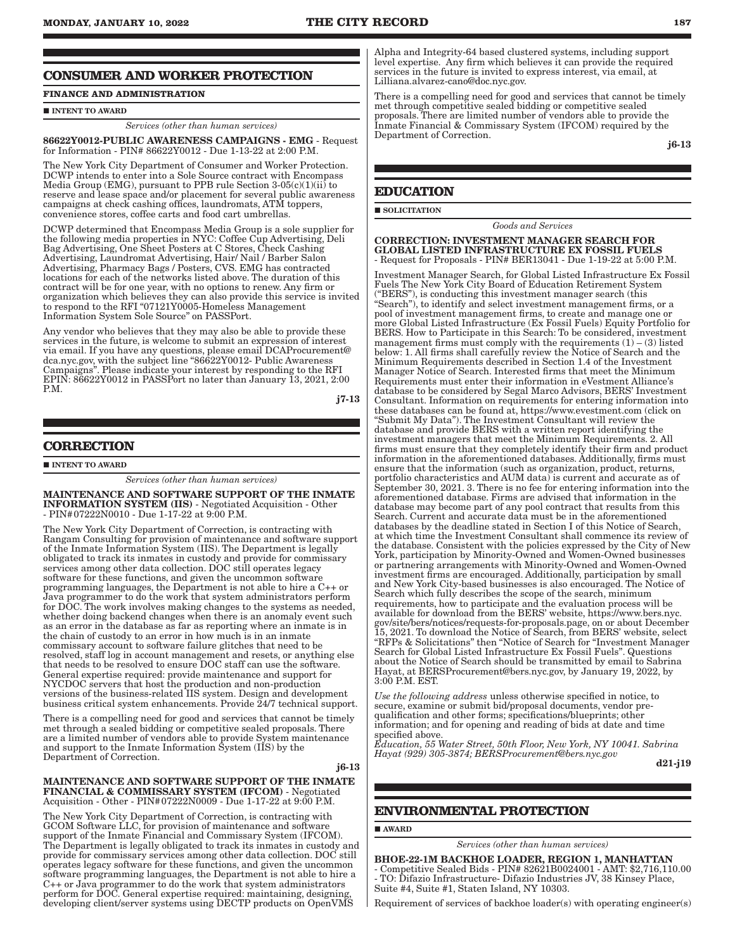# **CONSUMER AND WORKER PROTECTION**

# **FINANCE AND ADMINISTRATION**

# $\blacksquare$ INTENT TO AWARD

*Services (other than human services)*

86622Y0012-PUBLIC AWARENESS CAMPAIGNS - EMG - Request for Information - PIN# 86622Y0012 - Due 1-13-22 at 2:00 P.M.

The New York City Department of Consumer and Worker Protection. DCWP intends to enter into a Sole Source contract with Encompass Media Group (EMG), pursuant to PPB rule Section 3-05(c)(1)(ii) to reserve and lease space and/or placement for several public awareness campaigns at check cashing offices, laundromats, ATM toppers, convenience stores, coffee carts and food cart umbrellas.

DCWP determined that Encompass Media Group is a sole supplier for the following media properties in NYC: Coffee Cup Advertising, Deli Bag Advertising, One Sheet Posters at C Stores, Check Cashing Advertising, Laundromat Advertising, Hair/ Nail / Barber Salon Advertising, Pharmacy Bags / Posters, CVS. EMG has contracted locations for each of the networks listed above. The duration of this contract will be for one year, with no options to renew. Any firm or organization which believes they can also provide this service is invited to respond to the RFI "07121Y0005-Homeless Management Information System Sole Source" on PASSPort.

Any vendor who believes that they may also be able to provide these services in the future, is welcome to submit an expression of interest via email. If you have any questions, please email DCAProcurement@ dca.nyc.gov, with the subject line "86622Y0012- Public Awareness Campaigns". Please indicate your interest by responding to the RFI EPIN: 86622Y0012 in PASSPort no later than January 13, 2021, 2:00 P.M.

j7-13

# **CORRECTION**

 $\blacksquare$ INTENT TO AWARD

*Services (other than human services)*

MAINTENANCE AND SOFTWARE SUPPORT OF THE INMATE INFORMATION SYSTEM (IIS) - Negotiated Acquisition - Other - PIN#07222N0010 - Due 1-17-22 at 9:00 P.M.

The New York City Department of Correction, is contracting with Rangam Consulting for provision of maintenance and software support of the Inmate Information System (IIS). The Department is legally obligated to track its inmates in custody and provide for commissary services among other data collection. DOC still operates legacy software for these functions, and given the uncommon software programming languages, the Department is not able to hire a C++ or Java programmer to do the work that system administrators perform for DOC. The work involves making changes to the systems as needed, whether doing backend changes when there is an anomaly event such as an error in the database as far as reporting where an inmate is in the chain of custody to an error in how much is in an inmate commissary account to software failure glitches that need to be resolved, staff log in account management and resets, or anything else that needs to be resolved to ensure DOC staff can use the software. General expertise required: provide maintenance and support for NYCDOC servers that host the production and non-production versions of the business-related IIS system. Design and development business critical system enhancements. Provide 24/7 technical support.

There is a compelling need for good and services that cannot be timely met through a sealed bidding or competitive sealed proposals. There are a limited number of vendors able to provide System maintenance and support to the Inmate Information System (IIS) by the Department of Correction.

j6-13

#### MAINTENANCE AND SOFTWARE SUPPORT OF THE INMATE FINANCIAL & COMMISSARY SYSTEM (IFCOM) - Negotiated Acquisition - Other - PIN#07222N0009 - Due 1-17-22 at 9:00 P.M.

The New York City Department of Correction, is contracting with GCOM Software LLC, for provision of maintenance and software support of the Inmate Financial and Commissary System (IFCOM). The Department is legally obligated to track its inmates in custody and provide for commissary services among other data collection. DOC still operates legacy software for these functions, and given the uncommon software programming languages, the Department is not able to hire a C++ or Java programmer to do the work that system administrators perform for DOC. General expertise required: maintaining, designing, developing client/server systems using DECTP products on OpenVMS

Alpha and Integrity-64 based clustered systems, including support level expertise. Any firm which believes it can provide the required services in the future is invited to express interest, via email, at Lilliana.alvarez-cano@doc.nyc.gov.

There is a compelling need for good and services that cannot be timely met through competitive sealed bidding or competitive sealed proposals. There are limited number of vendors able to provide the Inmate Financial & Commissary System (IFCOM) required by the Department of Correction.

j6-13

# **EDUCATION**

SOLICITATION

*Goods and Services*

CORRECTION: INVESTMENT MANAGER SEARCH FOR GLOBAL LISTED INFRASTRUCTURE EX FOSSIL FUELS - Request for Proposals - PIN# BER13041 - Due 1-19-22 at 5:00 P.M.

Investment Manager Search, for Global Listed Infrastructure Ex Fossil Fuels The New York City Board of Education Retirement System ("BERS"), is conducting this investment manager search (this "Search"), to identify and select investment management firms, or a pool of investment management firms, to create and manage one or more Global Listed Infrastructure (Ex Fossil Fuels) Equity Portfolio for BERS. How to Participate in this Search: To be considered, investment management firms must comply with the requirements  $(1) - (3)$  listed below: 1. All firms shall carefully review the Notice of Search and the Minimum Requirements described in Section 1.4 of the Investment Manager Notice of Search. Interested firms that meet the Minimum Requirements must enter their information in eVestment Alliance's database to be considered by Segal Marco Advisors, BERS' Investment Consultant. Information on requirements for entering information into these databases can be found at, https://www.evestment.com (click on "Submit My Data"). The Investment Consultant will review the database and provide BERS with a written report identifying the investment managers that meet the Minimum Requirements. 2. All firms must ensure that they completely identify their firm and product information in the aforementioned databases. Additionally, firms must ensure that the information (such as organization, product, returns, portfolio characteristics and AUM data) is current and accurate as of September 30, 2021. 3. There is no fee for entering information into the aforementioned database. Firms are advised that information in the database may become part of any pool contract that results from this Search. Current and accurate data must be in the aforementioned databases by the deadline stated in Section I of this Notice of Search, at which time the Investment Consultant shall commence its review of the database. Consistent with the policies expressed by the City of New York, participation by Minority-Owned and Women-Owned businesses or partnering arrangements with Minority-Owned and Women-Owned investment firms are encouraged. Additionally, participation by small and New York City-based businesses is also encouraged. The Notice of Search which fully describes the scope of the search, minimum requirements, how to participate and the evaluation process will be available for download from the BERS' website, https://www.bers.nyc. gov/site/bers/notices/requests-for-proposals.page, on or about December 15, 2021. To download the Notice of Search, from BERS' website, select "RFPs & Solicitations" then "Notice of Search for "Investment Manager Search for Global Listed Infrastructure Ex Fossil Fuels". Questions about the Notice of Search should be transmitted by email to Sabrina Hayat, at BERSProcurement@bers.nyc.gov, by January 19, 2022, by 3:00 P.M. EST.

*Use the following address* unless otherwise specified in notice, to secure, examine or submit bid/proposal documents, vendor prequalification and other forms; specifications/blueprints; other information; and for opening and reading of bids at date and time specified above.

*Education, 55 Water Street, 50th Floor, New York, NY 10041. Sabrina Hayat (929) 305-3874; BERSProcurement@bers.nyc.gov*

d21-j19

# **ENVIRONMENTAL PROTECTION**

# **AWARD**

*Services (other than human services)*

BHOE-22-1M BACKHOE LOADER, REGION 1, MANHATTAN - Competitive Sealed Bids - PIN# 82621B0024001 - AMT: \$2,716,110.00 - TO: Difazio Infrastructure- Difazio Industries JV, 38 Kinsey Place, Suite #4, Suite #1, Staten Island, NY 10303.

Requirement of services of backhoe loader(s) with operating engineer(s)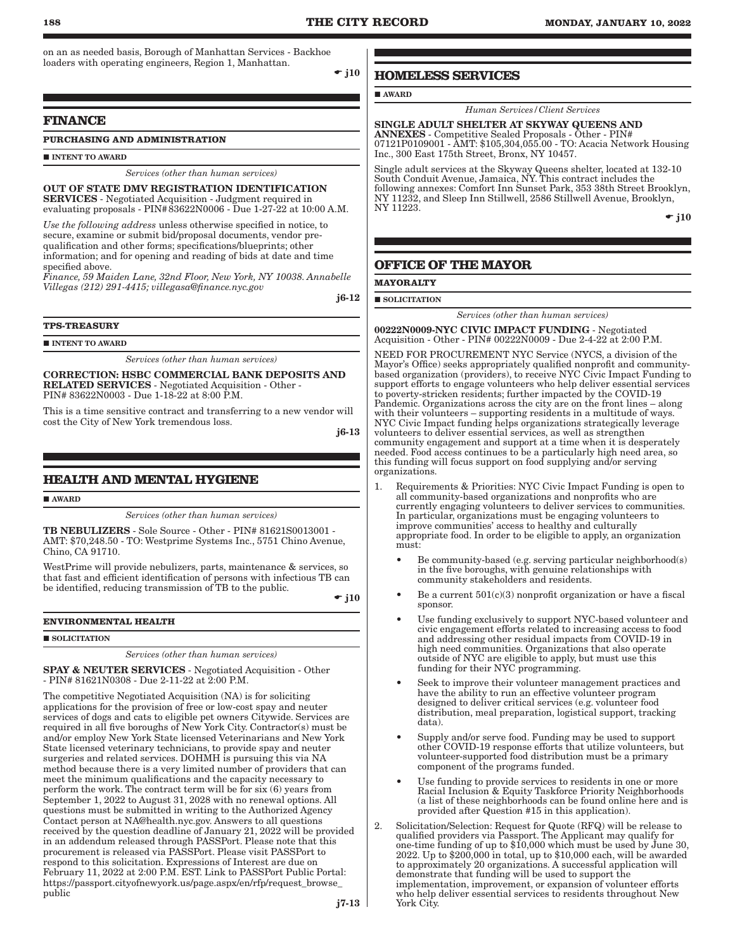on an as needed basis, Borough of Manhattan Services - Backhoe loaders with operating engineers, Region 1, Manhattan.

 $\div$  j10

# **FINANCE**

# **PURCHASING AND ADMINISTRATION**

INTENT TO AWARD

#### *Services (other than human services)*

# OUT OF STATE DMV REGISTRATION IDENTIFICATION SERVICES - Negotiated Acquisition - Judgment required in

evaluating proposals - PIN#83622N0006 - Due 1-27-22 at 10:00 A.M. *Use the following address* unless otherwise specified in notice, to

secure, examine or submit bid/proposal documents, vendor prequalification and other forms; specifications/blueprints; other information; and for opening and reading of bids at date and time specified above.

*Finance, 59 Maiden Lane, 32nd Floor, New York, NY 10038. Annabelle Villegas (212) 291-4415; villegasa@finance.nyc.gov*

j6-12

#### **TPS-TREASURY**

INTENT TO AWARD

*Services (other than human services)*

CORRECTION: HSBC COMMERCIAL BANK DEPOSITS AND RELATED SERVICES - Negotiated Acquisition - Other - PIN# 83622N0003 - Due 1-18-22 at 8:00 P.M.

This is a time sensitive contract and transferring to a new vendor will cost the City of New York tremendous loss.

j6-13

# **HEALTH AND MENTAL HYGIENE**

**AWARD** 

*Services (other than human services)*

TB NEBULIZERS - Sole Source - Other - PIN# 81621S0013001 - AMT: \$70,248.50 - TO: Westprime Systems Inc., 5751 Chino Avenue, Chino, CA 91710.

WestPrime will provide nebulizers, parts, maintenance & services, so that fast and efficient identification of persons with infectious TB can be identified, reducing transmission of TB to the public.

 $\div$  j10

#### **ENVIRONMENTAL HEALTH**

#### SOLICITATION

*Services (other than human services)*

SPAY & NEUTER SERVICES - Negotiated Acquisition - Other - PIN# 81621N0308 - Due 2-11-22 at 2:00 P.M.

The competitive Negotiated Acquisition (NA) is for soliciting applications for the provision of free or low-cost spay and neuter services of dogs and cats to eligible pet owners Citywide. Services are required in all five boroughs of New York City. Contractor(s) must be and/or employ New York State licensed Veterinarians and New York State licensed veterinary technicians, to provide spay and neuter surgeries and related services. DOHMH is pursuing this via NA method because there is a very limited number of providers that can meet the minimum qualifications and the capacity necessary to perform the work. The contract term will be for six (6) years from September 1, 2022 to August 31, 2028 with no renewal options. All questions must be submitted in writing to the Authorized Agency Contact person at NA@health.nyc.gov. Answers to all questions received by the question deadline of January 21, 2022 will be provided in an addendum released through PASSPort. Please note that this procurement is released via PASSPort. Please visit PASSPort to respond to this solicitation. Expressions of Interest are due on February 11, 2022 at 2:00 P.M. EST. Link to PASSPort Public Portal: https://passport.cityofnewyork.us/page.aspx/en/rfp/request\_browse\_ public

**HOMELESS SERVICES**

**AWARD** 

*Human Services/Client Services*

SINGLE ADULT SHELTER AT SKYWAY QUEENS AND ANNEXES - Competitive Sealed Proposals - Other - PIN# 07121P0109001 - AMT: \$105,304,055.00 - TO: Acacia Network Housing Inc., 300 East 175th Street, Bronx, NY 10457.

Single adult services at the Skyway Queens shelter, located at 132-10 South Conduit Avenue, Jamaica, NY. This contract includes the following annexes: Comfort Inn Sunset Park, 353 38th Street Brooklyn, NY 11232, and Sleep Inn Stillwell, 2586 Stillwell Avenue, Brooklyn, NY 11223.

 $\div$  j10

# **OFFICE OF THE MAYOR**

**MAYORALTY**

 $\blacksquare$  SOLICITATION

*Services (other than human services)*

00222N0009-NYC CIVIC IMPACT FUNDING - Negotiated Acquisition - Other - PIN# 00222N0009 - Due 2-4-22 at 2:00 P.M.

NEED FOR PROCUREMENT NYC Service (NYCS, a division of the Mayor's Office) seeks appropriately qualified nonprofit and communitybased organization (providers), to receive NYC Civic Impact Funding to support efforts to engage volunteers who help deliver essential services to poverty-stricken residents; further impacted by the COVID-19 Pandemic. Organizations across the city are on the front lines – along with their volunteers – supporting residents in a multitude of ways. NYC Civic Impact funding helps organizations strategically leverage volunteers to deliver essential services, as well as strengthen community engagement and support at a time when it is desperately needed. Food access continues to be a particularly high need area, so this funding will focus support on food supplying and/or serving organizations.

- 1. Requirements & Priorities: NYC Civic Impact Funding is open to all community-based organizations and nonprofits who are currently engaging volunteers to deliver services to communities. In particular, organizations must be engaging volunteers to improve communities' access to healthy and culturally appropriate food. In order to be eligible to apply, an organization must:
	- Be community-based (e.g. serving particular neighborhood(s) in the five boroughs, with genuine relationships with community stakeholders and residents.
	- Be a current  $501(c)(3)$  nonprofit organization or have a fiscal sponsor.
	- Use funding exclusively to support NYC-based volunteer and civic engagement efforts related to increasing access to food and addressing other residual impacts from COVID-19 in high need communities. Organizations that also operate outside of NYC are eligible to apply, but must use this funding for their NYC programming.
	- Seek to improve their volunteer management practices and have the ability to run an effective volunteer program designed to deliver critical services (e.g. volunteer food distribution, meal preparation, logistical support, tracking data).
	- Supply and/or serve food. Funding may be used to support other COVID-19 response efforts that utilize volunteers, but volunteer-supported food distribution must be a primary component of the programs funded.
	- Use funding to provide services to residents in one or more Racial Inclusion & Equity Taskforce Priority Neighborhoods (a list of these neighborhoods can be found online here and is provided after Question #15 in this application).
- 2. Solicitation/Selection: Request for Quote (RFQ) will be release to qualified providers via Passport. The Applicant may qualify for one-time funding of up to  $$10,000$  which must be used by June 30,  $2022$ . Up to  $$200,000$  in total, up to  $$10,000$  each, will be awarded to approximately 20 organizations. A successful application will demonstrate that funding will be used to support the implementation, improvement, or expansion of volunteer efforts who help deliver essential services to residents throughout New York City.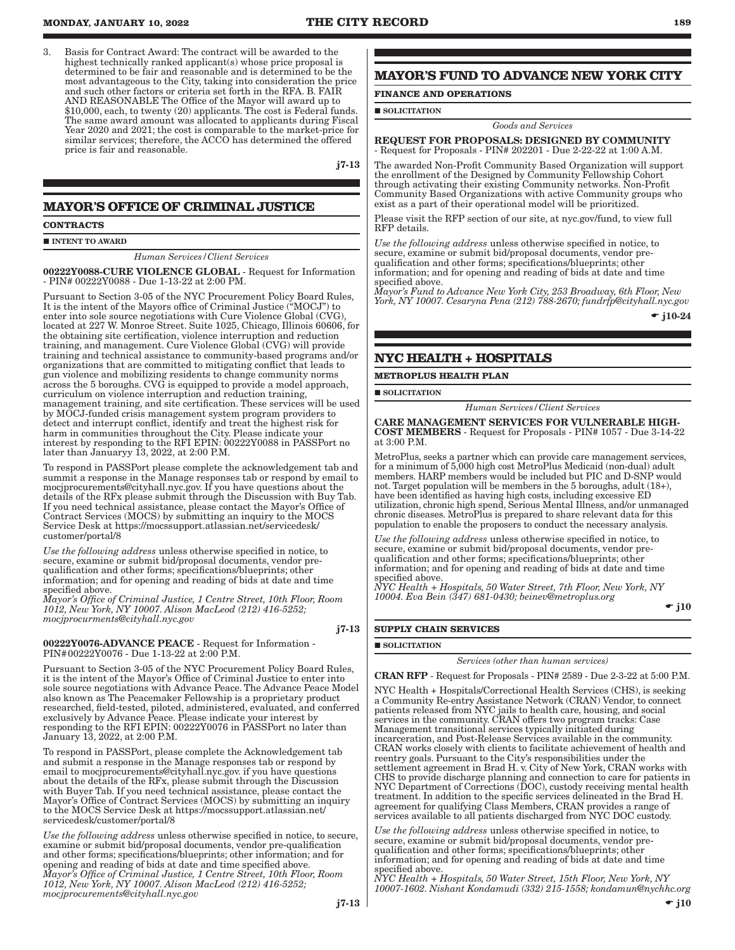3. Basis for Contract Award: The contract will be awarded to the highest technically ranked applicant(s) whose price proposal is determined to be fair and reasonable and is determined to be the most advantageous to the City, taking into consideration the price and such other factors or criteria set forth in the RFA. B. FAIR AND REASONABLE The Office of the Mayor will award up to \$10,000, each, to twenty (20) applicants. The cost is Federal funds. The same award amount was allocated to applicants during Fiscal Year 2020 and 2021; the cost is comparable to the market-price for similar services; therefore, the ACCO has determined the offered price is fair and reasonable.

j7-13

# **MAYOR'S OFFICE OF CRIMINAL JUSTICE**

#### **CONTRACTS**

#### INTENT TO AWARD

#### *Human Services/Client Services*

00222Y0088-CURE VIOLENCE GLOBAL - Request for Information - PIN# 00222Y0088 - Due 1-13-22 at 2:00 PM.

Pursuant to Section 3-05 of the NYC Procurement Policy Board Rules, It is the intent of the Mayors office of Criminal Justice ("MOCJ") to enter into sole source negotiations with Cure Violence Global (CVG), located at 227 W. Monroe Street. Suite 1025, Chicago, Illinois 60606, for the obtaining site certification, violence interruption and reduction training, and management. Cure Violence Global (CVG) will provide training and technical assistance to community-based programs and/or organizations that are committed to mitigating conflict that leads to gun violence and mobilizing residents to change community norms across the 5 boroughs. CVG is equipped to provide a model approach, curriculum on violence interruption and reduction training, management training, and site certification. These services will be used by MOCJ-funded crisis management system program providers to detect and interrupt conflict, identify and treat the highest risk for harm in communities throughout the City. Please indicate your interest by responding to the RFI EPIN: 00222Y0088 in PASSPort no later than Januaryy 13, 2022, at 2:00 P.M.

To respond in PASSPort please complete the acknowledgement tab and summit a response in the Manage responses tab or respond by email to mocjprocurements@cityhall.nyc.gov. If you have questions about the details of the RFx please submit through the Discussion with Buy Tab. If you need technical assistance, please contact the Mayor's Office of Contract Services (MOCS) by submitting an inquiry to the MOCS Service Desk at https://mocssupport.atlassian.net/servicedesk/ customer/portal/8

*Use the following address* unless otherwise specified in notice, to secure, examine or submit bid/proposal documents, vendor prequalification and other forms; specifications/blueprints; other information; and for opening and reading of bids at date and time specified above.

*Mayor's Office of Criminal Justice, 1 Centre Street, 10th Floor, Room 1012, New York, NY 10007. Alison MacLeod (212) 416-5252; mocjprocurments@cityhall.nyc.gov*

j7-13

00222Y0076-ADVANCE PEACE - Request for Information - PIN#00222Y0076 - Due 1-13-22 at 2:00 P.M.

Pursuant to Section 3-05 of the NYC Procurement Policy Board Rules, it is the intent of the Mayor's Office of Criminal Justice to enter into sole source negotiations with Advance Peace. The Advance Peace Model also known as The Peacemaker Fellowship is a proprietary product researched, field-tested, piloted, administered, evaluated, and conferred exclusively by Advance Peace. Please indicate your interest by responding to the RFI EPIN: 00222Y0076 in PASSPort no later than January 13, 2022, at 2:00 P.M.

To respond in PASSPort, please complete the Acknowledgement tab and submit a response in the Manage responses tab or respond by email to mocjprocurements@cityhall.nyc.gov. if you have questions about the details of the RFx, please submit through the Discussion with Buyer Tab. If you need technical assistance, please contact the Mayor's Office of Contract Services (MOCS) by submitting an inquiry to the MOCS Service Desk at https://mocssupport.atlassian.net/ servicedesk/customer/portal/8

*Use the following address* unless otherwise specified in notice, to secure, examine or submit bid/proposal documents, vendor pre-qualification and other forms; specifications/blueprints; other information; and for opening and reading of bids at date and time specified above. *Mayor's Office of Criminal Justice, 1 Centre Street, 10th Floor, Room 1012, New York, NY 10007. Alison MacLeod (212) 416-5252; mocjprocurements@cityhall.nyc.gov*

# **MAYOR'S FUND TO ADVANCE NEW YORK CITY**

# **FINANCE AND OPERATIONS**

#### SOLICITATION

## *Goods and Services*

REQUEST FOR PROPOSALS: DESIGNED BY COMMUNITY - Request for Proposals - PIN# 202201 - Due 2-22-22 at 1:00 A.M.

The awarded Non-Profit Community Based Organization will support the enrollment of the Designed by Community Fellowship Cohort through activating their existing Community networks. Non-Profit Community Based Organizations with active Community groups who exist as a part of their operational model will be prioritized.

Please visit the RFP section of our site, at nyc.gov/fund, to view full RFP details.

*Use the following address* unless otherwise specified in notice, to secure, examine or submit bid/proposal documents, vendor prequalification and other forms; specifications/blueprints; other information; and for opening and reading of bids at date and time specified above.

*Mayor's Fund to Advance New York City, 253 Broadway, 6th Floor, New York, NY 10007. Cesaryna Pena (212) 788-2670; fundrfp@cityhall.nyc.gov*

•  $i10-24$ 

# **NYC HEALTH + HOSPITALS**

**METROPLUS HEALTH PLAN**

**SOLICITATION** 

*Human Services/Client Services*

CARE MANAGEMENT SERVICES FOR VULNERABLE HIGH-COST MEMBERS - Request for Proposals - PIN# 1057 - Due 3-14-22 at 3:00 P.M.

MetroPlus, seeks a partner which can provide care management services, for a minimum of 5,000 high cost MetroPlus Medicaid (non-dual) adult members. HARP members would be included but PIC and D-SNP would not. Target population will be members in the 5 boroughs, adult (18+), have been identified as having high costs, including excessive ED utilization, chronic high spend, Serious Mental Illness, and/or unmanaged chronic diseases. MetroPlus is prepared to share relevant data for this population to enable the proposers to conduct the necessary analysis.

*Use the following address* unless otherwise specified in notice, to secure, examine or submit bid/proposal documents, vendor prequalification and other forms; specifications/blueprints; other information; and for opening and reading of bids at date and time specified above.

*NYC Health + Hospitals, 50 Water Street, 7th Floor, New York, NY 10004. Eva Bein (347) 681-0430; beinev@metroplus.org*

 $\div$  j10

#### **SUPPLY CHAIN SERVICES**

# **SOLICITATION**

*Services (other than human services)*

CRAN RFP - Request for Proposals - PIN# 2589 - Due 2-3-22 at 5:00 P.M.

NYC Health + Hospitals/Correctional Health Services (CHS), is seeking a Community Re-entry Assistance Network (CRAN) Vendor, to connect patients released from NYC jails to health care, housing, and social services in the community. CRAN offers two program tracks: Case Management transitional services typically initiated during incarceration, and Post-Release Services available in the community. CRAN works closely with clients to facilitate achievement of health and reentry goals. Pursuant to the City's responsibilities under the settlement agreement in Brad H. v. City of New York, CRAN works with CHS to provide discharge planning and connection to care for patients in NYC Department of Corrections (DOC), custody receiving mental health treatment. In addition to the specific services delineated in the Brad H. agreement for qualifying Class Members, CRAN provides a range of services available to all patients discharged from NYC DOC custody.

*Use the following address* unless otherwise specified in notice, to secure, examine or submit bid/proposal documents, vendor prequalification and other forms; specifications/blueprints; other information; and for opening and reading of bids at date and time specified above.

*NYC Health + Hospitals, 50 Water Street, 15th Floor, New York, NY 10007-1602. Nishant Kondamudi (332) 215-1558; kondamun@nychhc.org*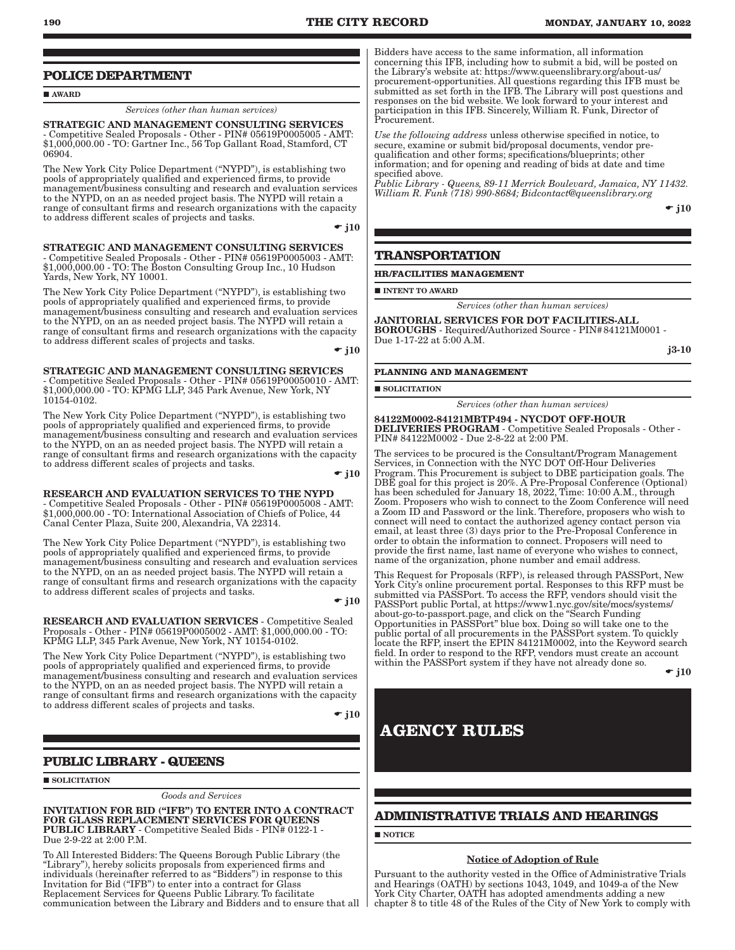# **POLICE DEPARTMENT**

**AWARD** 

### *Services (other than human services)*

STRATEGIC AND MANAGEMENT CONSULTING SERVICES - Competitive Sealed Proposals - Other - PIN# 05619P0005005 - AMT: \$1,000,000.00 - TO: Gartner Inc., 56 Top Gallant Road, Stamford, CT 06904.

The New York City Police Department ("NYPD"), is establishing two pools of appropriately qualified and experienced firms, to provide management/business consulting and research and evaluation services to the NYPD, on an as needed project basis. The NYPD will retain a range of consultant firms and research organizations with the capacity to address different scales of projects and tasks.

 $\div$  i10

STRATEGIC AND MANAGEMENT CONSULTING SERVICES - Competitive Sealed Proposals - Other - PIN# 05619P0005003 - AMT: \$1,000,000.00 - TO: The Boston Consulting Group Inc., 10 Hudson Yards, New York, NY 10001.

The New York City Police Department ("NYPD"), is establishing two pools of appropriately qualified and experienced firms, to provide management/business consulting and research and evaluation services to the NYPD, on an as needed project basis. The NYPD will retain a range of consultant firms and research organizations with the capacity to address different scales of projects and tasks.

 $\div$  i10

STRATEGIC AND MANAGEMENT CONSULTING SERVICES - Competitive Sealed Proposals - Other - PIN# 05619P00050010 - AMT: \$1,000,000.00 - TO: KPMG LLP, 345 Park Avenue, New York, NY 10154-0102.

The New York City Police Department ("NYPD"), is establishing two pools of appropriately qualified and experienced firms, to provide management/business consulting and research and evaluation services to the NYPD, on an as needed project basis. The NYPD will retain a range of consultant firms and research organizations with the capacity to address different scales of projects and tasks.

 $\div$  i10

RESEARCH AND EVALUATION SERVICES TO THE NYPD - Competitive Sealed Proposals - Other - PIN# 05619P0005008 - AMT: \$1,000,000.00 - TO: International Association of Chiefs of Police, 44 Canal Center Plaza, Suite 200, Alexandria, VA 22314.

The New York City Police Department ("NYPD"), is establishing two pools of appropriately qualified and experienced firms, to provide management/business consulting and research and evaluation services to the NYPD, on an as needed project basis. The NYPD will retain a range of consultant firms and research organizations with the capacity to address different scales of projects and tasks.

 $\div$  i10

RESEARCH AND EVALUATION SERVICES - Competitive Sealed Proposals - Other - PIN# 05619P0005002 - AMT: \$1,000,000.00 - TO: KPMG LLP, 345 Park Avenue, New York, NY 10154-0102.

The New York City Police Department ("NYPD"), is establishing two pools of appropriately qualified and experienced firms, to provide management/business consulting and research and evaluation services to the NYPD, on an as needed project basis. The NYPD will retain a range of consultant firms and research organizations with the capacity to address different scales of projects and tasks.

 $\div$  i10

# **PUBLIC LIBRARY - QUEENS**

**SOLICITATION** 

*Goods and Services*

INVITATION FOR BID ("IFB") TO ENTER INTO A CONTRACT FOR GLASS REPLACEMENT SERVICES FOR QUEENS PUBLIC LIBRARY - Competitive Sealed Bids - PIN# 0122-1 - Due 2-9-22 at 2:00 P.M.

To All Interested Bidders: The Queens Borough Public Library (the "Library"), hereby solicits proposals from experienced firms and individuals (hereinafter referred to as "Bidders") in response to this Invitation for Bid ("IFB") to enter into a contract for Glass Replacement Services for Queens Public Library. To facilitate communication between the Library and Bidders and to ensure that all

Bidders have access to the same information, all information concerning this IFB, including how to submit a bid, will be posted on the Library's website at: https://www.queenslibrary.org/about-us/ procurement-opportunities. All questions regarding this IFB must be submitted as set forth in the IFB. The Library will post questions and responses on the bid website. We look forward to your interest and participation in this IFB. Sincerely, William R. Funk, Director of Procurement.

*Use the following address* unless otherwise specified in notice, to secure, examine or submit bid/proposal documents, vendor prequalification and other forms; specifications/blueprints; other information; and for opening and reading of bids at date and time specified above.

*Public Library - Queens, 89-11 Merrick Boulevard, Jamaica, NY 11432. William R. Funk (718) 990-8684; Bidcontact@queenslibrary.org*

 $\div$  j10

# **TRANSPORTATION**

#### **HR/FACILITIES MANAGEMENT**

**INTENT TO AWARD** 

*Services (other than human services)*

JANITORIAL SERVICES FOR DOT FACILITIES-ALL BOROUGHS - Required/Authorized Source - PIN#84121M0001 - Due 1-17-22 at 5:00 A.M.

j3-10

### **PLANNING AND MANAGEMENT**

SOLICITATION

*Services (other than human services)*

84122M0002-84121MBTP494 - NYCDOT OFF-HOUR DELIVERIES PROGRAM - Competitive Sealed Proposals - Other - PIN# 84122M0002 - Due 2-8-22 at 2:00 PM.

The services to be procured is the Consultant/Program Management Services, in Connection with the NYC DOT Off-Hour Deliveries Program. This Procurement is subject to DBE participation goals. The DBE goal for this project is 20%. A Pre-Proposal Conference (Optional) has been scheduled for January 18, 2022, Time: 10:00 A.M., through Zoom. Proposers who wish to connect to the Zoom Conference will need a Zoom ID and Password or the link. Therefore, proposers who wish to connect will need to contact the authorized agency contact person via email, at least three (3) days prior to the Pre-Proposal Conference in order to obtain the information to connect. Proposers will need to provide the first name, last name of everyone who wishes to connect, name of the organization, phone number and email address.

This Request for Proposals (RFP), is released through PASSPort, New York City's online procurement portal. Responses to this RFP must be submitted via PASSPort. To access the RFP, vendors should visit the PASSPort public Portal, at https://www1.nyc.gov/site/mocs/systems/ about-go-to-passport.page, and click on the "Search Funding Opportunities in PASSPort" blue box. Doing so will take one to the public portal of all procurements in the PASSPort system. To quickly locate the RFP, insert the EPIN 84121M0002, into the Keyword search field. In order to respond to the RFP, vendors must create an account within the PASSPort system if they have not already done so.

 $\div$  i10

# **AGENCY RULES**

# **ADMINISTRATIVE TRIALS AND HEARINGS**

**NOTICE** 

### Notice of Adoption of Rule

Pursuant to the authority vested in the Office of Administrative Trials and Hearings (OATH) by sections 1043, 1049, and 1049-a of the New York City Charter, OATH has adopted amendments adding a new chapter 8 to title 48 of the Rules of the City of New York to comply with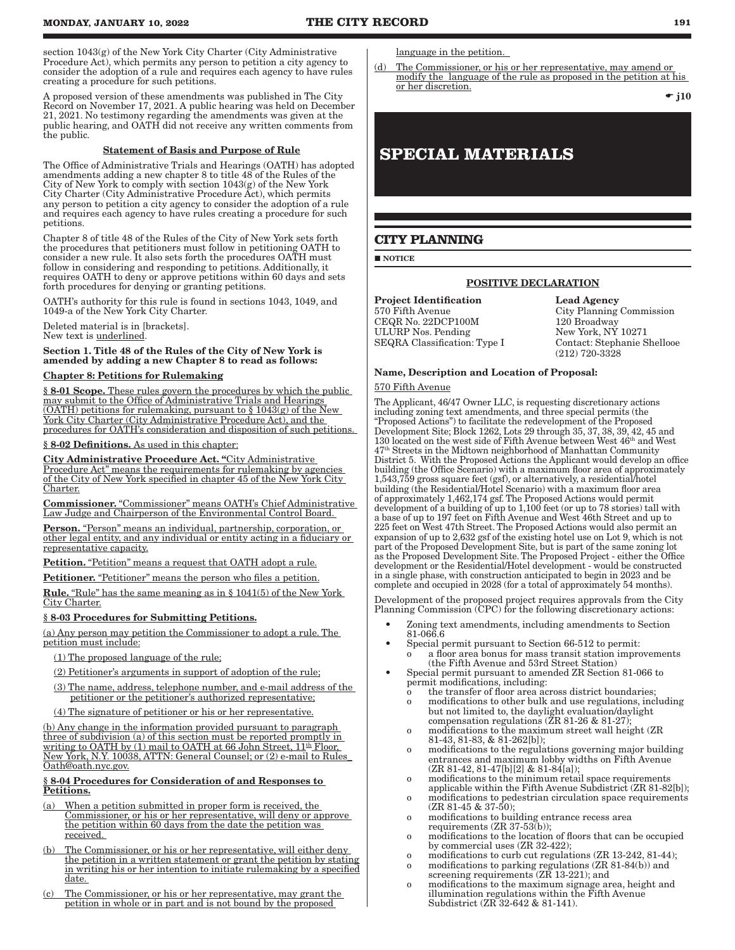section 1043(g) of the New York City Charter (City Administrative Procedure Act), which permits any person to petition a city agency to consider the adoption of a rule and requires each agency to have rules creating a procedure for such petitions.

A proposed version of these amendments was published in The City Record on November 17, 2021. A public hearing was held on December 21, 2021. No testimony regarding the amendments was given at the public hearing, and OATH did not receive any written comments from the public.

#### Statement of Basis and Purpose of Rule

The Office of Administrative Trials and Hearings (OATH) has adopted amendments adding a new chapter 8 to title 48 of the Rules of the City of New York to comply with section 1043(g) of the New York City Charter (City Administrative Procedure Act), which permits any person to petition a city agency to consider the adoption of a rule and requires each agency to have rules creating a procedure for such petitions.

Chapter 8 of title 48 of the Rules of the City of New York sets forth the procedures that petitioners must follow in petitioning OATH to consider a new rule. It also sets forth the procedures OATH must follow in considering and responding to petitions. Additionally, it requires OATH to deny or approve petitions within 60 days and sets forth procedures for denying or granting petitions.

OATH's authority for this rule is found in sections 1043, 1049, and 1049-a of the New York City Charter.

Deleted material is in [brackets].

New text is underlined.

Section 1. Title 48 of the Rules of the City of New York is amended by adding a new Chapter 8 to read as follows:

#### Chapter 8: Petitions for Rulemaking

§ 8-01 Scope. These rules govern the procedures by which the public may submit to the Office of Administrative Trials and Hearings (OATH) petitions for rulemaking, pursuant to § 1043(g) of the New York City Charter (City Administrative Procedure Act), and the procedures for OATH's consideration and disposition of such petitions.

#### § 8-02 Definitions. As used in this chapter:

City Administrative Procedure Act. "City Administrative Procedure Act" means the requirements for rulemaking by agencies of the City of New York specified in chapter 45 of the New York City Charter.

Commissioner. "Commissioner" means OATH's Chief Administrative Law Judge and Chairperson of the Environmental Control Board.

Person. "Person" means an individual, partnership, corporation, or other legal entity, and any individual or entity acting in a fiduciary or representative capacity.

Petition. "Petition" means a request that OATH adopt a rule.

Petitioner. "Petitioner" means the person who files a petition.

Rule. "Rule" has the same meaning as in § 1041(5) of the New York City Charter.

#### § 8-03 Procedures for Submitting Petitions.

(a) Any person may petition the Commissioner to adopt a rule. The petition must include:

- (1) The proposed language of the rule;
- (2) Petitioner's arguments in support of adoption of the rule;
- (3) The name, address, telephone number, and e-mail address of the petitioner or the petitioner's authorized representative;
- (4) The signature of petitioner or his or her representative.

(b) Any change in the information provided pursuant to paragraph three of subdivision (a) of this section must be reported promptly in writing to OATH by (1) mail to OATH at 66 John Street,  $11<sup>th</sup>$  Floor, New York, N.Y. 10038, ATTN: General Counsel; or (2) e-mail to Rules\_ Oath@oath.nyc.gov.

#### § 8-04 Procedures for Consideration of and Responses to Petitions.

- (a) When a petition submitted in proper form is received, the Commissioner, or his or her representative, will deny or approve the petition within 60 days from the date the petition was received.
- (b) The Commissioner, or his or her representative, will either deny the petition in a written statement or grant the petition by stating in writing his or her intention to initiate rulemaking by a specified <u>date.</u>
- (c) The Commissioner, or his or her representative, may grant the petition in whole or in part and is not bound by the proposed

language in the petition.

(d) The Commissioner, or his or her representative, may amend or modify the language of the rule as proposed in the petition at his or her discretion.

 $\div$  j10

# **SPECIAL MATERIALS**

# **CITY PLANNING**

**NOTICE** 

# POSITIVE DECLARATION

**Project Identification** Lead Agency<br>570 Fifth Avenue City Planning CEQR No. 22DCP100M 120 Broadway<br>
ULURP Nos. Pending New York, NY 10271 ULURP Nos. Pending New York, NY 10271<br>SEQRA Classification: Type I Contact: Stephanie Shellooe SEQRA Classification: Type I

City Planning Commission (212) 720-3328

#### Name, Description and Location of Proposal:

### 570 Fifth Avenue

The Applicant, 46/47 Owner LLC, is requesting discretionary actions including zoning text amendments, and three special permits (the "Proposed Actions") to facilitate the redevelopment of the Proposed Development Site; Block 1262, Lots 29 through 35, 37, 38, 39, 42, 45 and 130 located on the west side of Fifth Avenue between West 46th and West 47th Streets in the Midtown neighborhood of Manhattan Community District 5. With the Proposed Actions the Applicant would develop an office building (the Office Scenario) with a maximum floor area of approximately 1,543,759 gross square feet (gsf), or alternatively, a residential/hotel building (the Residential/Hotel Scenario) with a maximum floor area of approximately 1,462,174 gsf. The Proposed Actions would permit development of a building of up to 1,100 feet (or up to 78 stories) tall with a base of up to 197 feet on Fifth Avenue and West 46th Street and up to 225 feet on West 47th Street. The Proposed Actions would also permit an expansion of up to 2,632 gsf of the existing hotel use on Lot 9, which is not part of the Proposed Development Site, but is part of the same zoning lot as the Proposed Development Site. The Proposed Project - either the Office development or the Residential/Hotel development - would be constructed in a single phase, with construction anticipated to begin in 2023 and be complete and occupied in 2028 (for a total of approximately 54 months).

Development of the proposed project requires approvals from the City Planning Commission (CPC) for the following discretionary actions:

- Zoning text amendments, including amendments to Section 81-066.6
- Special permit pursuant to Section 66-512 to permit: o a floor area bonus for mass transit station improvements (the Fifth Avenue and 53rd Street Station)
- Special permit pursuant to amended ZR Section 81-066 to permit modifications, including:
	- the transfer of floor area across district boundaries; o modifications to other bulk and use regulations, including
	- but not limited to, the daylight evaluation/daylight compensation regulations (ZR 81-26 & 81-27);
	- o modifications to the maximum street wall height (ZR 81-43, 81-83, & 81-262[b]);
	- o modifications to the regulations governing major building entrances and maximum lobby widths on Fifth Avenue  $(ZR 81-42, 81-47[b][2] & 81-84[a];$
	- o modifications to the minimum retail space requirements applicable within the Fifth Avenue Subdistrict (ZR 81-82[b]);
	- o modifications to pedestrian circulation space requirements  $(ZR 81-45 \& 37-50);$
	- o modifications to building entrance recess area requirements (ZR 37-53(b));
	- o modifications to the location of floors that can be occupied by commercial uses (ZR 32-422);
	- o modifications to curb cut regulations (ZR 13-242, 81-44); o modifications to parking regulations (ZR 81-84(b)) and
	- screening requirements (ZR 13-221); and
	- o modifications to the maximum signage area, height and illumination regulations within the Fifth Avenue Subdistrict (ZR 32-642 & 81-141).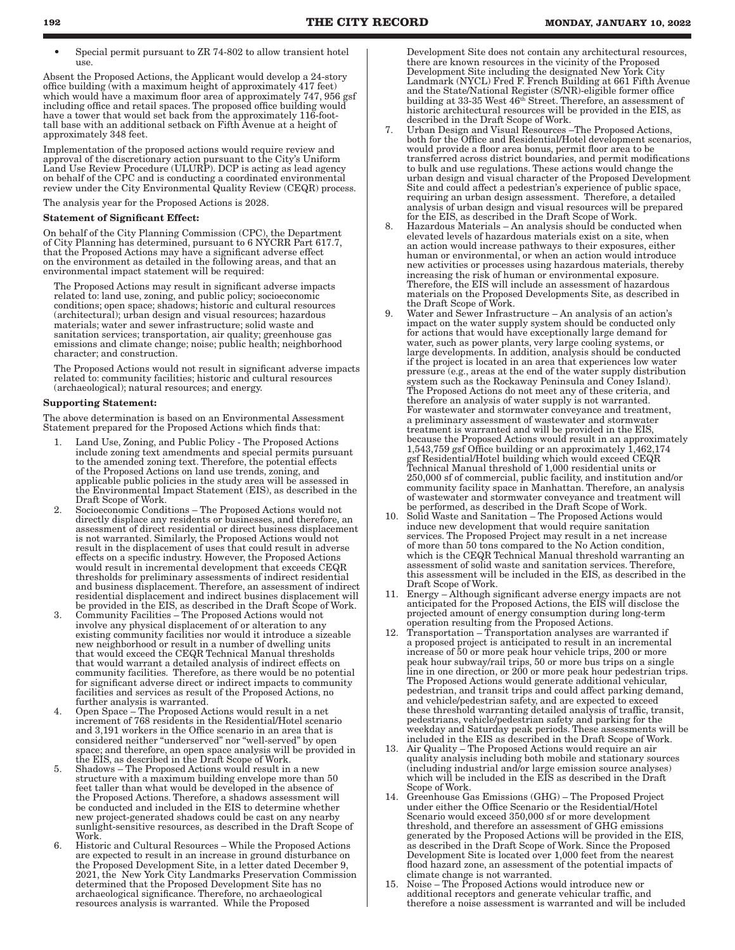• Special permit pursuant to ZR 74-802 to allow transient hotel use.

Absent the Proposed Actions, the Applicant would develop a 24-story office building (with a maximum height of approximately 417 feet) which would have a maximum floor area of approximately 747, 956 gsf including office and retail spaces. The proposed office building would have a tower that would set back from the approximately 116-foottall base with an additional setback on Fifth Avenue at a height of approximately 348 feet.

Implementation of the proposed actions would require review and approval of the discretionary action pursuant to the City's Uniform Land Use Review Procedure (ULURP). DCP is acting as lead agency on behalf of the CPC and is conducting a coordinated environmental review under the City Environmental Quality Review (CEQR) process.

The analysis year for the Proposed Actions is 2028.

### Statement of Significant Effect:

On behalf of the City Planning Commission (CPC), the Department of City Planning has determined, pursuant to 6 NYCRR Part 617.7, that the Proposed Actions may have a significant adverse effect on the environment as detailed in the following areas, and that an environmental impact statement will be required:

The Proposed Actions may result in significant adverse impacts related to: land use, zoning, and public policy; socioeconomic conditions; open space; shadows; historic and cultural resources (architectural); urban design and visual resources; hazardous materials; water and sewer infrastructure; solid waste and sanitation services; transportation, air quality; greenhouse gas emissions and climate change; noise; public health; neighborhood character; and construction.

The Proposed Actions would not result in significant adverse impacts related to: community facilities; historic and cultural resources (archaeological); natural resources; and energy.

#### Supporting Statement:

The above determination is based on an Environmental Assessment Statement prepared for the Proposed Actions which finds that:

- Land Use, Zoning, and Public Policy The Proposed Actions include zoning text amendments and special permits pursuant to the amended zoning text. Therefore, the potential effects of the Proposed Actions on land use trends, zoning, and applicable public policies in the study area will be assessed in the Environmental Impact Statement (EIS), as described in the Draft Scope of Work.
- 2. Socioeconomic Conditions The Proposed Actions would not directly displace any residents or businesses, and therefore, an assessment of direct residential or direct business displacement is not warranted. Similarly, the Proposed Actions would not result in the displacement of uses that could result in adverse effects on a specific industry. However, the Proposed Actions would result in incremental development that exceeds CEQR thresholds for preliminary assessments of indirect residential and business displacement. Therefore, an assessment of indirect residential displacement and indirect busines displacement will be provided in the EIS, as described in the Draft Scope of Work.
- 3. Community Facilities The Proposed Actions would not involve any physical displacement of or alteration to any existing community facilities nor would it introduce a sizeable new neighborhood or result in a number of dwelling units that would exceed the CEQR Technical Manual thresholds that would warrant a detailed analysis of indirect effects on community facilities. Therefore, as there would be no potential for significant adverse direct or indirect impacts to community facilities and services as result of the Proposed Actions, no further analysis is warranted.
- 4. Open Space The Proposed Actions would result in a net increment of 768 residents in the Residential/Hotel scenario and 3,191 workers in the Office scenario in an area that is considered neither "underserved" nor "well-served" by open space; and therefore, an open space analysis will be provided in the EIS, as described in the Draft Scope of Work.
- 5. Shadows The Proposed Actions would result in a new structure with a maximum building envelope more than 50 feet taller than what would be developed in the absence of the Proposed Actions. Therefore, a shadows assessment will be conducted and included in the EIS to determine whether new project-generated shadows could be cast on any nearby sunlight-sensitive resources, as described in the Draft Scope of Work.
- 6. Historic and Cultural Resources While the Proposed Actions are expected to result in an increase in ground disturbance on the Proposed Development Site, in a letter dated December 9, 2021, the New York City Landmarks Preservation Commission determined that the Proposed Development Site has no archaeological significance. Therefore, no archaeological resources analysis is warranted. While the Proposed

Development Site does not contain any architectural resources, there are known resources in the vicinity of the Proposed Development Site including the designated New York City Landmark (NYCL) Fred F. French Building at 661 Fifth Avenue and the State/National Register (S/NR)-eligible former office building at 33-35 West 46th Street. Therefore, an assessment of historic architectural resources will be provided in the EIS, as described in the Draft Scope of Work.

- Urban Design and Visual Resources –The Proposed Actions, both for the Office and Residential/Hotel development scenarios, would provide a floor area bonus, permit floor area to be transferred across district boundaries, and permit modifications to bulk and use regulations. These actions would change the urban design and visual character of the Proposed Development Site and could affect a pedestrian's experience of public space, requiring an urban design assessment. Therefore, a detailed analysis of urban design and visual resources will be prepared for the EIS, as described in the Draft Scope of Work.
- 8. Hazardous Materials An analysis should be conducted when elevated levels of hazardous materials exist on a site, when an action would increase pathways to their exposures, either human or environmental, or when an action would introduce new activities or processes using hazardous materials, thereby increasing the risk of human or environmental exposure. Therefore, the EIS will include an assessment of hazardous materials on the Proposed Developments Site, as described in the Draft Scope of Work.
- 9. Water and Sewer Infrastructure An analysis of an action's impact on the water supply system should be conducted only for actions that would have exceptionally large demand for water, such as power plants, very large cooling systems, or large developments. In addition, analysis should be conducted if the project is located in an area that experiences low water pressure (e.g., areas at the end of the water supply distribution system such as the Rockaway Peninsula and Coney Island). The Proposed Actions do not meet any of these criteria, and therefore an analysis of water supply is not warranted. For wastewater and stormwater conveyance and treatment, a preliminary assessment of wastewater and stormwater treatment is warranted and will be provided in the EIS, because the Proposed Actions would result in an approximately 1,543,759 gsf Office building or an approximately 1,462,174 gsf Residential/Hotel building which would exceed CEQR Technical Manual threshold of 1,000 residential units or 250,000 sf of commercial, public facility, and institution and/or community facility space in Manhattan. Therefore, an analysis of wastewater and stormwater conveyance and treatment will be performed, as described in the Draft Scope of Work.
- 10. Solid Waste and Sanitation The Proposed Actions would induce new development that would require sanitation services. The Proposed Project may result in a net increase of more than 50 tons compared to the No Action condition, which is the CEQR Technical Manual threshold warranting an assessment of solid waste and sanitation services. Therefore, this assessment will be included in the EIS, as described in the Draft Scope of Work.
- 11. Energy Although significant adverse energy impacts are not anticipated for the Proposed Actions, the EIS will disclose the projected amount of energy consumption during long-term operation resulting from the Proposed Actions.
- 12. Transportation Transportation analyses are warranted if a proposed project is anticipated to result in an incremental increase of 50 or more peak hour vehicle trips, 200 or more peak hour subway/rail trips, 50 or more bus trips on a single line in one direction, or 200 or more peak hour pedestrian trips. The Proposed Actions would generate additional vehicular, pedestrian, and transit trips and could affect parking demand, and vehicle/pedestrian safety, and are expected to exceed these threshold warranting detailed analysis of traffic, transit, pedestrians, vehicle/pedestrian safety and parking for the weekday and Saturday peak periods. These assessments will be included in the EIS as described in the Draft Scope of Work.
- 13. Air Quality The Proposed Actions would require an air quality analysis including both mobile and stationary sources (including industrial and/or large emission source analyses) which will be included in the EIS as described in the Draft Scope of Work.
- 14. Greenhouse Gas Emissions (GHG) The Proposed Project under either the Office Scenario or the Residential/Hotel Scenario would exceed 350,000 sf or more development threshold, and therefore an assessment of GHG emissions generated by the Proposed Actions will be provided in the EIS, as described in the Draft Scope of Work. Since the Proposed Development Site is located over 1,000 feet from the nearest flood hazard zone, an assessment of the potential impacts of climate change is not warranted.
- 15. Noise The Proposed Actions would introduce new or additional receptors and generate vehicular traffic, and therefore a noise assessment is warranted and will be included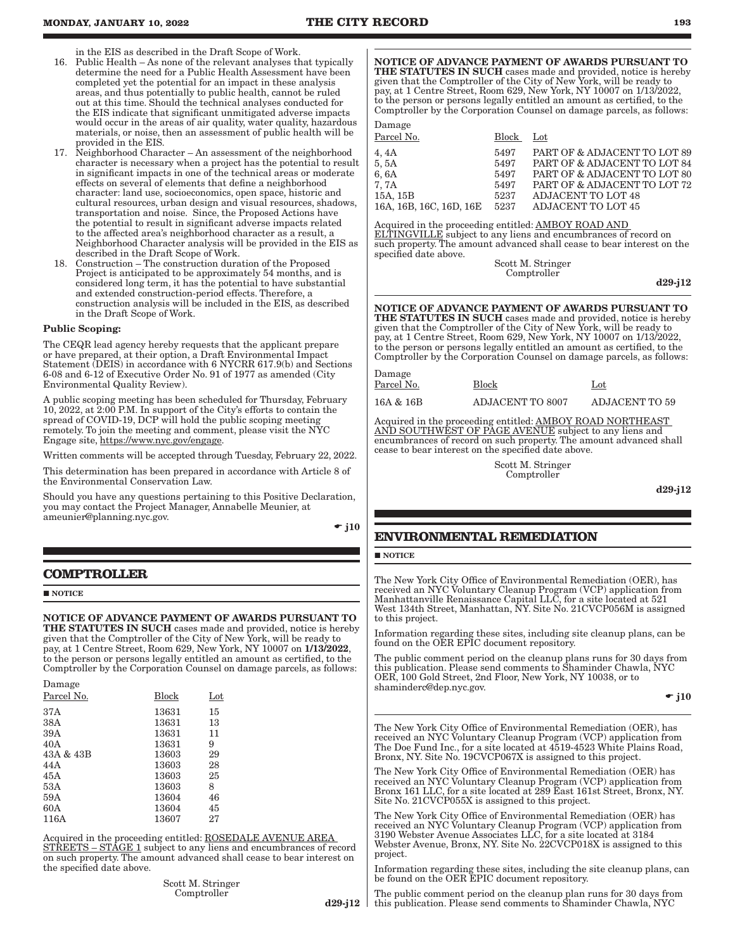in the EIS as described in the Draft Scope of Work.

- 16. Public Health As none of the relevant analyses that typically determine the need for a Public Health Assessment have been completed yet the potential for an impact in these analysis areas, and thus potentially to public health, cannot be ruled out at this time. Should the technical analyses conducted for the EIS indicate that significant unmitigated adverse impacts would occur in the areas of air quality, water quality, hazardous materials, or noise, then an assessment of public health will be provided in the EIS.
- 17. Neighborhood Character An assessment of the neighborhood character is necessary when a project has the potential to result in significant impacts in one of the technical areas or moderate effects on several of elements that define a neighborhood character: land use, socioeconomics, open space, historic and cultural resources, urban design and visual resources, shadows, transportation and noise. Since, the Proposed Actions have the potential to result in significant adverse impacts related to the affected area's neighborhood character as a result, a Neighborhood Character analysis will be provided in the EIS as described in the Draft Scope of Work.
- Construction The construction duration of the Proposed Project is anticipated to be approximately 54 months, and is considered long term, it has the potential to have substantial and extended construction-period effects. Therefore, a construction analysis will be included in the EIS, as described in the Draft Scope of Work.

#### Public Scoping:

The CEQR lead agency hereby requests that the applicant prepare or have prepared, at their option, a Draft Environmental Impact Statement (DEIS) in accordance with 6 NYCRR 617.9(b) and Sections 6-08 and 6-12 of Executive Order No. 91 of 1977 as amended (City Environmental Quality Review).

A public scoping meeting has been scheduled for Thursday, February 10, 2022, at 2:00 P.M. In support of the City's efforts to contain the spread of COVID-19, DCP will hold the public scoping meeting remotely. To join the meeting and comment, please visit the NYC Engage site, https://www.nyc.gov/engage.

Written comments will be accepted through Tuesday, February 22, 2022.

This determination has been prepared in accordance with Article 8 of the Environmental Conservation Law.

Should you have any questions pertaining to this Positive Declaration, you may contact the Project Manager, Annabelle Meunier, at ameunier@planning.nyc.gov.

 $\div$  j10

# **COMPTROLLER**

#### **NOTICE**

NOTICE OF ADVANCE PAYMENT OF AWARDS PURSUANT TO THE STATUTES IN SUCH cases made and provided, notice is hereby given that the Comptroller of the City of New York, will be ready to pay, at 1 Centre Street, Room 629, New York, NY 10007 on 1/13/2022, to the person or persons legally entitled an amount as certified, to the Comptroller by the Corporation Counsel on damage parcels, as follows:

| Damage     |       |              |
|------------|-------|--------------|
| Parcel No. | Block | $_{\rm Lot}$ |
| 37 A       | 13631 | 15           |
| 38A        | 13631 | 13           |
| 39A        | 13631 | 11           |
| 40A        | 13631 | 9            |
| 43A & 43B  | 13603 | 29           |
| 44 A       | 13603 | 28           |
| 45A        | 13603 | 25           |
| 53A        | 13603 | 8            |
| 59A        | 13604 | 46           |
| 60A        | 13604 | 45           |
| 116A       | 13607 | 27           |
|            |       |              |

Acquired in the proceeding entitled: ROSEDALE AVENUE AREA STREETS – STAGE 1 subject to any liens and encumbrances of record on such property. The amount advanced shall cease to bear interest on the specified date above.

> Scott M. Stringer Comptroller

NOTICE OF ADVANCE PAYMENT OF AWARDS PURSUANT TO THE STATUTES IN SUCH cases made and provided, notice is hereby given that the Comptroller of the City of New York, will be ready to pay, at 1 Centre Street, Room 629, New York, NY 10007 on 1/13/2022, to the person or persons legally entitled an amount as certified, to the Comptroller by the Corporation Counsel on damage parcels, as follows:

| Damage                  |       |                              |
|-------------------------|-------|------------------------------|
| Parcel No.              | Block | Lot                          |
| 4, 4A                   | 5497  | PART OF & ADJACENT TO LOT 89 |
| 5,5A                    | 5497  | PART OF & ADJACENT TO LOT 84 |
| 6, 6A                   | 5497  | PART OF & ADJACENT TO LOT 80 |
| 7. 7A                   | 5497  | PART OF & ADJACENT TO LOT 72 |
| 15A, 15B                | 5237  | <b>ADJACENT TO LOT 48</b>    |
| 16A, 16B, 16C, 16D, 16E | 5237  | <b>ADJACENT TO LOT 45</b>    |
|                         |       |                              |

Acquired in the proceeding entitled: AMBOY ROAD AND ELTINGVILLE subject to any liens and encumbrances of record on such property. The amount advanced shall cease to bear interest on the specified date above.

Scott M. Stringer Comptroller

d29-j12

#### NOTICE OF ADVANCE PAYMENT OF AWARDS PURSUANT TO THE STATUTES IN SUCH cases made and provided, notice is hereby given that the Comptroller of the City of New York, will be ready to pay, at 1 Centre Street, Room 629, New York, NY 10007 on 1/13/2022,

to the person or persons legally entitled an amount as certified, to the Comptroller by the Corporation Counsel on damage parcels, as follows:

| Damage     |                         |                       |
|------------|-------------------------|-----------------------|
| Parcel No. | <b>Block</b>            | Lot                   |
| 16A & 16B  | <b>ADJACENT TO 8007</b> | <b>ADJACENT TO 59</b> |

Acquired in the proceeding entitled: **AMBOY ROAD NORTHEAST** AND SOUTHWEST OF PAGE AVENUE subject to any liens and encumbrances of record on such property. The amount advanced shall cease to bear interest on the specified date above.

> Scott M. Stringer Comptroller

> > d29-j12

# **ENVIRONMENTAL REMEDIATION**

# **NOTICE**

The New York City Office of Environmental Remediation (OER), has received an NYC Voluntary Cleanup Program (VCP) application from Manhattanville Renaissance Capital LLC, for a site located at 521 West 134th Street, Manhattan, NY. Site No. 21CVCP056M is assigned to this project.

Information regarding these sites, including site cleanup plans, can be found on the OER EPIC document repository.

The public comment period on the cleanup plans runs for 30 days from this publication. Please send comments to Shaminder Chawla, NYC OER, 100 Gold Street, 2nd Floor, New York, NY 10038, or to shaminderc@dep.nyc.gov.

 $\div$  j10

The New York City Office of Environmental Remediation (OER), has received an NYC Voluntary Cleanup Program (VCP) application from The Doe Fund Inc., for a site located at 4519-4523 White Plains Road, Bronx, NY. Site No. 19CVCP067X is assigned to this project.

The New York City Office of Environmental Remediation (OER) has received an NYC Voluntary Cleanup Program (VCP) application from Bronx 161 LLC, for a site located at 289 East 161st Street, Bronx, NY. Site No. 21CVCP055X is assigned to this project.

The New York City Office of Environmental Remediation (OER) has received an NYC Voluntary Cleanup Program (VCP) application from 3190 Webster Avenue Associates LLC, for a site located at 3184 Webster Avenue, Bronx, NY. Site No. 22CVCP018X is assigned to this project.

Information regarding these sites, including the site cleanup plans, can be found on the OER EPIC document repository.

d29-j12 The public comment period on the cleanup plan runs for 30 days from this publication. Please send comments to Shaminder Chawla, NYC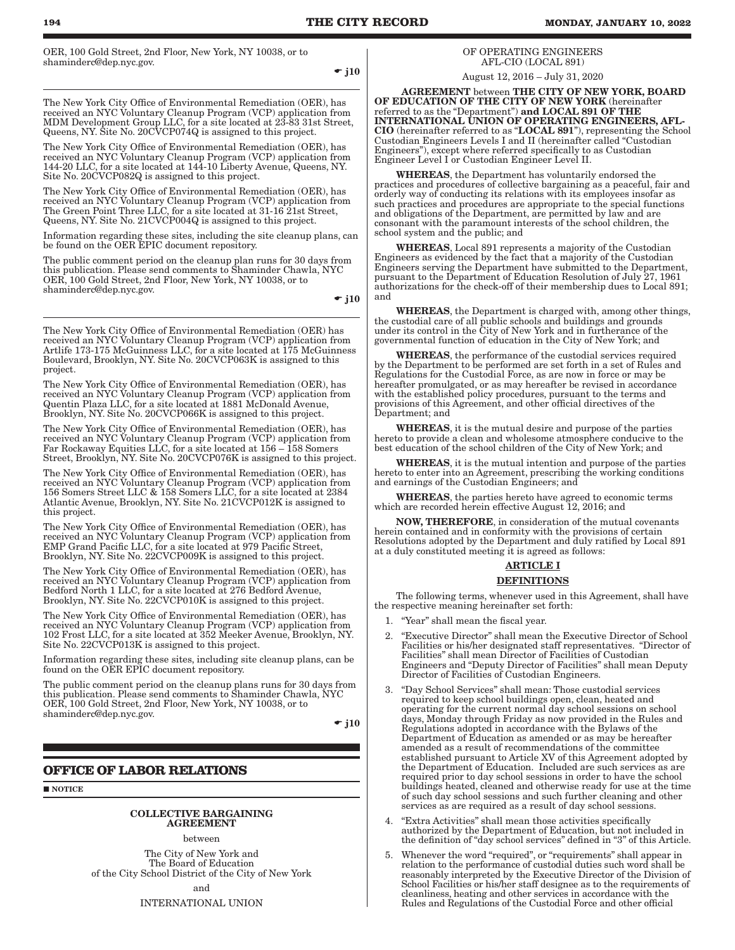OER, 100 Gold Street, 2nd Floor, New York, NY 10038, or to shaminderc@dep.nyc.gov.

 $\div$  j10

The New York City Office of Environmental Remediation (OER), has received an NYC Voluntary Cleanup Program (VCP) application from MDM Development Group LLC, for a site located at 23-83 31st Street, Queens, NY. Site No. 20CVCP074Q is assigned to this project.

The New York City Office of Environmental Remediation (OER), has received an NYC Voluntary Cleanup Program (VCP) application from 144-20 LLC, for a site located at 144-10 Liberty Avenue, Queens, NY. Site No. 20CVCP082Q is assigned to this project.

The New York City Office of Environmental Remediation (OER), has received an NYC Voluntary Cleanup Program (VCP) application from The Green Point Three LLC, for a site located at 31-16 21st Street, Queens, NY. Site No. 21CVCP004Q is assigned to this project.

Information regarding these sites, including the site cleanup plans, can be found on the OER EPIC document repository.

The public comment period on the cleanup plan runs for 30 days from this publication. Please send comments to Shaminder Chawla, NYC OER, 100 Gold Street, 2nd Floor, New York, NY 10038, or to shaminderc@dep.nyc.gov.

 $\div$  j10

The New York City Office of Environmental Remediation (OER) has received an NYC Voluntary Cleanup Program (VCP) application from Artlife 173-175 McGuinness LLC, for a site located at 175 McGuinness Boulevard, Brooklyn, NY. Site No. 20CVCP063K is assigned to this project.

The New York City Office of Environmental Remediation (OER), has received an NYC Voluntary Cleanup Program (VCP) application from Quentin Plaza LLC, for a site located at 1881 McDonald Avenue, Brooklyn, NY. Site No. 20CVCP066K is assigned to this project.

The New York City Office of Environmental Remediation (OER), has received an NYC Voluntary Cleanup Program (VCP) application from Far Rockaway Equities LLC, for a site located at 156 – 158 Somers Street, Brooklyn, NY. Site No. 20CVCP076K is assigned to this project.

The New York City Office of Environmental Remediation (OER), has received an NYC Voluntary Cleanup Program (VCP) application from 156 Somers Street LLC & 158 Somers LLC, for a site located at 2384 Atlantic Avenue, Brooklyn, NY. Site No. 21CVCP012K is assigned to this project.

The New York City Office of Environmental Remediation (OER), has received an NYC Voluntary Cleanup Program (VCP) application from EMP Grand Pacific LLC, for a site located at 979 Pacific Street, Brooklyn, NY. Site No. 22CVCP009K is assigned to this project.

The New York City Office of Environmental Remediation (OER), has received an NYC Voluntary Cleanup Program (VCP) application from Bedford North 1 LLC, for a site located at 276 Bedford Avenue, Brooklyn, NY. Site No. 22CVCP010K is assigned to this project.

The New York City Office of Environmental Remediation (OER), has received an NYC Voluntary Cleanup Program (VCP) application from 102 Frost LLC, for a site located at 352 Meeker Avenue, Brooklyn, NY. Site No. 22CVCP013K is assigned to this project.

Information regarding these sites, including site cleanup plans, can be found on the OER EPIC document repository.

The public comment period on the cleanup plans runs for 30 days from this publication. Please send comments to Shaminder Chawla, NYC OER, 100 Gold Street, 2nd Floor, New York, NY 10038, or to shaminderc@dep.nyc.gov.

 $\div$  i10

# **OFFICE OF LABOR RELATIONS**

**NOTICE** 

#### COLLECTIVE BARGAINING AGREEMENT

between

The City of New York and The Board of Education of the City School District of the City of New York

and

INTERNATIONAL UNION

# OF OPERATING ENGINEERS AFL-CIO (LOCAL 891)

August 12, 2016 – July 31, 2020

AGREEMENT between THE CITY OF NEW YORK, BOARD OF EDUCATION OF THE CITY OF NEW YORK (hereinafter referred to as the "Department") **and LOCAL 891 OF THE** INTERNATIONAL UNION OF OPERATING ENGINEERS, AFL-CIO (hereinafter referred to as "LOCAL 891"), representing the School Custodian Engineers Levels I and II (hereinafter called "Custodian Engineers"), except where referred specifically to as Custodian Engineer Level I or Custodian Engineer Level II.

WHEREAS, the Department has voluntarily endorsed the practices and procedures of collective bargaining as a peaceful, fair and orderly way of conducting its relations with its employees insofar as such practices and procedures are appropriate to the special functions and obligations of the Department, are permitted by law and are consonant with the paramount interests of the school children, the school system and the public; and

WHEREAS, Local 891 represents a majority of the Custodian Engineers as evidenced by the fact that a majority of the Custodian Engineers serving the Department have submitted to the Department, pursuant to the Department of Education Resolution of July 27, 1961 authorizations for the check-off of their membership dues to Local 891; and

WHEREAS, the Department is charged with, among other things, the custodial care of all public schools and buildings and grounds under its control in the City of New York and in furtherance of the governmental function of education in the City of New York; and

WHEREAS, the performance of the custodial services required by the Department to be performed are set forth in a set of Rules and Regulations for the Custodial Force, as are now in force or may be hereafter promulgated, or as may hereafter be revised in accordance with the established policy procedures, pursuant to the terms and provisions of this Agreement, and other official directives of the Department; and

WHEREAS, it is the mutual desire and purpose of the parties hereto to provide a clean and wholesome atmosphere conducive to the best education of the school children of the City of New York; and

HEREAS, it is the mutual intention and purpose of the parties hereto to enter into an Agreement, prescribing the working conditions and earnings of the Custodian Engineers; and

WHEREAS, the parties hereto have agreed to economic terms which are recorded herein effective August 12, 2016; and

NOW, THEREFORE, in consideration of the mutual covenants herein contained and in conformity with the provisions of certain Resolutions adopted by the Department and duly ratified by Local 891 at a duly constituted meeting it is agreed as follows:

#### ARTICLE I

#### DEFINITIONS

The following terms, whenever used in this Agreement, shall have the respective meaning hereinafter set forth:

- 1. "Year" shall mean the fiscal year.
- 2. "Executive Director" shall mean the Executive Director of School Facilities or his/her designated staff representatives. "Director of Facilities" shall mean Director of Facilities of Custodian Engineers and "Deputy Director of Facilities" shall mean Deputy Director of Facilities of Custodian Engineers.
- 3. "Day School Services" shall mean: Those custodial services required to keep school buildings open, clean, heated and operating for the current normal day school sessions on school days, Monday through Friday as now provided in the Rules and Regulations adopted in accordance with the Bylaws of the Department of Education as amended or as may be hereafter amended as a result of recommendations of the committee established pursuant to Article XV of this Agreement adopted by the Department of Education. Included are such services as are required prior to day school sessions in order to have the school buildings heated, cleaned and otherwise ready for use at the time of such day school sessions and such further cleaning and other services as are required as a result of day school sessions.
- 4. "Extra Activities" shall mean those activities specifically authorized by the Department of Education, but not included in the definition of "day school services" defined in "3" of this Article.
- 5. Whenever the word "required", or "requirements" shall appear in relation to the performance of custodial duties such word shall be reasonably interpreted by the Executive Director of the Division of School Facilities or his/her staff designee as to the requirements of cleanliness, heating and other services in accordance with the Rules and Regulations of the Custodial Force and other official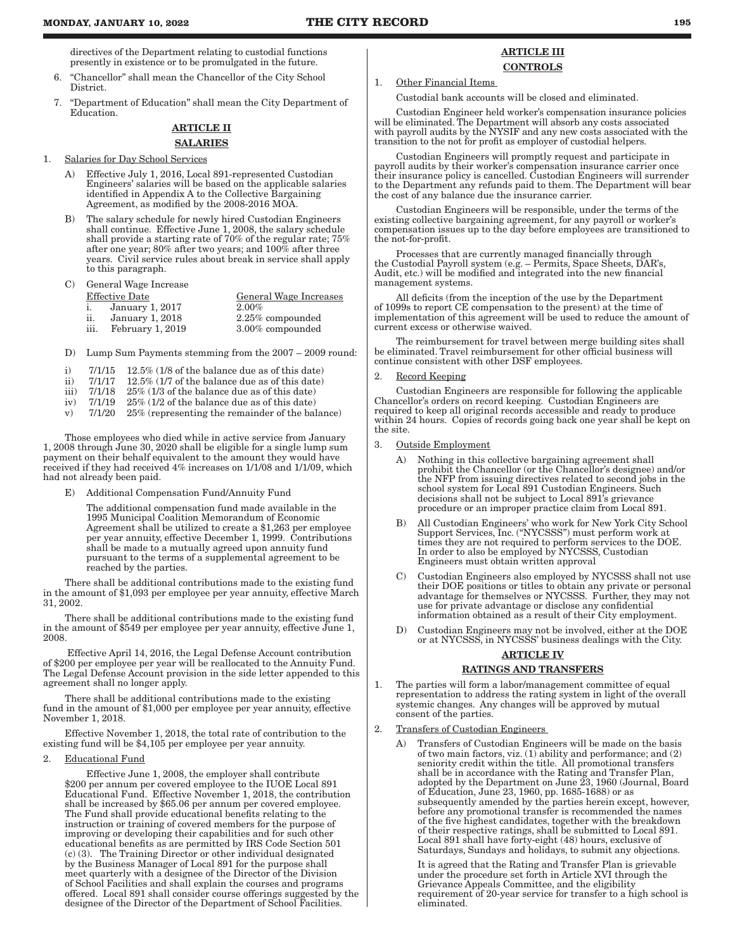directives of the Department relating to custodial functions presently in existence or to be promulgated in the future.

- 6. "Chancellor" shall mean the Chancellor of the City School District.
- 7. "Department of Education" shall mean the City Department of **Education**

# ARTICLE II SALARIES

1. Salaries for Day School Services

- A) Effective July 1, 2016, Local 891-represented Custodian Engineers' salaries will be based on the applicable salaries identified in Appendix A to the Collective Bargaining Agreement, as modified by the 2008-2016 MOA.
- B) The salary schedule for newly hired Custodian Engineers shall continue. Effective June 1, 2008, the salary schedule shall provide a starting rate of 70% of the regular rate; 75% after one year; 80% after two years; and 100% after three years. Civil service rules about break in service shall apply to this paragraph.

# C) General Wage Increase

|         | Effective Date   | <b>General Wage Increases</b> |
|---------|------------------|-------------------------------|
|         | January 1, 2017  | 2.00%                         |
| <br>11. | January 1, 2018  | $2.25\%$ compounded           |
| iii.    | February 1, 2019 | 3.00% compounded              |
|         |                  |                               |

- D) Lump Sum Payments stemming from the 2007 2009 round:
- 
- i)  $7/1/15$  12.5% (1/8 of the balance due as of this date)<br>ii)  $7/1/17$  12.5% (1/7 of the balance due as of this date) ii)  $7/1/17$  12.5% (1/7 of the balance due as of this date)
- 
- iii)  $7/1/18$  25% (1/3 of the balance due as of this date) iv)  $7/1/19$  25% (1/2 of the balance due as of this date)
- iv)  $7/1/19$  25% (1/2 of the balance due as of this date)<br>v)  $7/1/20$  25% (representing the remainder of the bal v) 7/1/20 25% (representing the remainder of the balance)

Those employees who died while in active service from January 1, 2008 through June 30, 2020 shall be eligible for a single lump sum payment on their behalf equivalent to the amount they would have received if they had received 4% increases on 1/1/08 and 1/1/09, which had not already been paid.

E) Additional Compensation Fund/Annuity Fund

The additional compensation fund made available in the 1995 Municipal Coalition Memorandum of Economic Agreement shall be utilized to create a \$1,263 per employee per year annuity, effective December 1, 1999. Contributions shall be made to a mutually agreed upon annuity fund pursuant to the terms of a supplemental agreement to be reached by the parties.

There shall be additional contributions made to the existing fund in the amount of \$1,093 per employee per year annuity, effective March 31, 2002.

There shall be additional contributions made to the existing fund in the amount of \$549 per employee per year annuity, effective June 1, 2008.

 Effective April 14, 2016, the Legal Defense Account contribution of \$200 per employee per year will be reallocated to the Annuity Fund. The Legal Defense Account provision in the side letter appended to this agreement shall no longer apply.

There shall be additional contributions made to the existing fund in the amount of \$1,000 per employee per year annuity, effective November 1, 2018.

Effective November 1, 2018, the total rate of contribution to the existing fund will be \$4,105 per employee per year annuity.

2. Educational Fund

Effective June 1, 2008, the employer shall contribute \$200 per annum per covered employee to the IUOE Local 891 Educational Fund. Effective November 1, 2018, the contribution shall be increased by \$65.06 per annum per covered employee. The Fund shall provide educational benefits relating to the instruction or training of covered members for the purpose of improving or developing their capabilities and for such other educational benefits as are permitted by IRS Code Section 501 (c) (3). The Training Director or other individual designated by the Business Manager of Local 891 for the purpose shall meet quarterly with a designee of the Director of the Division of School Facilities and shall explain the courses and programs offered. Local 891 shall consider course offerings suggested by the designee of the Director of the Department of School Facilities.

# ARTICLE III **CONTROLS**

1. Other Financial Items

Custodial bank accounts will be closed and eliminated.

Custodian Engineer held worker's compensation insurance policies will be eliminated. The Department will absorb any costs associated with payroll audits by the NYSIF and any new costs associated with the transition to the not for profit as employer of custodial helpers.

Custodian Engineers will promptly request and participate in payroll audits by their worker's compensation insurance carrier once their insurance policy is cancelled. Custodian Engineers will surrender to the Department any refunds paid to them. The Department will bear the cost of any balance due the insurance carrier.

Custodian Engineers will be responsible, under the terms of the existing collective bargaining agreement, for any payroll or worker's compensation issues up to the day before employees are transitioned to the not-for-profit.

Processes that are currently managed financially through the Custodial Payroll system (e.g. – Permits, Space Sheets, DAR's, Audit, etc.) will be modified and integrated into the new financial management systems.

All deficits (from the inception of the use by the Department of 1099s to report CE compensation to the present) at the time of implementation of this agreement will be used to reduce the amount of current excess or otherwise waived.

The reimbursement for travel between merge building sites shall be eliminated. Travel reimbursement for other official business will continue consistent with other DSF employees.

#### 2. Record Keeping

Custodian Engineers are responsible for following the applicable Chancellor's orders on record keeping. Custodian Engineers are required to keep all original records accessible and ready to produce within 24 hours. Copies of records going back one year shall be kept on the site.

- 3. Outside Employment
	- A) Nothing in this collective bargaining agreement shall prohibit the Chancellor (or the Chancellor's designee) and/or the NFP from issuing directives related to second jobs in the school system for Local 891 Custodian Engineers. Such decisions shall not be subject to Local 891's grievance procedure or an improper practice claim from Local 891.
	- B) All Custodian Engineers' who work for New York City School Support Services, Inc. ("NYCSSS") must perform work at times they are not required to perform services to the DOE. In order to also be employed by NYCSSS, Custodian Engineers must obtain written approval
	- C) Custodian Engineers also employed by NYCSSS shall not use their DOE positions or titles to obtain any private or personal advantage for themselves or NYCSSS. Further, they may not use for private advantage or disclose any confidential information obtained as a result of their City employment.
	- Custodian Engineers may not be involved, either at the DOE or at NYCSSS, in NYCSSS' business dealings with the City.

# ARTICLE IV

#### RATINGS AND TRANSFERS

- 1. The parties will form a labor/management committee of equal representation to address the rating system in light of the overall systemic changes. Any changes will be approved by mutual consent of the parties.
- 2. Transfers of Custodian Engineers
	- A) Transfers of Custodian Engineers will be made on the basis of two main factors, viz. (1) ability and performance; and (2) seniority credit within the title. All promotional transfers shall be in accordance with the Rating and Transfer Plan, adopted by the Department on June 23, 1960 (Journal, Board of Education, June 23, 1960, pp. 1685-1688) or as subsequently amended by the parties herein except, however, before any promotional transfer is recommended the names of the five highest candidates, together with the breakdown of their respective ratings, shall be submitted to Local 891. Local 891 shall have forty-eight (48) hours, exclusive of Saturdays, Sundays and holidays, to submit any objections.

It is agreed that the Rating and Transfer Plan is grievable under the procedure set forth in Article XVI through the Grievance Appeals Committee, and the eligibility requirement of 20-year service for transfer to a high school is eliminated.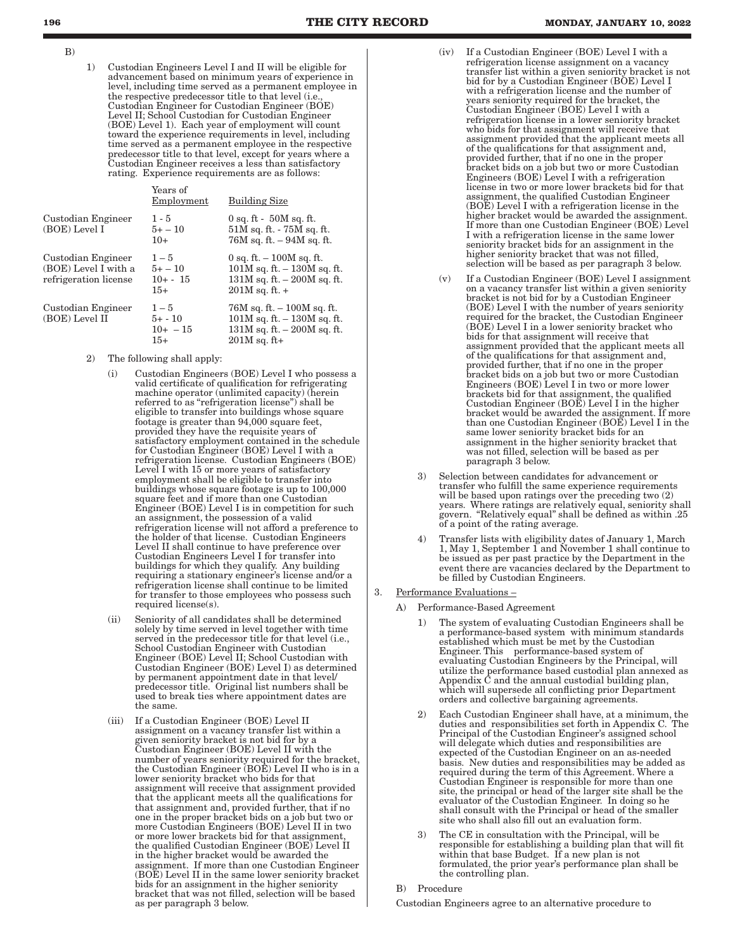- B)
- 1) Custodian Engineers Level I and II will be eligible for advancement based on minimum years of experience in level, including time served as a permanent employee in the respective predecessor title to that level (i.e. Custodian Engineer for Custodian Engineer (BOE) Level II; School Custodian for Custodian Engineer (BOE) Level 1). Each year of employment will count toward the experience requirements in level, including time served as a permanent employee in the respective predecessor title to that level, except for years where a Custodian Engineer receives a less than satisfactory rating. Experience requirements are as follows:

|                                                                     | Years of<br>Employment                       | <b>Building Size</b>                                                                                                |
|---------------------------------------------------------------------|----------------------------------------------|---------------------------------------------------------------------------------------------------------------------|
| Custodian Engineer<br>(BOE) Level I                                 | $1 - 5$<br>$5+ - 10$<br>$10+$                | $0$ sq. ft - $50M$ sq. ft.<br>$51M$ sq. ft. - $75M$ sq. ft.<br>$76M$ sq. ft. $-94M$ sq. ft.                         |
| Custodian Engineer<br>(BOE) Level I with a<br>refrigeration license | $1 - 5$<br>$5+ - 10$<br>$10 + - 15$<br>$15+$ | 0 sq. ft. $-100M$ sq. ft.<br>$101M$ sq. ft. $-130M$ sq. ft.<br>$131M$ sq. ft. $-200M$ sq. ft.<br>$201M$ sq. ft. $+$ |
| Custodian Engineer<br>(BOE) Level II                                | $1 - 5$<br>$5+ - 10$<br>$10+ -15$<br>$15+$   | $76M$ sq. ft. $-100M$ sq. ft.<br>$101M$ sq. ft. $-130M$ sq. ft.<br>$131M$ sq. ft. $-200M$ sq. ft.<br>$201M$ sq. ft+ |

- 2) The following shall apply:
	- Custodian Engineers (BOE) Level I who possess a valid certificate of qualification for refrigerating machine operator (unlimited capacity) (herein referred to as "refrigeration license") shall be eligible to transfer into buildings whose square footage is greater than 94,000 square feet, provided they have the requisite years of satisfactory employment contained in the schedule for Custodian Engineer (BOE) Level I with a refrigeration license. Custodian Engineers (BOE) Level I with 15 or more years of satisfactory employment shall be eligible to transfer into buildings whose square footage is up to 100,000 square feet and if more than one Custodian Engineer (BOE) Level I is in competition for such an assignment, the possession of a valid refrigeration license will not afford a preference to the holder of that license. Custodian Engineers Level II shall continue to have preference over Custodian Engineers Level I for transfer into buildings for which they qualify. Any building requiring a stationary engineer's license and/or a refrigeration license shall continue to be limited for transfer to those employees who possess such required license(s).
	- (ii) Seniority of all candidates shall be determined solely by time served in level together with time served in the predecessor title for that level (i.e., School Custodian Engineer with Custodian Engineer (BOE) Level II; School Custodian with Custodian Engineer (BOE) Level I) as determined by permanent appointment date in that level/ predecessor title. Original list numbers shall be used to break ties where appointment dates are the same.
	- (iii) If a Custodian Engineer (BOE) Level II assignment on a vacancy transfer list within a given seniority bracket is not bid for by a Custodian Engineer (BOE) Level II with the number of years seniority required for the bracket, the Custodian Engineer (BOE) Level II who is in a lower seniority bracket who bids for that assignment will receive that assignment provided that the applicant meets all the qualifications for that assignment and, provided further, that if no one in the proper bracket bids on a job but two or more Custodian Engineers (BOE) Level II in two or more lower brackets bid for that assignment the qualified Custodian Engineer (BOE) Level II in the higher bracket would be awarded the assignment. If more than one Custodian Engineer (BOE) Level II in the same lower seniority bracket bids for an assignment in the higher seniority bracket that was not filled, selection will be based as per paragraph 3 below.
- (iv) If a Custodian Engineer (BOE) Level I with a refrigeration license assignment on a vacancy transfer list within a given seniority bracket is not bid for by a Custodian Engineer (BOE) Level I with a refrigeration license and the number of years seniority required for the bracket, the Custodian Engineer (BOE) Level I with a refrigeration license in a lower seniority bracket who bids for that assignment will receive that assignment provided that the applicant meets all of the qualifications for that assignment and, provided further, that if no one in the proper bracket bids on a job but two or more Custodian Engineers (BOE) Level I with a refrigeration license in two or more lower brackets bid for that assignment, the qualified Custodian Engineer (BOE) Level I with a refrigeration license in the higher bracket would be awarded the assignment. If more than one Custodian Engineer (BOE) Level I with a refrigeration license in the same lower seniority bracket bids for an assignment in the higher seniority bracket that was not filled, selection will be based as per paragraph 3 below.
- (v) If a Custodian Engineer (BOE) Level I assignment on a vacancy transfer list within a given seniority bracket is not bid for by a Custodian Engineer (BOE) Level I with the number of years seniority required for the bracket, the Custodian Engineer (BOE) Level I in a lower seniority bracket who bids for that assignment will receive that assignment provided that the applicant meets all of the qualifications for that assignment and, provided further, that if no one in the proper bracket bids on a job but two or more Custodian Engineers (BOE) Level I in two or more lower brackets bid for that assignment, the qualified Custodian Engineer (BOE) Level I in the higher bracket would be awarded the assignment. If more than one Custodian Engineer (BOE) Level I in the same lower seniority bracket bids for an assignment in the higher seniority bracket that was not filled, selection will be based as per paragraph 3 below.
- 3) Selection between candidates for advancement or transfer who fulfill the same experience requirements will be based upon ratings over the preceding two (2) years. Where ratings are relatively equal, seniority shall govern. "Relatively equal" shall be defined as within .25 of a point of the rating average.
- 4) Transfer lists with eligibility dates of January 1, March 1, May 1, September 1 and November 1 shall continue to be issued as per past practice by the Department in the event there are vacancies declared by the Department to be filled by Custodian Engineers.

#### 3. Performance Evaluations –

- A) Performance-Based Agreement
	- 1) The system of evaluating Custodian Engineers shall be a performance-based system with minimum standards established which must be met by the Custodian Engineer. This performance-based system of evaluating Custodian Engineers by the Principal, will utilize the performance based custodial plan annexed as Appendix  $\hat{C}$  and the annual custodial building plan, which will supersede all conflicting prior Department orders and collective bargaining agreements.
	- 2) Each Custodian Engineer shall have, at a minimum, the duties and responsibilities set forth in Appendix C. The Principal of the Custodian Engineer's assigned school will delegate which duties and responsibilities are expected of the Custodian Engineer on an as-needed basis. New duties and responsibilities may be added as required during the term of this Agreement. Where a Custodian Engineer is responsible for more than one site, the principal or head of the larger site shall be the evaluator of the Custodian Engineer. In doing so he shall consult with the Principal or head of the smaller site who shall also fill out an evaluation form.
	- 3) The CE in consultation with the Principal, will be responsible for establishing a building plan that will fit within that base Budget. If a new plan is not formulated, the prior year's performance plan shall be the controlling plan.

# B) Procedure

Custodian Engineers agree to an alternative procedure to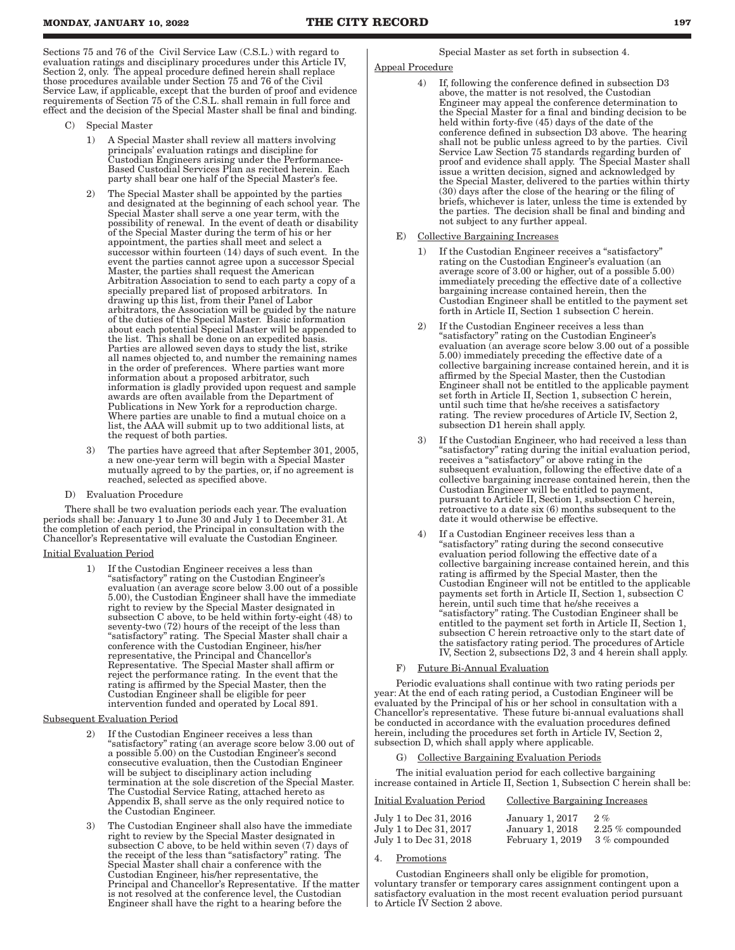Sections 75 and 76 of the Civil Service Law (C.S.L.) with regard to evaluation ratings and disciplinary procedures under this Article IV, Section 2, only. The appeal procedure defined herein shall replace those procedures available under Section 75 and 76 of the Civil Service Law, if applicable, except that the burden of proof and evidence requirements of Section 75 of the C.S.L. shall remain in full force and effect and the decision of the Special Master shall be final and binding.

- C) Special Master
	- 1) A Special Master shall review all matters involving principals' evaluation ratings and discipline for Custodian Engineers arising under the Performance-Based Custodial Services Plan as recited herein. Each party shall bear one half of the Special Master's fee.
	- 2) The Special Master shall be appointed by the parties and designated at the beginning of each school year. The Special Master shall serve a one year term, with the possibility of renewal. In the event of death or disability of the Special Master during the term of his or her appointment, the parties shall meet and select a successor within fourteen (14) days of such event. In the event the parties cannot agree upon a successor Special Master, the parties shall request the American Arbitration Association to send to each party a copy of a specially prepared list of proposed arbitrators. In drawing up this list, from their Panel of Labor arbitrators, the Association will be guided by the nature of the duties of the Special Master. Basic information about each potential Special Master will be appended to the list. This shall be done on an expedited basis. Parties are allowed seven days to study the list, strike all names objected to, and number the remaining names in the order of preferences. Where parties want more information about a proposed arbitrator, such information is gladly provided upon request and sample awards are often available from the Department of Publications in New York for a reproduction charge. Where parties are unable to find a mutual choice on a list, the AAA will submit up to two additional lists, at the request of both parties.
	- 3) The parties have agreed that after September 301, 2005, a new one-year term will begin with a Special Master mutually agreed to by the parties, or, if no agreement is reached, selected as specified above.
- D) Evaluation Procedure

There shall be two evaluation periods each year. The evaluation periods shall be: January 1 to June 30 and July 1 to December 31. At the completion of each period, the Principal in consultation with the Chancellor's Representative will evaluate the Custodian Engineer.

#### Initial Evaluation Period

1) If the Custodian Engineer receives a less than "satisfactory" rating on the Custodian Engineer's evaluation (an average score below 3.00 out of a possible 5.00), the Custodian Engineer shall have the immediate right to review by the Special Master designated in subsection C above, to be held within forty-eight (48) to seventy-two (72) hours of the receipt of the less than "satisfactory" rating. The Special Master shall chair a conference with the Custodian Engineer, his/her representative, the Principal and Chancellor's Representative. The Special Master shall affirm or reject the performance rating. In the event that the rating is affirmed by the Special Master, then the Custodian Engineer shall be eligible for peer intervention funded and operated by Local 891.

#### Subsequent Evaluation Period

- If the Custodian Engineer receives a less than "satisfactory" rating (an average score below 3.00 out of a possible 5.00) on the Custodian Engineer's second consecutive evaluation, then the Custodian Engineer will be subject to disciplinary action including termination at the sole discretion of the Special Master. The Custodial Service Rating, attached hereto as Appendix B, shall serve as the only required notice to the Custodian Engineer.
- The Custodian Engineer shall also have the immediate right to review by the Special Master designated in subsection C above, to be held within seven (7) days of the receipt of the less than "satisfactory" rating. The Special Master shall chair a conference with the Custodian Engineer, his/her representative, the Principal and Chancellor's Representative. If the matter is not resolved at the conference level, the Custodian Engineer shall have the right to a hearing before the

Special Master as set forth in subsection 4.

# Appeal Procedure

- 4) If, following the conference defined in subsection D3 above, the matter is not resolved, the Custodian Engineer may appeal the conference determination to the Special Master for a final and binding decision to be held within forty-five (45) days of the date of the conference defined in subsection D3 above. The hearing shall not be public unless agreed to by the parties. Civil Service Law Section 75 standards regarding burden of proof and evidence shall apply. The Special Master shall issue a written decision, signed and acknowledged by the Special Master, delivered to the parties within thirty (30) days after the close of the hearing or the filing of briefs, whichever is later, unless the time is extended by the parties. The decision shall be final and binding and not subject to any further appeal.
- E) Collective Bargaining Increases
	- 1) If the Custodian Engineer receives a "satisfactory" rating on the Custodian Engineer's evaluation (an average score of 3.00 or higher, out of a possible 5.00) immediately preceding the effective date of a collective bargaining increase contained herein, then the Custodian Engineer shall be entitled to the payment set forth in Article II, Section 1 subsection C herein.
	- If the Custodian Engineer receives a less than "satisfactory" rating on the Custodian Engineer's evaluation (an average score below 3.00 out of a possible 5.00) immediately preceding the effective date of a collective bargaining increase contained herein, and it is affirmed by the Special Master, then the Custodian Engineer shall not be entitled to the applicable payment set forth in Article II, Section 1, subsection C herein, until such time that he/she receives a satisfactory rating. The review procedures of Article IV, Section 2, subsection D1 herein shall apply.
	- If the Custodian Engineer, who had received a less than "satisfactory" rating during the initial evaluation period, receives a "satisfactory" or above rating in the subsequent evaluation, following the effective date of a collective bargaining increase contained herein, then the Custodian Engineer will be entitled to payment, pursuant to Article II, Section 1, subsection C herein, retroactive to a date six (6) months subsequent to the date it would otherwise be effective.
	- If a Custodian Engineer receives less than a "satisfactory" rating during the second consecutive evaluation period following the effective date of a collective bargaining increase contained herein, and this rating is affirmed by the Special Master, then the Custodian Engineer will not be entitled to the applicable payments set forth in Article II, Section 1, subsection C herein, until such time that he/she receives a "satisfactory" rating. The Custodian Engineer shall be entitled to the payment set forth in Article II, Section 1, subsection C herein retroactive only to the start date of the satisfactory rating period. The procedures of Article IV, Section 2, subsections D2, 3 and 4 herein shall apply.

#### Future Bi-Annual Evaluation

Periodic evaluations shall continue with two rating periods per year: At the end of each rating period, a Custodian Engineer will be evaluated by the Principal of his or her school in consultation with a Chancellor's representative. These future bi-annual evaluations shall be conducted in accordance with the evaluation procedures defined herein, including the procedures set forth in Article IV, Section 2, subsection D, which shall apply where applicable.

Collective Bargaining Evaluation Periods

The initial evaluation period for each collective bargaining increase contained in Article II, Section 1, Subsection C herein shall be:

| Initial Evaluation Period                        | <b>Collective Bargaining Increases</b>    |                             |
|--------------------------------------------------|-------------------------------------------|-----------------------------|
| July 1 to Dec 31, 2016<br>July 1 to Dec 31, 2017 | <b>January 1, 2017</b><br>January 1, 2018 | 2.96<br>$2.25\%$ compounded |
| July 1 to Dec 31, 2018                           | February 1, 2019                          | 3 % compounded              |

#### 4. Promotions

Custodian Engineers shall only be eligible for promotion, voluntary transfer or temporary cares assignment contingent upon a satisfactory evaluation in the most recent evaluation period pursuant to Article IV Section 2 above.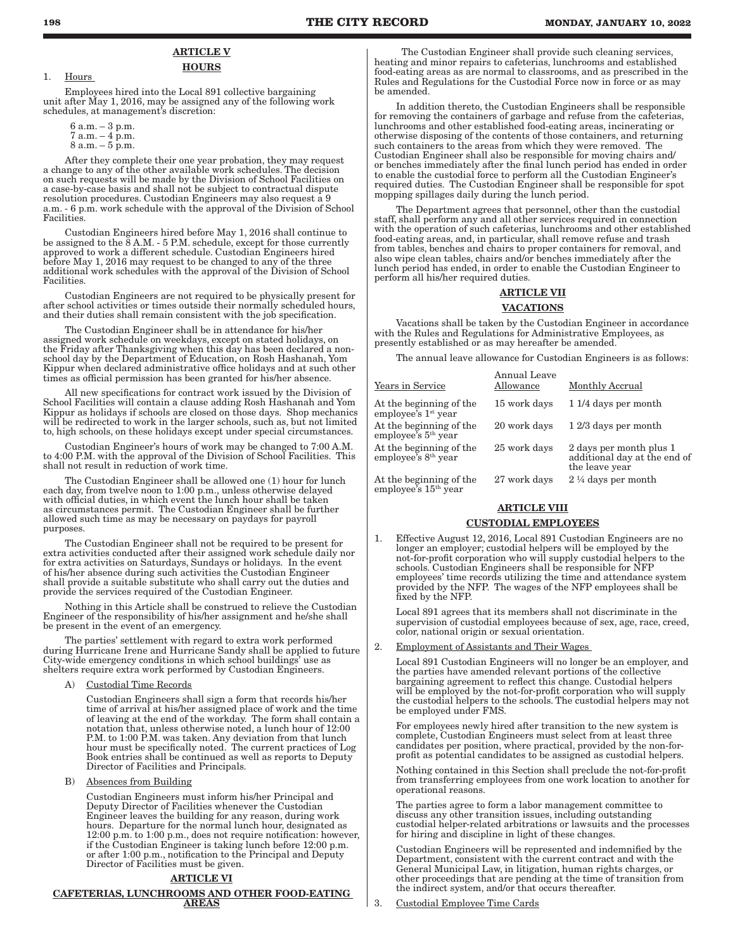# **ARTICLE V HOURS**

1. Hours

Employees hired into the Local 891 collective bargaining unit after May 1, 2016, may be assigned any of the following work schedules, at management's discretion:

6 a.m. – 3 p.m.  $7 a.m. - 4 p.m.$  $8 a.m. - 5 p.m.$ 

After they complete their one year probation, they may request a change to any of the other available work schedules. The decision on such requests will be made by the Division of School Facilities on a case-by-case basis and shall not be subject to contractual dispute resolution procedures. Custodian Engineers may also request a 9 a.m. - 6 p.m. work schedule with the approval of the Division of School Facilities.

Custodian Engineers hired before May 1, 2016 shall continue to be assigned to the  $\overline{8}$  A.M. - 5 P.M. schedule, except for those currently approved to work a different schedule. Custodian Engineers hired before May 1, 2016 may request to be changed to any of the three additional work schedules with the approval of the Division of School Facilities.

Custodian Engineers are not required to be physically present for after school activities or times outside their normally scheduled hours, and their duties shall remain consistent with the job specification.

The Custodian Engineer shall be in attendance for his/her assigned work schedule on weekdays, except on stated holidays, on the Friday after Thanksgiving when this day has been declared a nonschool day by the Department of Education, on Rosh Hashanah, Yom Kippur when declared administrative office holidays and at such other times as official permission has been granted for his/her absence.

All new specifications for contract work issued by the Division of School Facilities will contain a clause adding Rosh Hashanah and Yom Kippur as holidays if schools are closed on those days. Shop mechanics will be redirected to work in the larger schools, such as, but not limited to, high schools, on these holidays except under special circumstances.

Custodian Engineer's hours of work may be changed to 7:00 A.M. to 4:00 P.M. with the approval of the Division of School Facilities. This shall not result in reduction of work time.

The Custodian Engineer shall be allowed one (1) hour for lunch each day, from twelve noon to 1:00 p.m., unless otherwise delayed with official duties, in which event the lunch hour shall be taken as circumstances permit. The Custodian Engineer shall be further allowed such time as may be necessary on paydays for payroll purposes.

The Custodian Engineer shall not be required to be present for extra activities conducted after their assigned work schedule daily nor for extra activities on Saturdays, Sundays or holidays. In the event of his/her absence during such activities the Custodian Engineer shall provide a suitable substitute who shall carry out the duties and provide the services required of the Custodian Engineer.

Nothing in this Article shall be construed to relieve the Custodian Engineer of the responsibility of his/her assignment and he/she shall be present in the event of an emergency.

The parties' settlement with regard to extra work performed during Hurricane Irene and Hurricane Sandy shall be applied to future City-wide emergency conditions in which school buildings' use as shelters require extra work performed by Custodian Engineers.

A) Custodial Time Records

Custodian Engineers shall sign a form that records his/her time of arrival at his/her assigned place of work and the time of leaving at the end of the workday. The form shall contain a notation that, unless otherwise noted, a lunch hour of 12:00 P.M. to 1:00 P.M. was taken. Any deviation from that lunch hour must be specifically noted. The current practices of Log Book entries shall be continued as well as reports to Deputy Director of Facilities and Principals.

B) Absences from Building

Custodian Engineers must inform his/her Principal and Deputy Director of Facilities whenever the Custodian Engineer leaves the building for any reason, during work hours. Departure for the normal lunch hour, designated as 12:00 p.m. to 1:00 p.m., does not require notification: however, if the Custodian Engineer is taking lunch before 12:00 p.m. or after 1:00 p.m., notification to the Principal and Deputy Director of Facilities must be given.

#### ARTICLE VI

CAFETERIAS, LUNCHROOMS AND OTHER FOOD-EATING AREAS

The Custodian Engineer shall provide such cleaning services, heating and minor repairs to cafeterias, lunchrooms and established food-eating areas as are normal to classrooms, and as prescribed in the Rules and Regulations for the Custodial Force now in force or as may be amended.

In addition thereto, the Custodian Engineers shall be responsible for removing the containers of garbage and refuse from the cafeterias, lunchrooms and other established food-eating areas, incinerating or otherwise disposing of the contents of those containers, and returning such containers to the areas from which they were removed. The Custodian Engineer shall also be responsible for moving chairs and/ or benches immediately after the final lunch period has ended in order to enable the custodial force to perform all the Custodian Engineer's required duties. The Custodian Engineer shall be responsible for spot mopping spillages daily during the lunch period.

The Department agrees that personnel, other than the custodial staff, shall perform any and all other services required in connection with the operation of such cafeterias, lunchrooms and other established food-eating areas, and, in particular, shall remove refuse and trash from tables, benches and chairs to proper containers for removal, and also wipe clean tables, chairs and/or benches immediately after the lunch period has ended, in order to enable the Custodian Engineer to perform all his/her required duties.

# ARTICLE VII

# VACATIONS

Vacations shall be taken by the Custodian Engineer in accordance with the Rules and Regulations for Administrative Employees, as presently established or as may hereafter be amended.

The annual leave allowance for Custodian Engineers is as follows:

| Years in Service                                           | Annual Leave<br>Allowance | Monthly Accrual                                                           |
|------------------------------------------------------------|---------------------------|---------------------------------------------------------------------------|
| At the beginning of the<br>employee's $1st$ year           | 15 work days              | 11/4 days per month                                                       |
| At the beginning of the<br>employee's $5th$ year           | 20 work days              | 12/3 days per month                                                       |
| At the beginning of the<br>employee's 8 <sup>th</sup> year | 25 work days              | 2 days per month plus 1<br>additional day at the end of<br>the leave year |
| At the beginning of the<br>employee's $15th$ year          | 27 work days              | $2\frac{1}{4}$ days per month                                             |

# **ARTICLE VIII**

#### CUSTODIAL EMPLOYEES

1. Effective August 12, 2016, Local 891 Custodian Engineers are no longer an employer; custodial helpers will be employed by the not-for-profit corporation who will supply custodial helpers to the schools. Custodian Engineers shall be responsible for NFP employees' time records utilizing the time and attendance system provided by the NFP. The wages of the NFP employees shall be fixed by the NFP.

Local 891 agrees that its members shall not discriminate in the supervision of custodial employees because of sex, age, race, creed, color, national origin or sexual orientation.

#### 2. Employment of Assistants and Their Wages

Local 891 Custodian Engineers will no longer be an employer, and the parties have amended relevant portions of the collective bargaining agreement to reflect this change. Custodial helpers will be employed by the not-for-profit corporation who will supply the custodial helpers to the schools. The custodial helpers may not be employed under FMS.

For employees newly hired after transition to the new system is complete, Custodian Engineers must select from at least three candidates per position, where practical, provided by the non-forprofit as potential candidates to be assigned as custodial helpers.

Nothing contained in this Section shall preclude the not-for-profit from transferring employees from one work location to another for operational reasons.

The parties agree to form a labor management committee to discuss any other transition issues, including outstanding custodial helper-related arbitrations or lawsuits and the processes for hiring and discipline in light of these changes.

Custodian Engineers will be represented and indemnified by the Department, consistent with the current contract and with the General Municipal Law, in litigation, human rights charges, or other proceedings that are pending at the time of transition from the indirect system, and/or that occurs thereafter.

3. Custodial Employee Time Cards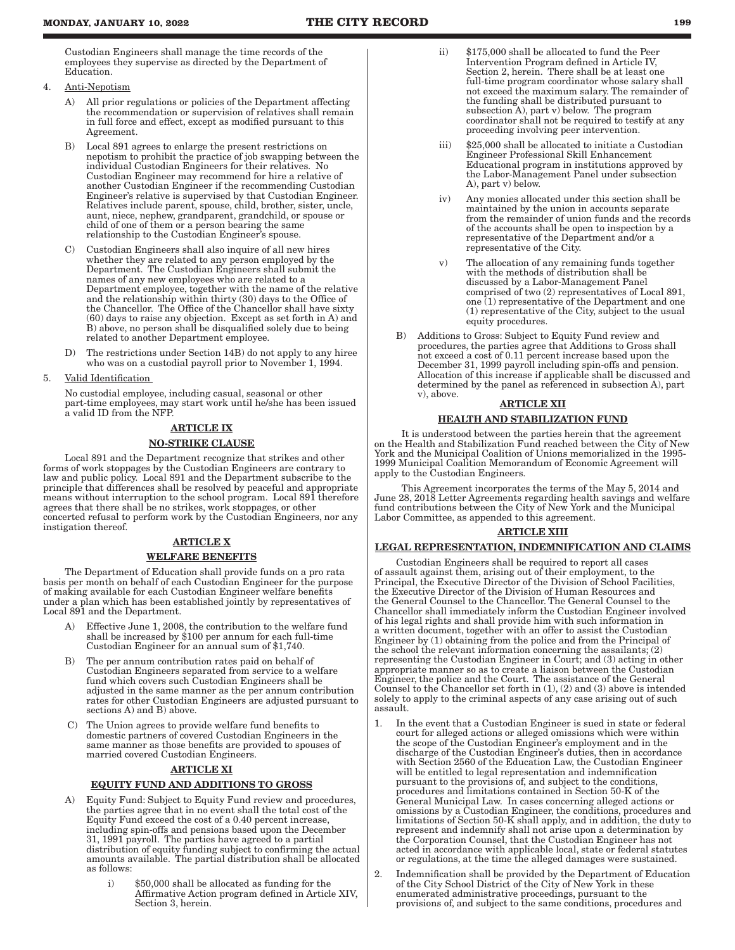Custodian Engineers shall manage the time records of the employees they supervise as directed by the Department of Education.

- 4. Anti-Nepotism
	- A) All prior regulations or policies of the Department affecting the recommendation or supervision of relatives shall remain in full force and effect, except as modified pursuant to this Agreement.
	- B) Local 891 agrees to enlarge the present restrictions on nepotism to prohibit the practice of job swapping between the individual Custodian Engineers for their relatives. No Custodian Engineer may recommend for hire a relative of another Custodian Engineer if the recommending Custodian Engineer's relative is supervised by that Custodian Engineer. Relatives include parent, spouse, child, brother, sister, uncle, aunt, niece, nephew, grandparent, grandchild, or spouse or child of one of them or a person bearing the same relationship to the Custodian Engineer's spouse.
	- C) Custodian Engineers shall also inquire of all new hires whether they are related to any person employed by the Department. The Custodian Engineers shall submit the names of any new employees who are related to a Department employee, together with the name of the relative and the relationship within thirty (30) days to the Office of the Chancellor. The Office of the Chancellor shall have sixty (60) days to raise any objection. Except as set forth in A) and B) above, no person shall be disqualified solely due to being related to another Department employee.
	- D) The restrictions under Section 14B) do not apply to any hiree who was on a custodial payroll prior to November 1, 1994.
- 5. Valid Identification

No custodial employee, including casual, seasonal or other part-time employees, may start work until he/she has been issued a valid ID from the NFP.

# ARTICLE IX

# NO-STRIKE CLAUSE

Local 891 and the Department recognize that strikes and other forms of work stoppages by the Custodian Engineers are contrary to law and public policy. Local 891 and the Department subscribe to the principle that differences shall be resolved by peaceful and appropriate means without interruption to the school program. Local 891 therefore agrees that there shall be no strikes, work stoppages, or other concerted refusal to perform work by the Custodian Engineers, nor any instigation thereof.

# ARTICLE X

# WELFARE BENEFITS

The Department of Education shall provide funds on a pro rata basis per month on behalf of each Custodian Engineer for the purpose of making available for each Custodian Engineer welfare benefits under a plan which has been established jointly by representatives of Local 891 and the Department.

- Effective June 1, 2008, the contribution to the welfare fund shall be increased by \$100 per annum for each full-time Custodian Engineer for an annual sum of \$1,740.
- B) The per annum contribution rates paid on behalf of Custodian Engineers separated from service to a welfare fund which covers such Custodian Engineers shall be adjusted in the same manner as the per annum contribution rates for other Custodian Engineers are adjusted pursuant to sections A) and B) above.
- C) The Union agrees to provide welfare fund benefits to domestic partners of covered Custodian Engineers in the same manner as those benefits are provided to spouses of married covered Custodian Engineers.

# **ARTICLE XI**

# EQUITY FUND AND ADDITIONS TO GROSS

- A) Equity Fund: Subject to Equity Fund review and procedures, the parties agree that in no event shall the total cost of the Equity Fund exceed the cost of a 0.40 percent increase, including spin-offs and pensions based upon the December 31, 1991 payroll. The parties have agreed to a partial distribution of equity funding subject to confirming the actual amounts available. The partial distribution shall be allocated as follows:
	- i) \$50,000 shall be allocated as funding for the Affirmative Action program defined in Article XIV, Section 3, herein.
- ii) \$175,000 shall be allocated to fund the Peer Intervention Program defined in Article IV, Section 2, herein. There shall be at least one full-time program coordinator whose salary shall not exceed the maximum salary. The remainder of the funding shall be distributed pursuant to subsection A), part v) below. The program coordinator shall not be required to testify at any proceeding involving peer intervention.
- iii) \$25,000 shall be allocated to initiate a Custodian Engineer Professional Skill Enhancement Educational program in institutions approved by the Labor-Management Panel under subsection A), part v) below.
- iv) Any monies allocated under this section shall be maintained by the union in accounts separate from the remainder of union funds and the records of the accounts shall be open to inspection by a representative of the Department and/or a representative of the City.
- v) The allocation of any remaining funds together with the methods of distribution shall be discussed by a Labor-Management Panel comprised of two (2) representatives of Local 891, one (1) representative of the Department and one (1) representative of the City, subject to the usual equity procedures.
- B) Additions to Gross: Subject to Equity Fund review and procedures, the parties agree that Additions to Gross shall not exceed a cost of 0.11 percent increase based upon the December 31, 1999 payroll including spin-offs and pension. Allocation of this increase if applicable shall be discussed and determined by the panel as referenced in subsection A), part v), above.

#### ARTICLE XII

# HEALTH AND STABILIZATION FUND

It is understood between the parties herein that the agreement on the Health and Stabilization Fund reached between the City of New York and the Municipal Coalition of Unions memorialized in the 1995- 1999 Municipal Coalition Memorandum of Economic Agreement will apply to the Custodian Engineers.

This Agreement incorporates the terms of the May 5, 2014 and June 28, 2018 Letter Agreements regarding health savings and welfare fund contributions between the City of New York and the Municipal Labor Committee, as appended to this agreement.

# ARTICLE XIII

# LEGAL REPRESENTATION, INDEMNIFICATION AND CLAIMS

Custodian Engineers shall be required to report all cases of assault against them, arising out of their employment, to the Principal, the Executive Director of the Division of School Facilities, the Executive Director of the Division of Human Resources and the General Counsel to the Chancellor. The General Counsel to the Chancellor shall immediately inform the Custodian Engineer involved of his legal rights and shall provide him with such information in a written document, together with an offer to assist the Custodian Engineer by (1) obtaining from the police and from the Principal of the school the relevant information concerning the assailants;  $(2)$ representing the Custodian Engineer in Court; and (3) acting in other appropriate manner so as to create a liaison between the Custodian Engineer, the police and the Court. The assistance of the General Counsel to the Chancellor set forth in (1), (2) and (3) above is intended solely to apply to the criminal aspects of any case arising out of such assault.

- 1. In the event that a Custodian Engineer is sued in state or federal court for alleged actions or alleged omissions which were within the scope of the Custodian Engineer's employment and in the discharge of the Custodian Engineer's duties, then in accordance with Section 2560 of the Education Law, the Custodian Engineer will be entitled to legal representation and indemnification pursuant to the provisions of, and subject to the conditions, procedures and limitations contained in Section 50-K of the General Municipal Law. In cases concerning alleged actions or omissions by a Custodian Engineer, the conditions, procedures and limitations of Section 50-K shall apply, and in addition, the duty to represent and indemnify shall not arise upon a determination by the Corporation Counsel, that the Custodian Engineer has not acted in accordance with applicable local, state or federal statutes or regulations, at the time the alleged damages were sustained.
- 2. Indemnification shall be provided by the Department of Education of the City School District of the City of New York in these enumerated administrative proceedings, pursuant to the provisions of, and subject to the same conditions, procedures and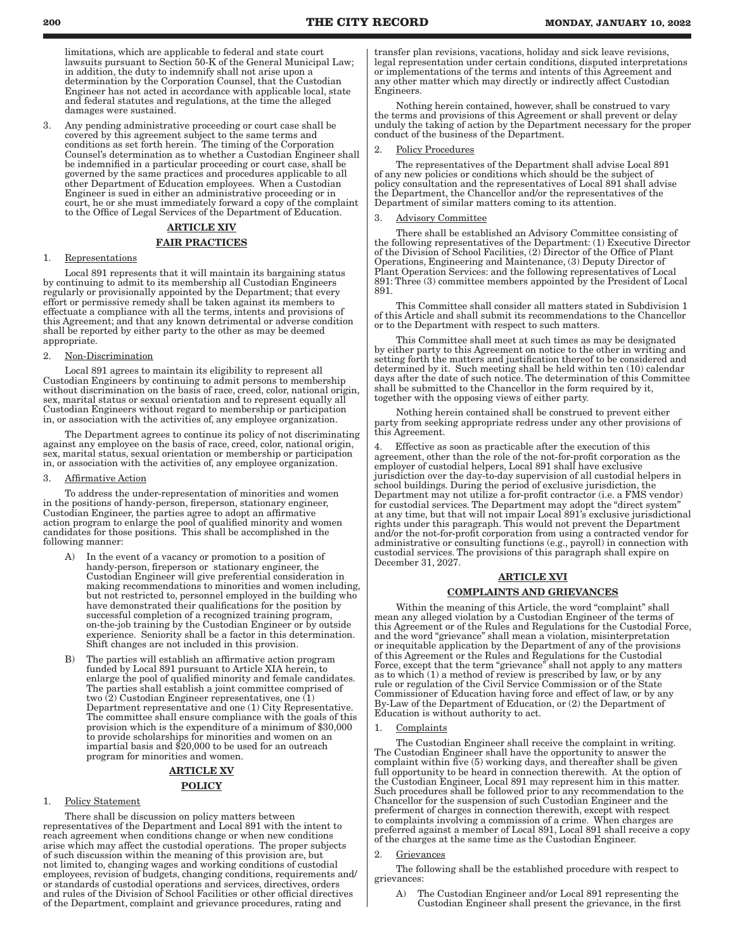limitations, which are applicable to federal and state court lawsuits pursuant to Section 50-K of the General Municipal Law; in addition, the duty to indemnify shall not arise upon a determination by the Corporation Counsel, that the Custodian Engineer has not acted in accordance with applicable local, state and federal statutes and regulations, at the time the alleged damages were sustained.

3. Any pending administrative proceeding or court case shall be covered by this agreement subject to the same terms and conditions as set forth herein. The timing of the Corporation Counsel's determination as to whether a Custodian Engineer shall be indemnified in a particular proceeding or court case, shall be governed by the same practices and procedures applicable to all other Department of Education employees. When a Custodian Engineer is sued in either an administrative proceeding or in court, he or she must immediately forward a copy of the complaint to the Office of Legal Services of the Department of Education.

# ARTICLE XIV

#### FAIR PRACTICES

1. Representations

Local 891 represents that it will maintain its bargaining status by continuing to admit to its membership all Custodian Engineers regularly or provisionally appointed by the Department; that every effort or permissive remedy shall be taken against its members to effectuate a compliance with all the terms, intents and provisions of this Agreement; and that any known detrimental or adverse condition shall be reported by either party to the other as may be deemed appropriate.

### 2. Non-Discrimination

Local 891 agrees to maintain its eligibility to represent all Custodian Engineers by continuing to admit persons to membership without discrimination on the basis of race, creed, color, national origin, sex, marital status or sexual orientation and to represent equally all Custodian Engineers without regard to membership or participation in, or association with the activities of, any employee organization.

The Department agrees to continue its policy of not discriminating against any employee on the basis of race, creed, color, national origin, sex, marital status, sexual orientation or membership or participation in, or association with the activities of, any employee organization.

#### 3. Affirmative Action

To address the under-representation of minorities and women in the positions of handy-person, fireperson, stationary engineer, Custodian Engineer, the parties agree to adopt an affirmative action program to enlarge the pool of qualified minority and women candidates for those positions. This shall be accomplished in the following manner:

- In the event of a vacancy or promotion to a position of handy-person, fireperson or stationary engineer, the Custodian Engineer will give preferential consideration in making recommendations to minorities and women including, but not restricted to, personnel employed in the building who have demonstrated their qualifications for the position by successful completion of a recognized training program, on-the-job training by the Custodian Engineer or by outside experience. Seniority shall be a factor in this determination. Shift changes are not included in this provision.
- B) The parties will establish an affirmative action program funded by Local 891 pursuant to Article XIA herein, to enlarge the pool of qualified minority and female candidates. The parties shall establish a joint committee comprised of two (2) Custodian Engineer representatives, one (1) Department representative and one (1) City Representative. The committee shall ensure compliance with the goals of this provision which is the expenditure of a minimum of \$30,000 to provide scholarships for minorities and women on an impartial basis and \$20,000 to be used for an outreach program for minorities and women.

# ARTICLE XV POLICY

#### 1. Policy Statement

There shall be discussion on policy matters between representatives of the Department and Local 891 with the intent to reach agreement when conditions change or when new conditions arise which may affect the custodial operations. The proper subjects of such discussion within the meaning of this provision are, but not limited to, changing wages and working conditions of custodial employees, revision of budgets, changing conditions, requirements and/ or standards of custodial operations and services, directives, orders and rules of the Division of School Facilities or other official directives of the Department, complaint and grievance procedures, rating and

transfer plan revisions, vacations, holiday and sick leave revisions, legal representation under certain conditions, disputed interpretations or implementations of the terms and intents of this Agreement and any other matter which may directly or indirectly affect Custodian Engineers.

Nothing herein contained, however, shall be construed to vary the terms and provisions of this Agreement or shall prevent or delay unduly the taking of action by the Department necessary for the proper conduct of the business of the Department.

# Policy Procedures

The representatives of the Department shall advise Local 891 of any new policies or conditions which should be the subject of policy consultation and the representatives of Local 891 shall advise the Department, the Chancellor and/or the representatives of the Department of similar matters coming to its attention.

#### Advisory Committee

There shall be established an Advisory Committee consisting of the following representatives of the Department: (1) Executive Director of the Division of School Facilities, (2) Director of the Office of Plant Operations, Engineering and Maintenance, (3) Deputy Director of Plant Operation Services: and the following representatives of Local 891: Three (3) committee members appointed by the President of Local 891.

This Committee shall consider all matters stated in Subdivision 1 of this Article and shall submit its recommendations to the Chancellor or to the Department with respect to such matters.

This Committee shall meet at such times as may be designated by either party to this Agreement on notice to the other in writing and setting forth the matters and justification thereof to be considered and determined by it. Such meeting shall be held within ten (10) calendar days after the date of such notice. The determination of this Committee shall be submitted to the Chancellor in the form required by it, together with the opposing views of either party.

Nothing herein contained shall be construed to prevent either party from seeking appropriate redress under any other provisions of this Agreement.

4. Effective as soon as practicable after the execution of this agreement, other than the role of the not-for-profit corporation as the employer of custodial helpers, Local 891 shall have exclusive jurisdiction over the day-to-day supervision of all custodial helpers in school buildings. During the period of exclusive jurisdiction, the Department may not utilize a for-profit contractor (i.e. a FMS vendor) for custodial services. The Department may adopt the "direct system" at any time, but that will not impair Local 891's exclusive jurisdictional rights under this paragraph. This would not prevent the Department and/or the not-for-profit corporation from using a contracted vendor for administrative or consulting functions (e.g., payroll) in connection with custodial services. The provisions of this paragraph shall expire on December 31, 2027.

### ARTICLE XVI

#### COMPLAINTS AND GRIEVANCES

Within the meaning of this Article, the word "complaint" shall mean any alleged violation by a Custodian Engineer of the terms of this Agreement or of the Rules and Regulations for the Custodial Force, and the word "grievance" shall mean a violation, misinterpretation or inequitable application by the Department of any of the provisions of this Agreement or the Rules and Regulations for the Custodial Force, except that the term "grievance" shall not apply to any matters as to which (1) a method of review is prescribed by law, or by any rule or regulation of the Civil Service Commission or of the State Commissioner of Education having force and effect of law, or by any By-Law of the Department of Education, or (2) the Department of Education is without authority to act.

#### 1. Complaints

The Custodian Engineer shall receive the complaint in writing. The Custodian Engineer shall have the opportunity to answer the complaint within five (5) working days, and thereafter shall be given full opportunity to be heard in connection therewith. At the option of the Custodian Engineer, Local 891 may represent him in this matter. Such procedures shall be followed prior to any recommendation to the Chancellor for the suspension of such Custodian Engineer and the preferment of charges in connection therewith, except with respect to complaints involving a commission of a crime. When charges are preferred against a member of Local 891, Local 891 shall receive a copy of the charges at the same time as the Custodian Engineer.

#### 2. Grievances

The following shall be the established procedure with respect to grievances:

A) The Custodian Engineer and/or Local 891 representing the Custodian Engineer shall present the grievance, in the first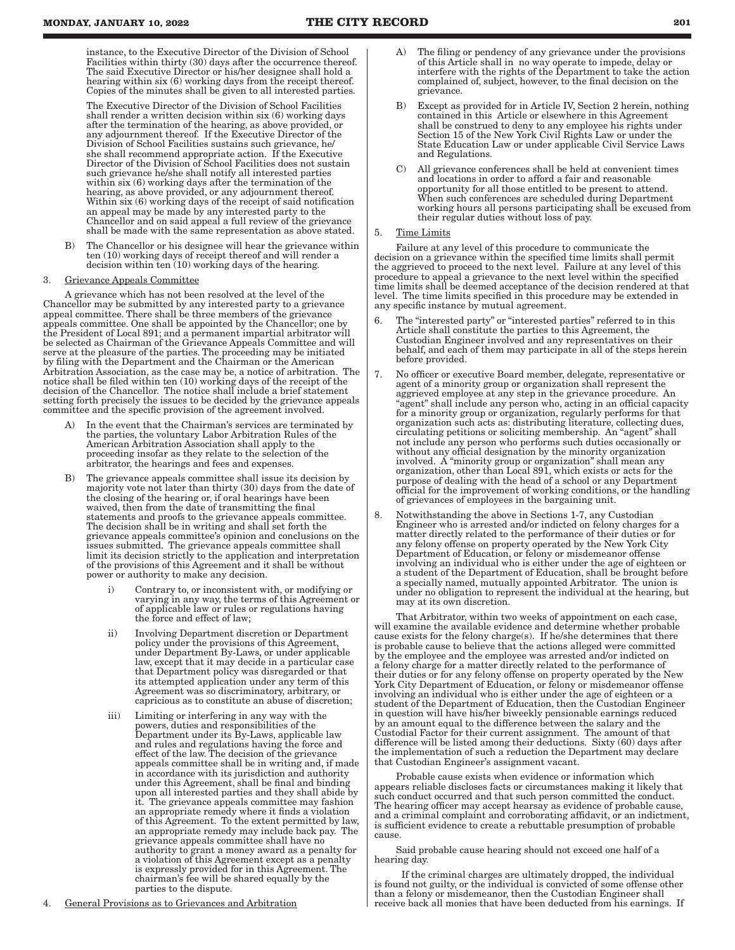instance, to the Executive Director of the Division of School Facilities within thirty (30) days after the occurrence thereof. The said Executive Director or his/her designee shall hold a hearing within six (6) working days from the receipt thereof. Copies of the minutes shall be given to all interested parties.

The Executive Director of the Division of School Facilities shall render a written decision within six (6) working days after the termination of the hearing, as above provided, or any adjournment thereof. If the Executive Director of the Division of School Facilities sustains such grievance, he/ she shall recommend appropriate action. If the Executive Director of the Division of School Facilities does not sustain such grievance he/she shall notify all interested parties within six (6) working days after the termination of the hearing, as above provided, or any adjournment thereof. Within six (6) working days of the receipt of said notification an appeal may be made by any interested party to the Chancellor and on said appeal a full review of the grievance shall be made with the same representation as above stated.

B) The Chancellor or his designee will hear the grievance within ten (10) working days of receipt thereof and will render a decision within ten (10) working days of the hearing.

#### 3. Grievance Appeals Committee

A grievance which has not been resolved at the level of the Chancellor may be submitted by any interested party to a grievance appeal committee. There shall be three members of the grievance appeals committee. One shall be appointed by the Chancellor; one by the President of Local 891; and a permanent impartial arbitrator will be selected as Chairman of the Grievance Appeals Committee and will serve at the pleasure of the parties. The proceeding may be initiated by filing with the Department and the Chairman or the American Arbitration Association, as the case may be, a notice of arbitration. The notice shall be filed within ten (10) working days of the receipt of the decision of the Chancellor. The notice shall include a brief statement setting forth precisely the issues to be decided by the grievance appeals committee and the specific provision of the agreement involved.

- In the event that the Chairman's services are terminated by the parties, the voluntary Labor Arbitration Rules of the American Arbitration Association shall apply to the proceeding insofar as they relate to the selection of the arbitrator, the hearings and fees and expenses.
- B) The grievance appeals committee shall issue its decision by majority vote not later than thirty (30) days from the date of the closing of the hearing or, if oral hearings have been waived, then from the date of transmitting the final statements and proofs to the grievance appeals committee. The decision shall be in writing and shall set forth the grievance appeals committee's opinion and conclusions on the issues submitted. The grievance appeals committee shall limit its decision strictly to the application and interpretation of the provisions of this Agreement and it shall be without power or authority to make any decision.
	- i) Contrary to, or inconsistent with, or modifying or varying in any way, the terms of this Agreement or of applicable law or rules or regulations having the force and effect of law;
	- ii) Involving Department discretion or Department policy under the provisions of this Agreement, under Department By-Laws, or under applicable law, except that it may decide in a particular case that Department policy was disregarded or that its attempted application under any term of this Agreement was so discriminatory, arbitrary, or capricious as to constitute an abuse of discretion;
	- iii) Limiting or interfering in any way with the powers, duties and responsibilities of the Department under its By-Laws, applicable law and rules and regulations having the force and effect of the law. The decision of the grievance appeals committee shall be in writing and, if made in accordance with its jurisdiction and authority under this Agreement, shall be final and binding upon all interested parties and they shall abide by it. The grievance appeals committee may fashion an appropriate remedy where it finds a violation of this Agreement. To the extent permitted by law, an appropriate remedy may include back pay. The grievance appeals committee shall have no authority to grant a money award as a penalty for a violation of this Agreement except as a penalty is expressly provided for in this Agreement. The chairman's fee will be shared equally by the parties to the dispute.
- A) The filing or pendency of any grievance under the provisions of this Article shall in no way operate to impede, delay or interfere with the rights of the Department to take the action complained of, subject, however, to the final decision on the grievance.
- B) Except as provided for in Article IV, Section 2 herein, nothing contained in this Article or elsewhere in this Agreement shall be construed to deny to any employee his rights under Section 15 of the New York Civil Rights Law or under the State Education Law or under applicable Civil Service Laws and Regulations.
- C) All grievance conferences shall be held at convenient times and locations in order to afford a fair and reasonable opportunity for all those entitled to be present to attend. When such conferences are scheduled during Department working hours all persons participating shall be excused from their regular duties without loss of pay.

#### 5. Time Limits

Failure at any level of this procedure to communicate the decision on a grievance within the specified time limits shall permit the aggrieved to proceed to the next level. Failure at any level of this procedure to appeal a grievance to the next level within the specified time limits shall be deemed acceptance of the decision rendered at that level. The time limits specified in this procedure may be extended in any specific instance by mutual agreement.

- 6. The "interested party" or "interested parties" referred to in this Article shall constitute the parties to this Agreement, the Custodian Engineer involved and any representatives on their behalf, and each of them may participate in all of the steps herein before provided.
- 7. No officer or executive Board member, delegate, representative or agent of a minority group or organization shall represent the aggrieved employee at any step in the grievance procedure. An "agent" shall include any person who, acting in an official capacity for a minority group or organization, regularly performs for that organization such acts as: distributing literature, collecting dues, circulating petitions or soliciting membership. An "agent" shall not include any person who performs such duties occasionally or without any official designation by the minority organization involved. A "minority group or organization" shall mean any organization, other than Local 891, which exists or acts for the purpose of dealing with the head of a school or any Department official for the improvement of working conditions, or the handling of grievances of employees in the bargaining unit.
- 8. Notwithstanding the above in Sections 1-7, any Custodian Engineer who is arrested and/or indicted on felony charges for a matter directly related to the performance of their duties or for any felony offense on property operated by the New York City Department of Education, or felony or misdemeanor offense involving an individual who is either under the age of eighteen or a student of the Department of Education, shall be brought before a specially named, mutually appointed Arbitrator. The union is under no obligation to represent the individual at the hearing, but may at its own discretion.

That Arbitrator, within two weeks of appointment on each case, will examine the available evidence and determine whether probable cause exists for the felony charge(s). If he/she determines that there is probable cause to believe that the actions alleged were committed by the employee and the employee was arrested and/or indicted on a felony charge for a matter directly related to the performance of their duties or for any felony offense on property operated by the New York City Department of Education, or felony or misdemeanor offense involving an individual who is either under the age of eighteen or a student of the Department of Education, then the Custodian Engineer in question will have his/her biweekly pensionable earnings reduced by an amount equal to the difference between the salary and the Custodial Factor for their current assignment. The amount of that difference will be listed among their deductions. Sixty (60) days after the implementation of such a reduction the Department may declare that Custodian Engineer's assignment vacant.

Probable cause exists when evidence or information which appears reliable discloses facts or circumstances making it likely that such conduct occurred and that such person committed the conduct. The hearing officer may accept hearsay as evidence of probable cause, and a criminal complaint and corroborating affidavit, or an indictment, is sufficient evidence to create a rebuttable presumption of probable cause.

Said probable cause hearing should not exceed one half of a hearing day.

If the criminal charges are ultimately dropped, the individual is found not guilty, or the individual is convicted of some offense other than a felony or misdemeanor, then the Custodian Engineer shall receive back all monies that have been deducted from his earnings. If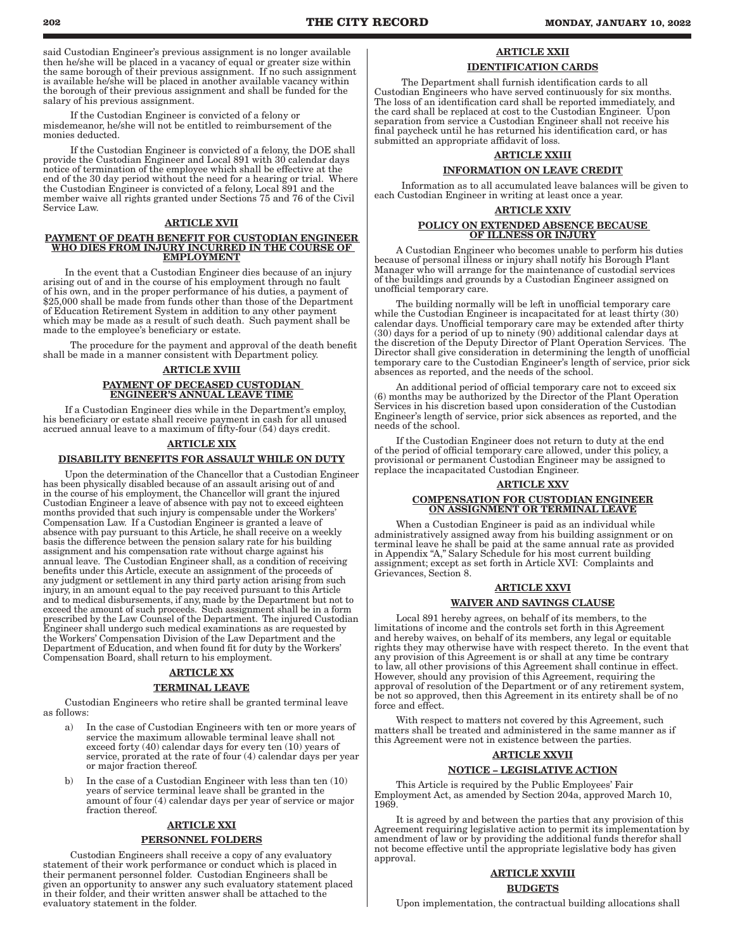said Custodian Engineer's previous assignment is no longer available then he/she will be placed in a vacancy of equal or greater size within the same borough of their previous assignment. If no such assignment is available he/she will be placed in another available vacancy within the borough of their previous assignment and shall be funded for the salary of his previous assignment.

If the Custodian Engineer is convicted of a felony or misdemeanor, he/she will not be entitled to reimbursement of the monies deducted.

If the Custodian Engineer is convicted of a felony, the DOE shall provide the Custodian Engineer and Local 891 with 30 calendar days notice of termination of the employee which shall be effective at the end of the 30 day period without the need for a hearing or trial. Where the Custodian Engineer is convicted of a felony, Local 891 and the member waive all rights granted under Sections 75 and 76 of the Civil Service Law.

#### ARTICLE XVII

#### PAYMENT OF DEATH BENEFIT FOR CUSTODIAN ENGINEER WHO DIES FROM INJURY INCURRED IN THE COURSE OF EMPLOYMENT

In the event that a Custodian Engineer dies because of an injury arising out of and in the course of his employment through no fault of his own, and in the proper performance of his duties, a payment of \$25,000 shall be made from funds other than those of the Department of Education Retirement System in addition to any other payment which may be made as a result of such death. Such payment shall be made to the employee's beneficiary or estate.

The procedure for the payment and approval of the death benefit shall be made in a manner consistent with Department policy.

# ARTICLE XVIII PAYMENT OF DECEASED CUSTODIAN ENGINEER'S ANNUAL LEAVE TIME

If a Custodian Engineer dies while in the Department's employ, his beneficiary or estate shall receive payment in cash for all unused accrued annual leave to a maximum of fifty-four (54) days credit.

# ARTICLE XIX

#### DISABILITY BENEFITS FOR ASSAULT WHILE ON DUTY

Upon the determination of the Chancellor that a Custodian Engineer has been physically disabled because of an assault arising out of and in the course of his employment, the Chancellor will grant the injured Custodian Engineer a leave of absence with pay not to exceed eighteen months provided that such injury is compensable under the Workers' Compensation Law. If a Custodian Engineer is granted a leave of absence with pay pursuant to this Article, he shall receive on a weekly basis the difference between the pension salary rate for his building assignment and his compensation rate without charge against his annual leave. The Custodian Engineer shall, as a condition of receiving benefits under this Article, execute an assignment of the proceeds of any judgment or settlement in any third party action arising from such injury, in an amount equal to the pay received pursuant to this Article and to medical disbursements, if any, made by the Department but not to exceed the amount of such proceeds. Such assignment shall be in a form prescribed by the Law Counsel of the Department. The injured Custodian Engineer shall undergo such medical examinations as are requested by the Workers' Compensation Division of the Law Department and the Department of Education, and when found fit for duty by the Workers' Compensation Board, shall return to his employment.

# ARTICLE XX

# TERMINAL LEAVE

Custodian Engineers who retire shall be granted terminal leave as follows:

- a) In the case of Custodian Engineers with ten or more years of service the maximum allowable terminal leave shall not exceed forty (40) calendar days for every ten (10) years of service, prorated at the rate of four (4) calendar days per year or major fraction thereof.
- b) In the case of a Custodian Engineer with less than ten (10) years of service terminal leave shall be granted in the amount of four (4) calendar days per year of service or major fraction thereof.

#### ARTICLE XXI

#### PERSONNEL FOLDERS

Custodian Engineers shall receive a copy of any evaluatory statement of their work performance or conduct which is placed in their permanent personnel folder. Custodian Engineers shall be given an opportunity to answer any such evaluatory statement placed in their folder, and their written answer shall be attached to the evaluatory statement in the folder.

# ARTICLE XXII

# IDENTIFICATION CARDS

The Department shall furnish identification cards to all Custodian Engineers who have served continuously for six months. The loss of an identification card shall be reported immediately, and the card shall be replaced at cost to the Custodian Engineer. Upon separation from service a Custodian Engineer shall not receive his final paycheck until he has returned his identification card, or has submitted an appropriate affidavit of loss.

# ARTICLE XXIII INFORMATION ON LEAVE CREDIT

Information as to all accumulated leave balances will be given to each Custodian Engineer in writing at least once a year.

# ARTICLE XXIV

#### POLICY ON EXTENDED ABSENCE BECAUSE OF ILLNESS OR INJURY

A Custodian Engineer who becomes unable to perform his duties because of personal illness or injury shall notify his Borough Plant Manager who will arrange for the maintenance of custodial services of the buildings and grounds by a Custodian Engineer assigned on unofficial temporary care.

The building normally will be left in unofficial temporary care while the Custodian Engineer is incapacitated for at least thirty (30) calendar days. Unofficial temporary care may be extended after thirty (30) days for a period of up to ninety (90) additional calendar days at the discretion of the Deputy Director of Plant Operation Services. The Director shall give consideration in determining the length of unofficial temporary care to the Custodian Engineer's length of service, prior sick absences as reported, and the needs of the school.

An additional period of official temporary care not to exceed six (6) months may be authorized by the Director of the Plant Operation Services in his discretion based upon consideration of the Custodian Engineer's length of service, prior sick absences as reported, and the needs of the school.

If the Custodian Engineer does not return to duty at the end of the period of official temporary care allowed, under this policy, a provisional or permanent Custodian Engineer may be assigned to replace the incapacitated Custodian Engineer.

# ARTICLE XXV

#### COMPENSATION FOR CUSTODIAN ENGINEER ON ASSIGNMENT OR TERMINAL LEAVE

When a Custodian Engineer is paid as an individual while administratively assigned away from his building assignment or on terminal leave he shall be paid at the same annual rate as provided in Appendix "A," Salary Schedule for his most current building assignment; except as set forth in Article XVI: Complaints and Grievances, Section 8.

# ARTICLE XXVI WAIVER AND SAVINGS CLAUSE

Local 891 hereby agrees, on behalf of its members, to the limitations of income and the controls set forth in this Agreement and hereby waives, on behalf of its members, any legal or equitable rights they may otherwise have with respect thereto. In the event that any provision of this Agreement is or shall at any time be contrary to law, all other provisions of this Agreement shall continue in effect. However, should any provision of this Agreement, requiring the approval of resolution of the Department or of any retirement system, be not so approved, then this Agreement in its entirety shall be of no force and effect.

With respect to matters not covered by this Agreement, such matters shall be treated and administered in the same manner as if this Agreement were not in existence between the parties.

#### ARTICLE XXVII

### NOTICE – LEGISLATIVE ACTION

This Article is required by the Public Employees' Fair Employment Act, as amended by Section 204a, approved March 10, 1969.

It is agreed by and between the parties that any provision of this Agreement requiring legislative action to permit its implementation by amendment of law or by providing the additional funds therefor shall not become effective until the appropriate legislative body has given approval.

# ARTICLE XXVIII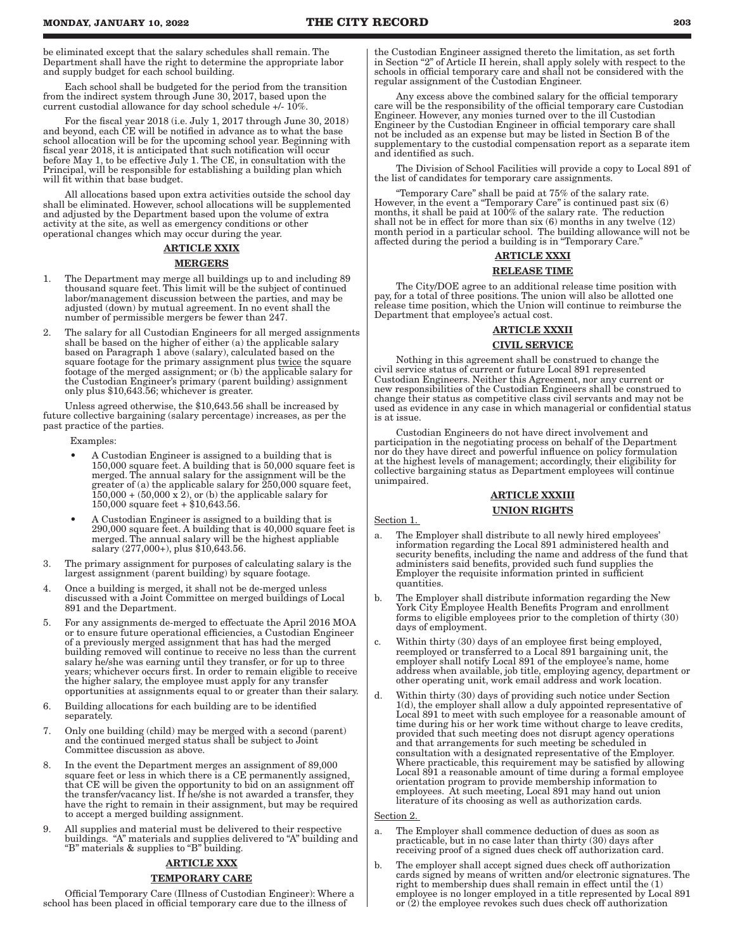be eliminated except that the salary schedules shall remain. The Department shall have the right to determine the appropriate labor and supply budget for each school building.

Each school shall be budgeted for the period from the transition from the indirect system through June 30, 2017, based upon the current custodial allowance for day school schedule +/- 10%.

For the fiscal year 2018 (i.e. July 1, 2017 through June 30, 2018) and beyond, each CE will be notified in advance as to what the base school allocation will be for the upcoming school year. Beginning with fiscal year 2018, it is anticipated that such notification will occur before May 1, to be effective July 1. The CE, in consultation with the Principal, will be responsible for establishing a building plan which will fit within that base budget.

All allocations based upon extra activities outside the school day shall be eliminated. However, school allocations will be supplemented and adjusted by the Department based upon the volume of extra activity at the site, as well as emergency conditions or other operational changes which may occur during the year.

#### ARTICLE XXIX

#### **MERGERS**

- 1. The Department may merge all buildings up to and including 89 thousand square feet. This limit will be the subject of continued labor/management discussion between the parties, and may be adjusted (down) by mutual agreement. In no event shall the number of permissible mergers be fewer than 247.
- 2. The salary for all Custodian Engineers for all merged assignments shall be based on the higher of either (a) the applicable salary based on Paragraph 1 above (salary), calculated based on the square footage for the primary assignment plus twice the square footage of the merged assignment; or (b) the applicable salary for the Custodian Engineer's primary (parent building) assignment only plus \$10,643.56; whichever is greater.

Unless agreed otherwise, the \$10,643.56 shall be increased by future collective bargaining (salary percentage) increases, as per the past practice of the parties.

Examples:

- A Custodian Engineer is assigned to a building that is 150,000 square feet. A building that is 50,000 square feet is merged. The annual salary for the assignment will be the greater of (a) the applicable salary for 250,000 square feet,  $150,000 + (50,000 \times 2)$ , or (b) the applicable salary for 150,000 square feet + \$10,643.56.
- A Custodian Engineer is assigned to a building that is 290,000 square feet. A building that is 40,000 square feet is merged. The annual salary will be the highest appliable salary (277,000+), plus \$10,643.56.
- 3. The primary assignment for purposes of calculating salary is the largest assignment (parent building) by square footage.
- 4. Once a building is merged, it shall not be de-merged unless discussed with a Joint Committee on merged buildings of Local 891 and the Department.
- 5. For any assignments de-merged to effectuate the April 2016 MOA or to ensure future operational efficiencies, a Custodian Engineer of a previously merged assignment that has had the merged building removed will continue to receive no less than the current salary he/she was earning until they transfer, or for up to three years; whichever occurs first. In order to remain eligible to receive the higher salary, the employee must apply for any transfer opportunities at assignments equal to or greater than their salary.
- 6. Building allocations for each building are to be identified separately.
- 7. Only one building (child) may be merged with a second (parent) and the continued merged status shall be subject to Joint Committee discussion as above.
- 8. In the event the Department merges an assignment of 89,000 square feet or less in which there is a CE permanently assigned, that CE will be given the opportunity to bid on an assignment off the transfer/vacancy list. If he/she is not awarded a transfer, they have the right to remain in their assignment, but may be required to accept a merged building assignment.
- 9. All supplies and material must be delivered to their respective buildings. "A" materials and supplies delivered to "A" building and "B" materials & supplies to "B" building.

# ARTICLE XXX

# TEMPORARY CARE

Official Temporary Care (Illness of Custodian Engineer): Where a school has been placed in official temporary care due to the illness of

the Custodian Engineer assigned thereto the limitation, as set forth in Section "2" of Article II herein, shall apply solely with respect to the schools in official temporary care and shall not be considered with the regular assignment of the Custodian Engineer.

Any excess above the combined salary for the official temporary care will be the responsibility of the official temporary care Custodian Engineer. However, any monies turned over to the ill Custodian Engineer by the Custodian Engineer in official temporary care shall not be included as an expense but may be listed in Section B of the supplementary to the custodial compensation report as a separate item and identified as such.

The Division of School Facilities will provide a copy to Local 891 of the list of candidates for temporary care assignments.

"Temporary Care" shall be paid at 75% of the salary rate. However, in the event a "Temporary Care" is continued past six (6) months, it shall be paid at 100% of the salary rate. The reduction shall not be in effect for more than six (6) months in any twelve (12) month period in a particular school. The building allowance will not be affected during the period a building is in "Temporary Care."

# ARTICLE XXXI

# RELEASE TIME

The City/DOE agree to an additional release time position with pay, for a total of three positions. The union will also be allotted one release time position, which the Union will continue to reimburse the Department that employee's actual cost.

# ARTICLE XXXII CIVIL SERVICE

Nothing in this agreement shall be construed to change the civil service status of current or future Local 891 represented Custodian Engineers. Neither this Agreement, nor any current or new responsibilities of the Custodian Engineers shall be construed to change their status as competitive class civil servants and may not be used as evidence in any case in which managerial or confidential status is at issue.

Custodian Engineers do not have direct involvement and participation in the negotiating process on behalf of the Department nor do they have direct and powerful influence on policy formulation at the highest levels of management; accordingly, their eligibility for collective bargaining status as Department employees will continue unimpaired.

# ARTICLE XXXIII UNION RIGHTS

- a. The Employer shall distribute to all newly hired employees' information regarding the Local 891 administered health and security benefits, including the name and address of the fund that administers said benefits, provided such fund supplies the Employer the requisite information printed in sufficient quantities.
- b. The Employer shall distribute information regarding the New York City Employee Health Benefits Program and enrollment forms to eligible employees prior to the completion of thirty (30) days of employment.
- Within thirty (30) days of an employee first being employed, reemployed or transferred to a Local 891 bargaining unit, the employer shall notify Local 891 of the employee's name, home address when available, job title, employing agency, department or other operating unit, work email address and work location.
- d. Within thirty (30) days of providing such notice under Section 1(d), the employer shall allow a duly appointed representative of Local 891 to meet with such employee for a reasonable amount of time during his or her work time without charge to leave credits, provided that such meeting does not disrupt agency operations and that arrangements for such meeting be scheduled in consultation with a designated representative of the Employer. Where practicable, this requirement may be satisfied by allowing Local 891 a reasonable amount of time during a formal employee orientation program to provide membership information to employees. At such meeting, Local 891 may hand out union literature of its choosing as well as authorization cards.

#### $\rm Section~2$

Section 1.

- a. The Employer shall commence deduction of dues as soon as practicable, but in no case later than thirty (30) days after receiving proof of a signed dues check off authorization card.
- b. The employer shall accept signed dues check off authorization cards signed by means of written and/or electronic signatures. The right to membership dues shall remain in effect until the (1) employee is no longer employed in a title represented by Local 891 or (2) the employee revokes such dues check off authorization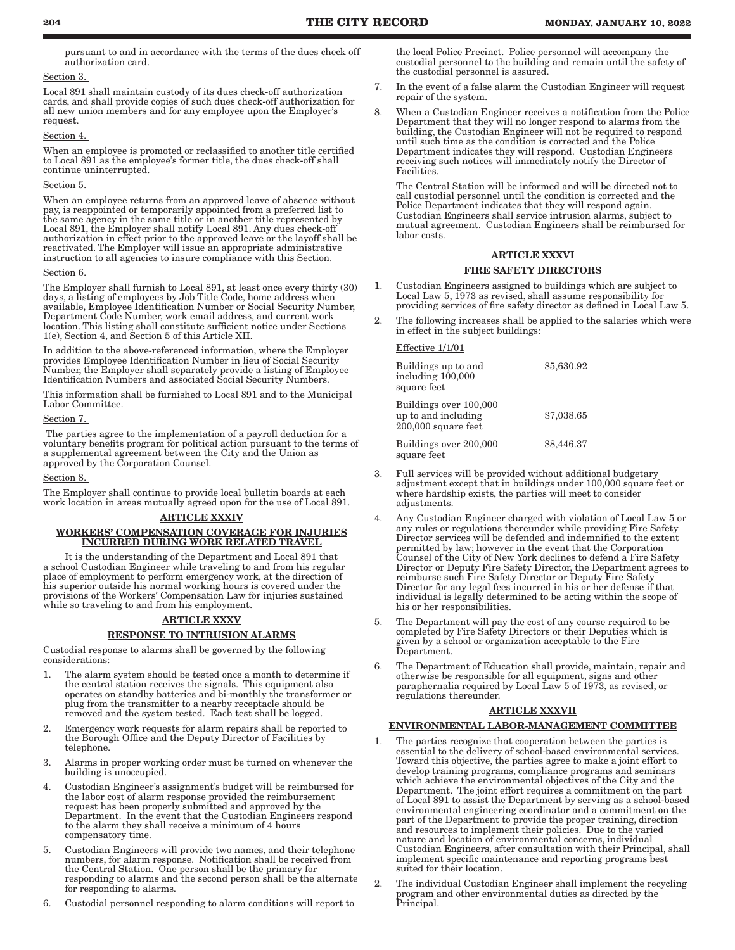pursuant to and in accordance with the terms of the dues check off authorization card.

#### Section 3.

Local 891 shall maintain custody of its dues check-off authorization cards, and shall provide copies of such dues check-off authorization for all new union members and for any employee upon the Employer's request.

# Section 4.

When an employee is promoted or reclassified to another title certified to Local 891 as the employee's former title, the dues check-off shall continue uninterrupted.

# Section 5.

When an employee returns from an approved leave of absence without pay, is reappointed or temporarily appointed from a preferred list to the same agency in the same title or in another title represented by Local 891, the Employer shall notify Local 891. Any dues check-off authorization in effect prior to the approved leave or the layoff shall be reactivated. The Employer will issue an appropriate administrative instruction to all agencies to insure compliance with this Section.

#### Section 6.

The Employer shall furnish to Local 891, at least once every thirty (30) days, a listing of employees by Job Title Code, home address when available, Employee Identification Number or Social Security Number, Department Code Number, work email address, and current work location. This listing shall constitute sufficient notice under Sections 1(e), Section 4, and Section 5 of this Article XII.

In addition to the above-referenced information, where the Employer provides Employee Identification Number in lieu of Social Security Number, the Employer shall separately provide a listing of Employee Identification Numbers and associated Social Security Numbers.

This information shall be furnished to Local 891 and to the Municipal Labor Committee.

#### Section 7.

The parties agree to the implementation of a payroll deduction for a voluntary benefits program for political action pursuant to the terms of a supplemental agreement between the City and the Union as approved by the Corporation Counsel.

Section 8.

The Employer shall continue to provide local bulletin boards at each work location in areas mutually agreed upon for the use of Local 891.

# ARTICLE XXXIV

# WORKERS' COMPENSATION COVERAGE FOR INJURIES INCURRED DURING WORK RELATED TRAVEL

It is the understanding of the Department and Local 891 that a school Custodian Engineer while traveling to and from his regular place of employment to perform emergency work, at the direction of his superior outside his normal working hours is covered under the provisions of the Workers' Compensation Law for injuries sustained while so traveling to and from his employment.

# ARTICLE XXXV

# RESPONSE TO INTRUSION ALARMS

Custodial response to alarms shall be governed by the following considerations:

- 1. The alarm system should be tested once a month to determine if the central station receives the signals. This equipment also operates on standby batteries and bi-monthly the transformer or plug from the transmitter to a nearby receptacle should be removed and the system tested. Each test shall be logged.
- 2. Emergency work requests for alarm repairs shall be reported to the Borough Office and the Deputy Director of Facilities by telephone.
- 3. Alarms in proper working order must be turned on whenever the building is unoccupied.
- 4. Custodian Engineer's assignment's budget will be reimbursed for the labor cost of alarm response provided the reimbursement request has been properly submitted and approved by the Department. In the event that the Custodian Engineers respond to the alarm they shall receive a minimum of 4 hours compensatory time.
- 5. Custodian Engineers will provide two names, and their telephone numbers, for alarm response. Notification shall be received from the Central Station. One person shall be the primary for responding to alarms and the second person shall be the alternate for responding to alarms.
- 6. Custodial personnel responding to alarm conditions will report to

the local Police Precinct. Police personnel will accompany the custodial personnel to the building and remain until the safety of the custodial personnel is assured.

- 7. In the event of a false alarm the Custodian Engineer will request repair of the system.
- 8. When a Custodian Engineer receives a notification from the Police Department that they will no longer respond to alarms from the building, the Custodian Engineer will not be required to respond until such time as the condition is corrected and the Police Department indicates they will respond. Custodian Engineers receiving such notices will immediately notify the Director of Facilities.

The Central Station will be informed and will be directed not to call custodial personnel until the condition is corrected and the Police Department indicates that they will respond again. Custodian Engineers shall service intrusion alarms, subject to mutual agreement. Custodian Engineers shall be reimbursed for labor costs.

# ARTICLE XXXVI FIRE SAFETY DIRECTORS

- 1. Custodian Engineers assigned to buildings which are subject to Local Law 5, 1973 as revised, shall assume responsibility for providing services of fire safety director as defined in Local Law 5.
- 2. The following increases shall be applied to the salaries which were in effect in the subject buildings:

# Effective 1/1/01

| Buildings up to and<br>including 100,000<br>square feet                | \$5,630.92 |
|------------------------------------------------------------------------|------------|
| Buildings over 100,000<br>up to and including<br>$200,000$ square feet | \$7,038.65 |
| Buildings over 200,000<br>square feet                                  | \$8,446.37 |

- 3. Full services will be provided without additional budgetary adjustment except that in buildings under 100,000 square feet or where hardship exists, the parties will meet to consider adjustments.
- 4. Any Custodian Engineer charged with violation of Local Law 5 or any rules or regulations thereunder while providing Fire Safety Director services will be defended and indemnified to the extent permitted by law; however in the event that the Corporation Counsel of the City of New York declines to defend a Fire Safety Director or Deputy Fire Safety Director, the Department agrees to reimburse such Fire Safety Director or Deputy Fire Safety Director for any legal fees incurred in his or her defense if that individual is legally determined to be acting within the scope of his or her responsibilities.
- 5. The Department will pay the cost of any course required to be completed by Fire Safety Directors or their Deputies which is given by a school or organization acceptable to the Fire Department.
- 6. The Department of Education shall provide, maintain, repair and otherwise be responsible for all equipment, signs and other paraphernalia required by Local Law 5 of 1973, as revised, or regulations thereunder.

# ARTICLE XXXVII

# ENVIRONMENTAL LABOR-MANAGEMENT COMMITTEE

- 1. The parties recognize that cooperation between the parties is essential to the delivery of school-based environmental services. Toward this objective, the parties agree to make a joint effort to develop training programs, compliance programs and seminars which achieve the environmental objectives of the City and the Department. The joint effort requires a commitment on the part of Local 891 to assist the Department by serving as a school-based environmental engineering coordinator and a commitment on the part of the Department to provide the proper training, direction and resources to implement their policies. Due to the varied nature and location of environmental concerns, individual Custodian Engineers, after consultation with their Principal, shall implement specific maintenance and reporting programs best suited for their location.
- 2. The individual Custodian Engineer shall implement the recycling program and other environmental duties as directed by the Principal.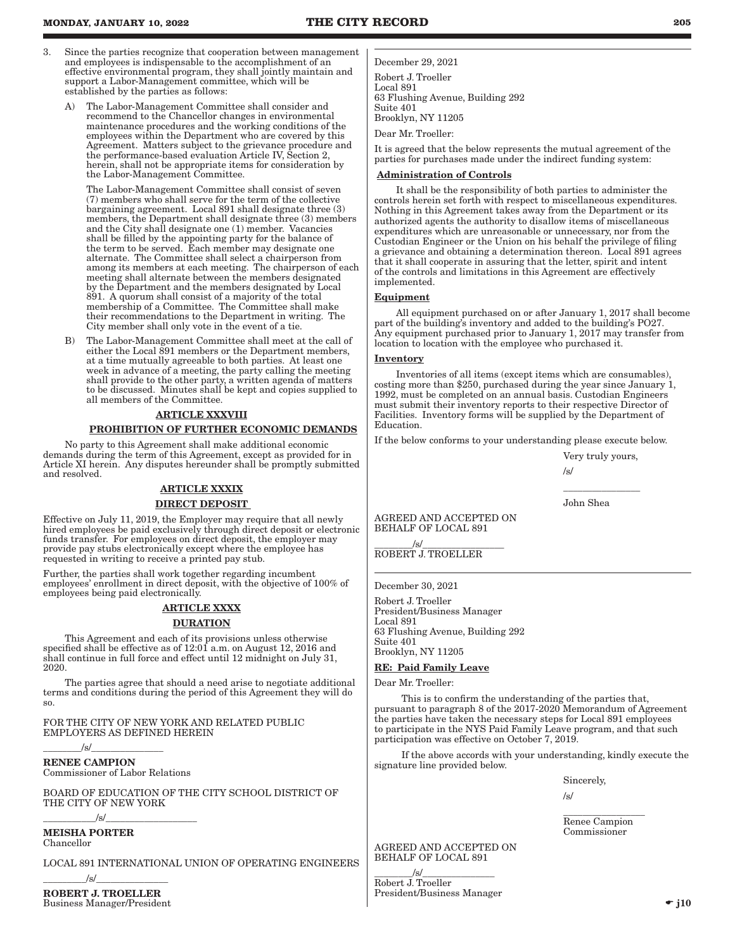- 3. Since the parties recognize that cooperation between management and employees is indispensable to the accomplishment of an effective environmental program, they shall jointly maintain and support a Labor-Management committee, which will be established by the parties as follows:
	- A) The Labor-Management Committee shall consider and recommend to the Chancellor changes in environmental maintenance procedures and the working conditions of the employees within the Department who are covered by this Agreement. Matters subject to the grievance procedure and the performance-based evaluation Article IV, Section 2, herein, shall not be appropriate items for consideration by the Labor-Management Committee.

The Labor-Management Committee shall consist of seven (7) members who shall serve for the term of the collective bargaining agreement. Local 891 shall designate three (3) members, the Department shall designate three (3) members and the City shall designate one (1) member. Vacancies shall be filled by the appointing party for the balance of the term to be served. Each member may designate one alternate. The Committee shall select a chairperson from among its members at each meeting. The chairperson of each meeting shall alternate between the members designated by the Department and the members designated by Local 891. A quorum shall consist of a majority of the total membership of a Committee. The Committee shall make their recommendations to the Department in writing. The City member shall only vote in the event of a tie.

B) The Labor-Management Committee shall meet at the call of either the Local 891 members or the Department members, at a time mutually agreeable to both parties. At least one week in advance of a meeting, the party calling the meeting shall provide to the other party, a written agenda of matters to be discussed. Minutes shall be kept and copies supplied to all members of the Committee.

#### ARTICLE XXXVIII

#### PROHIBITION OF FURTHER ECONOMIC DEMANDS

No party to this Agreement shall make additional economic demands during the term of this Agreement, except as provided for in Article XI herein. Any disputes hereunder shall be promptly submitted and resolved.

### ARTICLE XXXIX

# DIRECT DEPOSIT

Effective on July 11, 2019, the Employer may require that all newly hired employees be paid exclusively through direct deposit or electronic funds transfer. For employees on direct deposit, the employer may provide pay stubs electronically except where the employee has requested in writing to receive a printed pay stub.

Further, the parties shall work together regarding incumbent employees' enrollment in direct deposit, with the objective of 100% of employees being paid electronically.

# ARTICLE XXXX **DURATION**

This Agreement and each of its provisions unless otherwise specified shall be effective as of 12:01 a.m. on August 12, 2016 and shall continue in full force and effect until 12 midnight on July 31, 2020.

The parties agree that should a need arise to negotiate additional terms and conditions during the period of this Agreement they will do so.

FOR THE CITY OF NEW YORK AND RELATED PUBLIC EMPLOYERS AS DEFINED HEREIN

 $\sqrt{s/}$ RENEE CAMPION Commissioner of Labor Relations

BOARD OF EDUCATION OF THE CITY SCHOOL DISTRICT OF THE CITY OF NEW YORK

\_\_\_\_\_\_\_\_\_\_\_/s/\_\_\_\_\_\_\_\_\_\_\_\_\_\_\_\_\_\_\_

MEISHA PORTER Chancellor

LOCAL 891 INTERNATIONAL UNION OF OPERATING ENGINEERS

 $\sqrt{s}/$ ROBERT J. TROELLER

Business Manager/President

December 29, 2021 Robert J. Troeller

Local 891 63 Flushing Avenue, Building 292 Suite 401 Brooklyn, NY 11205

Dear Mr. Troeller:

It is agreed that the below represents the mutual agreement of the parties for purchases made under the indirect funding system:

#### Administration of Controls

It shall be the responsibility of both parties to administer the controls herein set forth with respect to miscellaneous expenditures. Nothing in this Agreement takes away from the Department or its authorized agents the authority to disallow items of miscellaneous expenditures which are unreasonable or unnecessary, nor from the Custodian Engineer or the Union on his behalf the privilege of filing a grievance and obtaining a determination thereon. Local 891 agrees that it shall cooperate in assuring that the letter, spirit and intent of the controls and limitations in this Agreement are effectively implemented.

# **Equipment**

All equipment purchased on or after January 1, 2017 shall become part of the building's inventory and added to the building's PO27. Any equipment purchased prior to January 1, 2017 may transfer from location to location with the employee who purchased it.

#### Inventory

Inventories of all items (except items which are consumables), costing more than \$250, purchased during the year since January 1, 1992, must be completed on an annual basis. Custodian Engineers must submit their inventory reports to their respective Director of Facilities. Inventory forms will be supplied by the Department of Education.

If the below conforms to your understanding please execute below.

Very truly yours,

 $\overline{\phantom{a}}$  , where the contract of the contract of  $\overline{\phantom{a}}$ 

/s/

John Shea

AGREED AND ACCEPTED ON BEHALF OF LOCAL 891

 $\sqrt{s}/$ ROBERT J. TROELLER

December 30, 2021

Robert J. Troeller President/Business Manager Local 891 63 Flushing Avenue, Building 292 Suite 401 Brooklyn, NY 11205

RE: Paid Family Leave

Dear Mr. Troeller:

This is to confirm the understanding of the parties that, pursuant to paragraph 8 of the 2017-2020 Memorandum of Agreement the parties have taken the necessary steps for Local 891 employees to participate in the NYS Paid Family Leave program, and that such participation was effective on October 7, 2019.

If the above accords with your understanding, kindly execute the signature line provided below.

Sincerely,

/s/

\_\_\_\_\_\_\_\_\_\_\_\_\_\_\_\_\_ Renee Campion Commissioner

AGREED AND ACCEPTED ON BEHALF OF LOCAL 891

 $\frac{1}{s}$  /s/ $\frac{1}{s}$ Robert J. Troeller President/Business Manager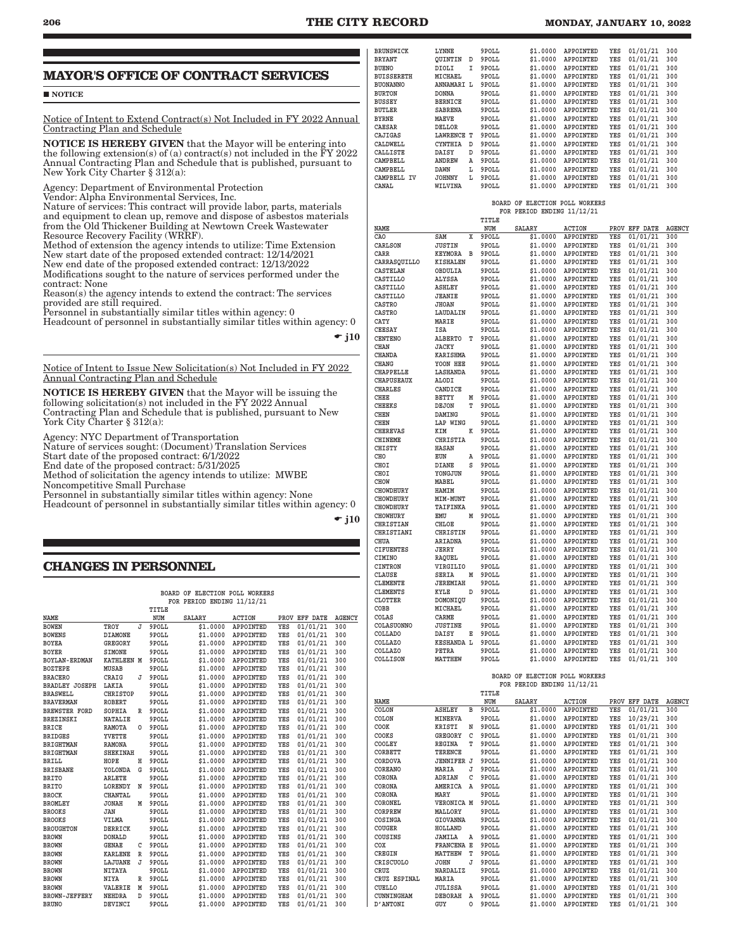# **MAYOR'S OFFICE OF CONTRACT SERVICES**

#### NOTICE

Notice of Intent to Extend Contract(s) Not Included in FY 2022 Annual Contracting Plan and Schedule

NOTICE IS HEREBY GIVEN that the Mayor will be entering into the following extension(s) of (a) contract(s) not included in the FY 2022 Annual Contracting Plan and Schedule that is published, pursuant to New York City Charter § 312(a):

Agency: Department of Environmental Protection

Vendor: Alpha Environmental Services, Inc.

Nature of services: This contract will provide labor, parts, materials and equipment to clean up, remove and dispose of asbestos materials from the Old Thickener Building at Newtown Creek Wastewater Resource Recovery Facility (WRRF).

Method of extension the agency intends to utilize: Time Extension New start date of the proposed extended contract: 12/14/2021

New end date of the proposed extended contract: 12/13/2022 Modifications sought to the nature of services performed under the contract: None

Reason(s) the agency intends to extend the contract: The services provided are still required.

Personnel in substantially similar titles within agency: 0

Headcount of personnel in substantially similar titles within agency: 0

 $\div$  j10

Notice of Intent to Issue New Solicitation(s) Not Included in FY 2022 Annual Contracting Plan and Schedule

NOTICE IS HEREBY GIVEN that the Mayor will be issuing the following solicitation(s) not included in the FY 2022 Annual Contracting Plan and Schedule that is published, pursuant to New York City Charter § 312(a):

Agency: NYC Department of Transportation

Nature of services sought: (Document) Translation Services

Start date of the proposed contract: 6/1/2022

End date of the proposed contract: 5/31/2025

Method of solicitation the agency intends to utilize: MWBE Noncompetitive Small Purchase

Personnel in substantially similar titles within agency: None Headcount of personnel in substantially similar titles within agency: 0

 $\div$  j10

# **CHANGES IN PERSONNEL**

#### **BOARD OF ELECTION POLL WORKERS FOR PERIOD ENDING 11/12/21**

|                       |                 |             | TITLE |               |                  |     |               |               |
|-----------------------|-----------------|-------------|-------|---------------|------------------|-----|---------------|---------------|
| <b>NAME</b>           |                 |             | NUM   | <b>SALARY</b> | <b>ACTION</b>    |     | PROV EFF DATE | <b>AGENCY</b> |
| <b>BOWEN</b>          | TROY            | T.          | 9POLL | \$1,0000      | APPOINTED        | YES | 01/01/21      | 300           |
| <b>BOWENS</b>         | <b>DIAMONE</b>  |             | 9POLL | \$1,0000      | APPOINTED        | YES | 01/01/21      | 300           |
| <b>BOYEA</b>          | <b>GREGORY</b>  |             | 9POLL | \$1.0000      | APPOINTED        | YES | 01/01/21      | 300           |
| <b>BOYER</b>          | <b>SIMONE</b>   |             | 9POLL | \$1,0000      | APPOINTED        | YES | 01/01/21      | 300           |
| <b>BOYLAN-ERDMAN</b>  | KATHLEEN M      |             | 9POLL | \$1.0000      | APPOINTED        | YES | 01/01/21      | 300           |
| <b>BOZTEPE</b>        | <b>MUSAB</b>    |             | 9POLL | \$1,0000      | APPOINTED        | YES | 01/01/21      | 300           |
| <b>BRACERO</b>        | CRAIG           | J           | 9POLL | \$1,0000      | APPOINTED        | YES | 01/01/21      | 300           |
| <b>BRADLEY JOSEPH</b> | LAKIA           |             | 9POLL | \$1,0000      | APPOINTED        | YES | 01/01/21      | 300           |
| <b>BRASWELL</b>       | CHRISTOP        |             | 9POLL | \$1,0000      | APPOINTED        | YES | 01/01/21      | 300           |
| <b>BRAVERMAN</b>      | <b>ROBERT</b>   |             | 9POLL | \$1,0000      | APPOINTED        | YES | 01/01/21      | 300           |
| <b>BREWSTER FORD</b>  | SOPHIA          | R           | 9POLL | \$1,0000      | APPOINTED        | YES | 01/01/21      | 300           |
| <b>BREZINSKI</b>      | <b>NATALIE</b>  |             | 9POLL | \$1,0000      | APPOINTED        | YES | 01/01/21      | 300           |
| <b>BRICE</b>          | <b>RAMOTA</b>   | 0           | 9POLL | \$1.0000      | APPOINTED        | YES | 01/01/21      | 300           |
| <b>BRIDGES</b>        | YVETTE          |             | 9POLL | \$1,0000      | APPOINTED        | YES | 01/01/21      | 300           |
| <b>BRIGHTMAN</b>      | <b>RAMONA</b>   |             | 9POLL | \$1,0000      | APPOINTED        | YES | 01/01/21      | 300           |
| <b>BRIGHTMAN</b>      | <b>SHEKINAH</b> |             | 9POLL | \$1,0000      | APPOINTED        | YES | 01/01/21      | 300           |
| <b>BRILL</b>          | HOPE            | Η           | 9POLL | \$1.0000      | APPOINTED        | YES | 01/01/21      | 300           |
| <b>BRISBANE</b>       | YOLONDA         | G           | 9POLL | \$1,0000      | <b>APPOINTED</b> | YES | 01/01/21      | 300           |
| <b>BRITO</b>          | <b>ARLETE</b>   |             | 9POLL | \$1,0000      | APPOINTED        | YES | 01/01/21      | 300           |
| <b>BRITO</b>          | LORENDY         | N           | 9POLL | \$1,0000      | APPOINTED        | YES | 01/01/21      | 300           |
| <b>BROCK</b>          | <b>CHANTAL</b>  |             | 9POLL | \$1,0000      | APPOINTED        | YES | 01/01/21      | 300           |
| <b>BROMLEY</b>        | <b>JONAH</b>    | M           | 9POLL | \$1,0000      | APPOINTED        | YES | 01/01/21      | 300           |
| <b>BROOKS</b>         | JAN             |             | 9POLL | \$1,0000      | APPOINTED        | YES | 01/01/21      | 300           |
| <b>BROOKS</b>         | VILMA           |             | 9POLL | \$1,0000      | APPOINTED        | YES | 01/01/21      | 300           |
| <b>BROUGHTON</b>      | <b>DERRICK</b>  |             | 9POLL | \$1,0000      | APPOINTED        | YES | 01/01/21      | 300           |
| <b>BROWN</b>          | <b>DONALD</b>   |             | 9POLL | \$1,0000      | APPOINTED        | YES | 01/01/21      | 300           |
| <b>BROWN</b>          | <b>GENAE</b>    | C           | 9POLL | \$1,0000      | APPOINTED        | YES | 01/01/21      | 300           |
| <b>BROWN</b>          | <b>KARLENE</b>  | R           | 9POLL | \$1,0000      | <b>APPOINTED</b> | YES | 01/01/21      | 300           |
| <b>BROWN</b>          | LAJUANE         | J           | 9POLL | \$1,0000      | APPOINTED        | YES | 01/01/21      | 300           |
| <b>BROWN</b>          | <b>NITAYA</b>   |             | 9POLL | \$1,0000      | APPOINTED        | YES | 01/01/21      | 300           |
| <b>BROWN</b>          | <b>NIYA</b>     | $\mathbb R$ | 9POLL | \$1,0000      | APPOINTED        | YES | 01/01/21      | 300           |
| <b>BROWN</b>          | VALERIE         | M           | 9POLL | \$1,0000      | APPOINTED        | YES | 01/01/21      | 300           |
| <b>BROWN-JEFFERY</b>  | <b>NEHDRA</b>   | D           | 9POLL | \$1,0000      | APPOINTED        | YES | 01/01/21      | 300           |
| <b>BRUNO</b>          | DEVINCI         |             | 9POLL | \$1,0000      | APPOINTED        | YES | 01/01/21      | 300           |

| BRUNSWICK         | LYNNE          |   | 9POLL | \$1,0000 | APPOINTED | YES | 01/01/21 | 300 |
|-------------------|----------------|---|-------|----------|-----------|-----|----------|-----|
| <b>BRYANT</b>     | OUINTIN        | D | 9POLL | \$1,0000 | APPOINTED | YES | 01/01/21 | 300 |
| <b>BUENO</b>      | DIOLI          | I | 9POLL | \$1,0000 | APPOINTED | YES | 01/01/21 | 300 |
| <b>BUISSERETH</b> | MICHAEL        |   | 9POLL | \$1,0000 | APPOINTED | YES | 01/01/21 | 300 |
| <b>BUONANNO</b>   | ANNAMARI L     |   | 9POLL | \$1,0000 | APPOINTED | YES | 01/01/21 | 300 |
| <b>BURTON</b>     | <b>DONNA</b>   |   | 9POLL | \$1,0000 | APPOINTED | YES | 01/01/21 | 300 |
| <b>BUSSEY</b>     | <b>BERNICE</b> |   | 9POLL | \$1,0000 | APPOINTED | YES | 01/01/21 | 300 |
| BUTLER            | <b>SABRENA</b> |   | 9POLL | \$1,0000 | APPOINTED | YES | 01/01/21 | 300 |
| <b>BYRNE</b>      | MAEVE          |   | 9POLL | \$1,0000 | APPOINTED | YES | 01/01/21 | 300 |
| <b>CAESAR</b>     | <b>DELLOR</b>  |   | 9POLL | \$1,0000 | APPOINTED | YES | 01/01/21 | 300 |
| CAJIGAS           | LAWRENCE       | т | 9POLL | \$1,0000 | APPOINTED | YES | 01/01/21 | 300 |
| CALDWELL          | CYNTHIA        | D | 9POLL | \$1,0000 | APPOINTED | YES | 01/01/21 | 300 |
| CALLISTE          | DAISY          | D | 9POLL | \$1,0000 | APPOINTED | YES | 01/01/21 | 300 |
| CAMPBELL          | ANDREW         | Α | 9POLL | \$1,0000 | APPOINTED | YES | 01/01/21 | 300 |
| CAMPBELL          | <b>DAWN</b>    | L | 9POLL | \$1,0000 | APPOINTED | YES | 01/01/21 | 300 |
| CAMPBELL IV       | <b>JOHNNY</b>  | L | 9POLL | \$1,0000 | APPOINTED | YES | 01/01/21 | 300 |
| CANAL             | WILVINA        |   | 9POLL | \$1,0000 | APPOINTED | YES | 01/01/21 | 300 |
|                   |                |   |       |          |           |     |          |     |

|  | BOARD OF ELECTION POLL WORKERS |  |
|--|--------------------------------|--|
|  | FOR PERIOD ENDING 11/12/21     |  |

|                  |                   |   | TITLE         |                                |                  |     |               |               |
|------------------|-------------------|---|---------------|--------------------------------|------------------|-----|---------------|---------------|
| NAME             |                   |   | NUM           | <b>SALARY</b>                  | <b>ACTION</b>    |     | PROV EFF DATE | AGENCY        |
| CA <sub>O</sub>  | SAM               | X | 9POLL         | \$1,0000                       | APPOINTED        | YES | 01/01/21      | 300           |
| CARLSON          | <b>JUSTIN</b>     |   | 9POLL         | \$1,0000                       | APPOINTED        | YES | 01/01/21      | 300           |
| CARR             | <b>KEYMORA</b>    | в | 9POLL         | \$1.0000                       | APPOINTED        | YES | 01/01/21      | 300           |
| CARRASQUILLO     | <b>KISHALEN</b>   |   | 9POLL         | \$1.0000                       | APPOINTED        | YES | 01/01/21      | 300           |
| <b>CASTELAN</b>  | OBDULIA           |   | 9POLL         | \$1.0000                       | APPOINTED        | YES | 01/01/21      | 300           |
| CASTILLO         | ALYSSA            |   | 9POLL         | \$1.0000                       | APPOINTED        | YES | 01/01/21      | 300           |
| CASTILLO         | <b>ASHLEY</b>     |   | 9POLL         | \$1.0000                       | APPOINTED        | YES | 01/01/21      | 300           |
| CASTILLO         | <b>JEANIE</b>     |   | 9POLL         | \$1,0000                       | APPOINTED        | YES | 01/01/21      | 300           |
| <b>CASTRO</b>    | <b>JHOAN</b>      |   | 9POLL         | \$1.0000                       | APPOINTED        | YES | 01/01/21      | 300           |
| CASTRO           | LAUDALIN          |   | 9POLL         | \$1.0000                       | APPOINTED        | YES | 01/01/21      | 300           |
| CATY             | MARIE             |   | 9POLL         | \$1.0000                       | APPOINTED        | YES | 01/01/21      | 300           |
| <b>CEESAY</b>    | ISA               |   | 9POLL         | \$1.0000                       | APPOINTED        | YES | 01/01/21      | 300           |
| <b>CENTENO</b>   | ALBERTO           | T | 9POLL         | \$1.0000                       | APPOINTED        | YES | 01/01/21      | 300           |
| CHAN             | <b>JACKY</b>      |   | 9POLL         | \$1.0000                       | APPOINTED        | YES | 01/01/21      | 300           |
| CHANDA           | KARISHMA          |   | 9POLL         | \$1.0000                       | APPOINTED        | YES | 01/01/21      | 300           |
| CHANG            | YOON HEE          |   | 9POLL         | \$1.0000                       | APPOINTED        | YES | 01/01/21      | 300           |
| CHAPPELLE        | LASHANDA          |   | 9POLL         | \$1.0000                       | APPOINTED        | YES | 01/01/21      | 300           |
| CHAPUSEAUX       | ALODI             |   | 9POLL         | \$1.0000                       | APPOINTED        | YES | 01/01/21      | 300           |
| CHARLES          | CANDICE           |   | 9POLL         | \$1.0000                       | APPOINTED        | YES | 01/01/21      | 300           |
| CHEE             | BETTY             | M | 9POLL         | \$1.0000                       | APPOINTED        | YES | 01/01/21      | 300           |
| <b>CHEEKS</b>    | <b>DEJON</b>      | T | 9POLL         | \$1,0000                       | APPOINTED        | YES | 01/01/21      | 300           |
| <b>CHEN</b>      | DAMING            |   | 9POLL         | \$1,0000                       | APPOINTED        | YES | 01/01/21      | 300           |
| <b>CHEN</b>      | LAP WING          |   | 9POLL         | \$1.0000                       | APPOINTED        | YES | 01/01/21      | 300           |
| <b>CHEREVAS</b>  | KTM               | K | 9POLL         | \$1.0000                       | APPOINTED        | YES | 01/01/21      | 300           |
| <b>CHINEME</b>   | <b>CHRISTIA</b>   |   | 9POLL         | \$1,0000                       | APPOINTED        | YES | 01/01/21      | 300           |
| CHISTY           | <b>HASAN</b>      |   | 9POLL         | \$1,0000                       | APPOINTED        | YES | 01/01/21      | 300           |
| CHO              | EUN               | Α | 9POLL         | \$1.0000                       | APPOINTED        | YES | 01/01/21      | 300           |
| CHOI             | <b>DIANE</b>      | S | 9POLL         | \$1.0000                       | APPOINTED        | YES | 01/01/21      | 300           |
| CHOI             | YONGJUN           |   | 9POLL         | \$1.0000                       | APPOINTED        | YES | 01/01/21      | 300           |
| CHOW             | MABEL             |   | 9POLL         | \$1.0000                       | APPOINTED        | YES | 01/01/21      | 300           |
| CHOWDHURY        | HAMIM             |   | 9POLL         | \$1.0000                       | APPOINTED        | YES | 01/01/21      | 300           |
| CHOWDHURY        | MIM-MUNT          |   | 9POLL         | \$1.0000                       | APPOINTED        | YES | 01/01/21      | 300           |
| CHOWDHURY        | TAIFINKA          |   | 9POLL         | \$1.0000                       | APPOINTED        | YES | 01/01/21      | 300           |
| CHOWHURY         | EMU               | M | 9POLL         | \$1.0000                       | APPOINTED        | YES | 01/01/21      | 300           |
| <b>CHRISTIAN</b> | CHLOE             |   | 9POLL         | \$1.0000                       | APPOINTED        | YES | 01/01/21      | 300           |
| CHRISTIANI       | CHRISTIN          |   | 9POLL         | \$1.0000                       | APPOINTED        | YES | 01/01/21      | 300           |
| CHUA             | ARIADNA           |   | 9POLL         | \$1.0000                       | APPOINTED        | YES | 01/01/21      | 300           |
| <b>CIFUENTES</b> | JERRY             |   | 9POLL         | \$1.0000                       | APPOINTED        | YES | 01/01/21      | 300           |
| CIMINO           | RAQUEL            |   | 9POLL         | \$1.0000                       | APPOINTED        | YES | 01/01/21      | 300           |
| CINTRON          | VIRGILIO          |   | 9POLL         | \$1.0000                       | APPOINTED        | YES | 01/01/21      | 300           |
| CLAUSE           | SERIA             | M | 9POLL         | \$1.0000                       | APPOINTED        | YES | 01/01/21      | 300           |
| <b>CLEMENTE</b>  | <b>JEREMIAH</b>   |   | 9POLL         | \$1,0000                       | APPOINTED        | YES | 01/01/21      | 300           |
| <b>CLEMENTS</b>  | KYLE              | D | 9POLL         | \$1,0000                       | APPOINTED        | YES | 01/01/21      | 300           |
| CLOTTER          | DOMONIQU          |   | 9POLL         | \$1.0000                       | APPOINTED        | YES | 01/01/21      | 300           |
| COBB             | MICHAEL           |   | 9POLL         | \$1.0000                       | APPOINTED        | YES | 01/01/21      | 300           |
| COLAS            | CARME             |   | 9POLL         | \$1.0000                       | APPOINTED        | YES | 01/01/21      | 300           |
| COLASUONNO       | <b>JUSTINE</b>    |   | 9POLL         | \$1.0000                       | APPOINTED        | YES | 01/01/21      | 300           |
| COLLADO          | DAISY             | Ε | 9POLL         | \$1.0000                       | APPOINTED        | YES | 01/01/21      | 300           |
| <b>COLLAZO</b>   | <b>KESHANDA L</b> |   | 9POLL         | \$1,0000                       | APPOINTED        | YES | 01/01/21      | 300           |
| <b>COLLAZO</b>   | PETRA             |   | 9POLL         | \$1.0000                       | <b>APPOINTED</b> | YES | 01/01/21      | 300           |
| COLLISON         | MATTHEW           |   | 9POLL         | \$1.0000                       | APPOINTED        | YES | 01/01/21      | 300           |
|                  |                   |   |               |                                |                  |     |               |               |
|                  |                   |   |               | BOARD OF ELECTION POLL WORKERS |                  |     |               |               |
|                  |                   |   |               | FOR PERIOD ENDING 11/12/21     |                  |     |               |               |
|                  |                   |   | TITLE         |                                |                  |     |               |               |
| NAME             |                   |   | NUM           | <b>SALARY</b>                  | <b>ACTION</b>    |     | PROV EFF DATE | <b>AGENCY</b> |
| COLON            | <b>ASHLEY</b>     | в | 9POLL         | \$1.0000                       | <b>APPOINTED</b> | YES | 01/01/21      | 300           |
| COLON            | MINERVA           |   | 9POLL         | \$1.0000                       | APPOINTED        | YES | 10/29/21      | 300           |
| COOK             | KRISTI            | N | 9POLL         | \$1.0000                       | APPOINTED        | YES | 01/01/21      | 300           |
| COOKS            | GREGORY           | С | 9POLL         | \$1.0000                       | APPOINTED        | YES | 01/01/21      | 300           |
| COOLEY           | <b>REGINA</b>     | T | 9POLL         | \$1.0000                       | APPOINTED        | YES | 01/01/21      | 300           |
| CORRETT          | <b>TRRENCE</b>    |   | <b>ADOLT.</b> | <b>\$1 0000</b>                | APPOINTED        | VRS | 01/01/21      | 300           |

**CORBETT TERENCE 9POLL \$1.0000 APPOINTED YES 01/01/21 300 CORDOVA JENNIFER J 9POLL \$1.0000 APPOINTED YES 01/01/21 300 COREANO MARIA J 9POLL \$1.0000 APPOINTED YES 01/01/21 300 CORONA ADRIAN C 9POLL \$1.0000 APPOINTED YES 01/01/21 300 CORONA AMERICA A 9POLL \$1.0000 APPOINTED YES 01/01/21 300 CORONA MARY 9POLL \$1.0000 APPOINTED YES 01/01/21 300 CORONEL VERONICA M 9POLL \$1.0000 APPOINTED YES 01/01/21 300 CORPREW MALLORY 9POLL \$1.0000 APPOINTED YES 01/01/21 300 COSINGA GIOVANNA 9POLL \$1.0000 APPOINTED YES 01/01/21 300 COUGER HOLLAND 9POLL \$1.0000 APPOINTED YES 01/01/21 300 COUSINS JAMILA A 9POLL \$1.0000 APPOINTED YES 01/01/21 300 COX FRANCENA E 9POLL \$1.0000 APPOINTED YES 01/01/21 300 CREGIN MATTHEW T 9POLL \$1.0000 APPOINTED YES 01/01/21 300 CRISCUOLO JOHN J 9POLL \$1.0000 APPOINTED YES 01/01/21 300 CRUZ NARDALIZ 9POLL \$1.0000 APPOINTED YES 01/01/21 300**

**CUELLO JULISSA 9POLL \$1.0000 APPOINTED YES 01/01/21 300 CUNNINGHAM DEBORAH A 9POLL \$1.0000 APPOINTED YES 01/01/21 300**

 $$1.0000$  APPOINTED

**CRUZ ESPINAL MARIA 9POLL \$1.0000 APPOINTED YES 01/01/21 300**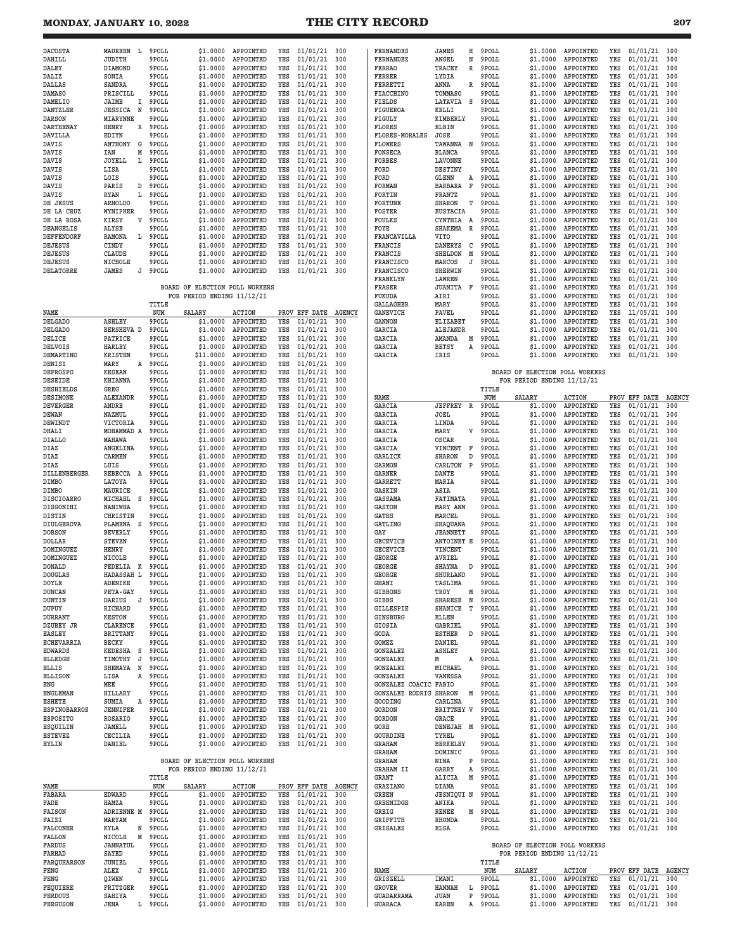# **MONDAY, JANUARY 10, 2022 THE CITY RECORD 207**

| MAUREEN<br>L.<br>JUDITH<br>DIAMOND | 9POLL                                                                                                                                                                                                                                                                                                                                 | \$1,0000                                                                                    | APPOINTED                                                                                                                                                                                                                                                                                                                                                                                                                                                                                                                                                                                                                                                                                                                                        | YES                                                                                                                                                                                                                                                                                                                                                                                                                                               | 01/01/21                                                                                                                                                                                                                                         | 300                                                                                                                                                                                                                                                                                                                                                                                               |                                                                                                                                                                                                                                 |                                                                                                                                                                                                                                                                                                                                                                                       |                                                                                                                                                                                                                                                                                                                                                                                             | 9POLL                                                                                                       | \$1.0000                                                                                                                                                                                                                                                                                            | APPOINTED                                                                                                                                                                                                                                                                                                                                                                      |                                                                                                                                                                                                                                                                                                                                                                                                                                                                             | 01/01/21                                                                                                                                                                                                                                                       | 300                                                                                                                                                                                                                                                                                                                                                                                                                              |
|------------------------------------|---------------------------------------------------------------------------------------------------------------------------------------------------------------------------------------------------------------------------------------------------------------------------------------------------------------------------------------|---------------------------------------------------------------------------------------------|--------------------------------------------------------------------------------------------------------------------------------------------------------------------------------------------------------------------------------------------------------------------------------------------------------------------------------------------------------------------------------------------------------------------------------------------------------------------------------------------------------------------------------------------------------------------------------------------------------------------------------------------------------------------------------------------------------------------------------------------------|---------------------------------------------------------------------------------------------------------------------------------------------------------------------------------------------------------------------------------------------------------------------------------------------------------------------------------------------------------------------------------------------------------------------------------------------------|--------------------------------------------------------------------------------------------------------------------------------------------------------------------------------------------------------------------------------------------------|---------------------------------------------------------------------------------------------------------------------------------------------------------------------------------------------------------------------------------------------------------------------------------------------------------------------------------------------------------------------------------------------------|---------------------------------------------------------------------------------------------------------------------------------------------------------------------------------------------------------------------------------|---------------------------------------------------------------------------------------------------------------------------------------------------------------------------------------------------------------------------------------------------------------------------------------------------------------------------------------------------------------------------------------|---------------------------------------------------------------------------------------------------------------------------------------------------------------------------------------------------------------------------------------------------------------------------------------------------------------------------------------------------------------------------------------------|-------------------------------------------------------------------------------------------------------------|-----------------------------------------------------------------------------------------------------------------------------------------------------------------------------------------------------------------------------------------------------------------------------------------------------|--------------------------------------------------------------------------------------------------------------------------------------------------------------------------------------------------------------------------------------------------------------------------------------------------------------------------------------------------------------------------------|-----------------------------------------------------------------------------------------------------------------------------------------------------------------------------------------------------------------------------------------------------------------------------------------------------------------------------------------------------------------------------------------------------------------------------------------------------------------------------|----------------------------------------------------------------------------------------------------------------------------------------------------------------------------------------------------------------------------------------------------------------|----------------------------------------------------------------------------------------------------------------------------------------------------------------------------------------------------------------------------------------------------------------------------------------------------------------------------------------------------------------------------------------------------------------------------------|
|                                    |                                                                                                                                                                                                                                                                                                                                       |                                                                                             |                                                                                                                                                                                                                                                                                                                                                                                                                                                                                                                                                                                                                                                                                                                                                  |                                                                                                                                                                                                                                                                                                                                                                                                                                                   |                                                                                                                                                                                                                                                  |                                                                                                                                                                                                                                                                                                                                                                                                   | <b>FERNANDES</b>                                                                                                                                                                                                                | JAMES                                                                                                                                                                                                                                                                                                                                                                                 | Η                                                                                                                                                                                                                                                                                                                                                                                           |                                                                                                             |                                                                                                                                                                                                                                                                                                     |                                                                                                                                                                                                                                                                                                                                                                                | YES                                                                                                                                                                                                                                                                                                                                                                                                                                                                         |                                                                                                                                                                                                                                                                |                                                                                                                                                                                                                                                                                                                                                                                                                                  |
|                                    | 9POLL                                                                                                                                                                                                                                                                                                                                 | \$1.0000                                                                                    | APPOINTED                                                                                                                                                                                                                                                                                                                                                                                                                                                                                                                                                                                                                                                                                                                                        | YES                                                                                                                                                                                                                                                                                                                                                                                                                                               | 01/01/21                                                                                                                                                                                                                                         | 300                                                                                                                                                                                                                                                                                                                                                                                               | FERNANDEZ                                                                                                                                                                                                                       | ANGEL                                                                                                                                                                                                                                                                                                                                                                                 | N                                                                                                                                                                                                                                                                                                                                                                                           | 9POLL                                                                                                       | \$1.0000                                                                                                                                                                                                                                                                                            | APPOINTED                                                                                                                                                                                                                                                                                                                                                                      | YES                                                                                                                                                                                                                                                                                                                                                                                                                                                                         | 01/01/21                                                                                                                                                                                                                                                       | 300                                                                                                                                                                                                                                                                                                                                                                                                                              |
|                                    | 9POLL                                                                                                                                                                                                                                                                                                                                 | \$1,0000                                                                                    | APPOINTED                                                                                                                                                                                                                                                                                                                                                                                                                                                                                                                                                                                                                                                                                                                                        | YES                                                                                                                                                                                                                                                                                                                                                                                                                                               | 01/01/21                                                                                                                                                                                                                                         | 300                                                                                                                                                                                                                                                                                                                                                                                               | <b>FERRAO</b>                                                                                                                                                                                                                   | TRACEY                                                                                                                                                                                                                                                                                                                                                                                | R                                                                                                                                                                                                                                                                                                                                                                                           | 9POLL                                                                                                       | \$1.0000                                                                                                                                                                                                                                                                                            | APPOINTED                                                                                                                                                                                                                                                                                                                                                                      | YES                                                                                                                                                                                                                                                                                                                                                                                                                                                                         | 01/01/21                                                                                                                                                                                                                                                       | 300                                                                                                                                                                                                                                                                                                                                                                                                                              |
| SONIA                              | 9POLL                                                                                                                                                                                                                                                                                                                                 | \$1.0000                                                                                    | APPOINTED                                                                                                                                                                                                                                                                                                                                                                                                                                                                                                                                                                                                                                                                                                                                        | YES                                                                                                                                                                                                                                                                                                                                                                                                                                               | 01/01/21                                                                                                                                                                                                                                         | 300                                                                                                                                                                                                                                                                                                                                                                                               | FERRER                                                                                                                                                                                                                          | LYDIA                                                                                                                                                                                                                                                                                                                                                                                 |                                                                                                                                                                                                                                                                                                                                                                                             | 9POLL                                                                                                       | \$1.0000                                                                                                                                                                                                                                                                                            | APPOINTED                                                                                                                                                                                                                                                                                                                                                                      | YES                                                                                                                                                                                                                                                                                                                                                                                                                                                                         | 01/01/21                                                                                                                                                                                                                                                       | 300                                                                                                                                                                                                                                                                                                                                                                                                                              |
| SANDRA                             | 9POLL                                                                                                                                                                                                                                                                                                                                 | \$1.0000                                                                                    | APPOINTED                                                                                                                                                                                                                                                                                                                                                                                                                                                                                                                                                                                                                                                                                                                                        | YES                                                                                                                                                                                                                                                                                                                                                                                                                                               | 01/01/21                                                                                                                                                                                                                                         | 300                                                                                                                                                                                                                                                                                                                                                                                               | FERRETTI                                                                                                                                                                                                                        | ANNA                                                                                                                                                                                                                                                                                                                                                                                  | R                                                                                                                                                                                                                                                                                                                                                                                           | 9POLL                                                                                                       | \$1.0000                                                                                                                                                                                                                                                                                            | APPOINTED                                                                                                                                                                                                                                                                                                                                                                      | YES                                                                                                                                                                                                                                                                                                                                                                                                                                                                         | 01/01/21                                                                                                                                                                                                                                                       | 300                                                                                                                                                                                                                                                                                                                                                                                                                              |
| PRISCILL                           | 9POLL                                                                                                                                                                                                                                                                                                                                 | \$1.0000                                                                                    | APPOINTED                                                                                                                                                                                                                                                                                                                                                                                                                                                                                                                                                                                                                                                                                                                                        | YES                                                                                                                                                                                                                                                                                                                                                                                                                                               | 01/01/21                                                                                                                                                                                                                                         | 300                                                                                                                                                                                                                                                                                                                                                                                               | FIACCHINO                                                                                                                                                                                                                       | TOMMASO                                                                                                                                                                                                                                                                                                                                                                               |                                                                                                                                                                                                                                                                                                                                                                                             | 9POLL                                                                                                       | \$1.0000                                                                                                                                                                                                                                                                                            | APPOINTED                                                                                                                                                                                                                                                                                                                                                                      | YES                                                                                                                                                                                                                                                                                                                                                                                                                                                                         | 01/01/21                                                                                                                                                                                                                                                       | 300                                                                                                                                                                                                                                                                                                                                                                                                                              |
| JAIME<br>I                         | 9POLL                                                                                                                                                                                                                                                                                                                                 | \$1.0000                                                                                    | APPOINTED                                                                                                                                                                                                                                                                                                                                                                                                                                                                                                                                                                                                                                                                                                                                        | YES                                                                                                                                                                                                                                                                                                                                                                                                                                               | 01/01/21                                                                                                                                                                                                                                         | 300                                                                                                                                                                                                                                                                                                                                                                                               | FIELDS                                                                                                                                                                                                                          | LATAVIA                                                                                                                                                                                                                                                                                                                                                                               | S                                                                                                                                                                                                                                                                                                                                                                                           | 9POLL                                                                                                       | \$1.0000                                                                                                                                                                                                                                                                                            | APPOINTED                                                                                                                                                                                                                                                                                                                                                                      | YES                                                                                                                                                                                                                                                                                                                                                                                                                                                                         | 01/01/21                                                                                                                                                                                                                                                       | 300                                                                                                                                                                                                                                                                                                                                                                                                                              |
| <b>JESSICA</b><br>N                | 9POLL                                                                                                                                                                                                                                                                                                                                 | \$1.0000                                                                                    | APPOINTED                                                                                                                                                                                                                                                                                                                                                                                                                                                                                                                                                                                                                                                                                                                                        | YES                                                                                                                                                                                                                                                                                                                                                                                                                                               | 01/01/21                                                                                                                                                                                                                                         | 300                                                                                                                                                                                                                                                                                                                                                                                               | FIGUEROA                                                                                                                                                                                                                        | KELLI                                                                                                                                                                                                                                                                                                                                                                                 |                                                                                                                                                                                                                                                                                                                                                                                             | 9POLL                                                                                                       | \$1.0000                                                                                                                                                                                                                                                                                            | APPOINTED                                                                                                                                                                                                                                                                                                                                                                      | YES                                                                                                                                                                                                                                                                                                                                                                                                                                                                         | 01/01/21                                                                                                                                                                                                                                                       | 300                                                                                                                                                                                                                                                                                                                                                                                                                              |
|                                    |                                                                                                                                                                                                                                                                                                                                       |                                                                                             |                                                                                                                                                                                                                                                                                                                                                                                                                                                                                                                                                                                                                                                                                                                                                  |                                                                                                                                                                                                                                                                                                                                                                                                                                                   |                                                                                                                                                                                                                                                  |                                                                                                                                                                                                                                                                                                                                                                                                   |                                                                                                                                                                                                                                 |                                                                                                                                                                                                                                                                                                                                                                                       |                                                                                                                                                                                                                                                                                                                                                                                             |                                                                                                             |                                                                                                                                                                                                                                                                                                     |                                                                                                                                                                                                                                                                                                                                                                                |                                                                                                                                                                                                                                                                                                                                                                                                                                                                             |                                                                                                                                                                                                                                                                | 300                                                                                                                                                                                                                                                                                                                                                                                                                              |
|                                    |                                                                                                                                                                                                                                                                                                                                       |                                                                                             |                                                                                                                                                                                                                                                                                                                                                                                                                                                                                                                                                                                                                                                                                                                                                  |                                                                                                                                                                                                                                                                                                                                                                                                                                                   |                                                                                                                                                                                                                                                  |                                                                                                                                                                                                                                                                                                                                                                                                   |                                                                                                                                                                                                                                 |                                                                                                                                                                                                                                                                                                                                                                                       |                                                                                                                                                                                                                                                                                                                                                                                             |                                                                                                             |                                                                                                                                                                                                                                                                                                     |                                                                                                                                                                                                                                                                                                                                                                                |                                                                                                                                                                                                                                                                                                                                                                                                                                                                             |                                                                                                                                                                                                                                                                | 300                                                                                                                                                                                                                                                                                                                                                                                                                              |
| EDIYN                              |                                                                                                                                                                                                                                                                                                                                       | \$1.0000                                                                                    | APPOINTED                                                                                                                                                                                                                                                                                                                                                                                                                                                                                                                                                                                                                                                                                                                                        | YES                                                                                                                                                                                                                                                                                                                                                                                                                                               |                                                                                                                                                                                                                                                  | 300                                                                                                                                                                                                                                                                                                                                                                                               | <b>FLORES-MORALES</b>                                                                                                                                                                                                           | JOSE                                                                                                                                                                                                                                                                                                                                                                                  |                                                                                                                                                                                                                                                                                                                                                                                             | 9POLL                                                                                                       | \$1.0000                                                                                                                                                                                                                                                                                            | APPOINTED                                                                                                                                                                                                                                                                                                                                                                      |                                                                                                                                                                                                                                                                                                                                                                                                                                                                             |                                                                                                                                                                                                                                                                | 300                                                                                                                                                                                                                                                                                                                                                                                                                              |
| ANTHONY                            |                                                                                                                                                                                                                                                                                                                                       | \$1.0000                                                                                    | APPOINTED                                                                                                                                                                                                                                                                                                                                                                                                                                                                                                                                                                                                                                                                                                                                        |                                                                                                                                                                                                                                                                                                                                                                                                                                                   | 01/01/21                                                                                                                                                                                                                                         | 300                                                                                                                                                                                                                                                                                                                                                                                               | <b>FLOWERS</b>                                                                                                                                                                                                                  |                                                                                                                                                                                                                                                                                                                                                                                       |                                                                                                                                                                                                                                                                                                                                                                                             | 9POLL                                                                                                       | \$1.0000                                                                                                                                                                                                                                                                                            | APPOINTED                                                                                                                                                                                                                                                                                                                                                                      | YES                                                                                                                                                                                                                                                                                                                                                                                                                                                                         | 01/01/21                                                                                                                                                                                                                                                       | 300                                                                                                                                                                                                                                                                                                                                                                                                                              |
| IAN                                |                                                                                                                                                                                                                                                                                                                                       | \$1.0000                                                                                    | APPOINTED                                                                                                                                                                                                                                                                                                                                                                                                                                                                                                                                                                                                                                                                                                                                        | YES                                                                                                                                                                                                                                                                                                                                                                                                                                               | 01/01/21                                                                                                                                                                                                                                         | 300                                                                                                                                                                                                                                                                                                                                                                                               | FONSECA                                                                                                                                                                                                                         | <b>BLANCA</b>                                                                                                                                                                                                                                                                                                                                                                         |                                                                                                                                                                                                                                                                                                                                                                                             | 9POLL                                                                                                       | \$1.0000                                                                                                                                                                                                                                                                                            | APPOINTED                                                                                                                                                                                                                                                                                                                                                                      | YES                                                                                                                                                                                                                                                                                                                                                                                                                                                                         | 01/01/21                                                                                                                                                                                                                                                       | 300                                                                                                                                                                                                                                                                                                                                                                                                                              |
| <b>JOYELL</b>                      |                                                                                                                                                                                                                                                                                                                                       | \$1.0000                                                                                    | APPOINTED                                                                                                                                                                                                                                                                                                                                                                                                                                                                                                                                                                                                                                                                                                                                        | YES                                                                                                                                                                                                                                                                                                                                                                                                                                               | 01/01/21                                                                                                                                                                                                                                         | 300                                                                                                                                                                                                                                                                                                                                                                                               | <b>FORBES</b>                                                                                                                                                                                                                   | LAVONNE                                                                                                                                                                                                                                                                                                                                                                               |                                                                                                                                                                                                                                                                                                                                                                                             | 9POLL                                                                                                       | \$1.0000                                                                                                                                                                                                                                                                                            | APPOINTED                                                                                                                                                                                                                                                                                                                                                                      | YES                                                                                                                                                                                                                                                                                                                                                                                                                                                                         | 01/01/21                                                                                                                                                                                                                                                       | 300                                                                                                                                                                                                                                                                                                                                                                                                                              |
|                                    |                                                                                                                                                                                                                                                                                                                                       | \$1,0000                                                                                    |                                                                                                                                                                                                                                                                                                                                                                                                                                                                                                                                                                                                                                                                                                                                                  |                                                                                                                                                                                                                                                                                                                                                                                                                                                   | 01/01/21                                                                                                                                                                                                                                         |                                                                                                                                                                                                                                                                                                                                                                                                   |                                                                                                                                                                                                                                 |                                                                                                                                                                                                                                                                                                                                                                                       |                                                                                                                                                                                                                                                                                                                                                                                             | 9POLL                                                                                                       | \$1,0000                                                                                                                                                                                                                                                                                            |                                                                                                                                                                                                                                                                                                                                                                                |                                                                                                                                                                                                                                                                                                                                                                                                                                                                             |                                                                                                                                                                                                                                                                | 300                                                                                                                                                                                                                                                                                                                                                                                                                              |
|                                    |                                                                                                                                                                                                                                                                                                                                       |                                                                                             |                                                                                                                                                                                                                                                                                                                                                                                                                                                                                                                                                                                                                                                                                                                                                  |                                                                                                                                                                                                                                                                                                                                                                                                                                                   |                                                                                                                                                                                                                                                  |                                                                                                                                                                                                                                                                                                                                                                                                   |                                                                                                                                                                                                                                 |                                                                                                                                                                                                                                                                                                                                                                                       |                                                                                                                                                                                                                                                                                                                                                                                             |                                                                                                             |                                                                                                                                                                                                                                                                                                     |                                                                                                                                                                                                                                                                                                                                                                                |                                                                                                                                                                                                                                                                                                                                                                                                                                                                             |                                                                                                                                                                                                                                                                | 300                                                                                                                                                                                                                                                                                                                                                                                                                              |
|                                    |                                                                                                                                                                                                                                                                                                                                       |                                                                                             |                                                                                                                                                                                                                                                                                                                                                                                                                                                                                                                                                                                                                                                                                                                                                  |                                                                                                                                                                                                                                                                                                                                                                                                                                                   |                                                                                                                                                                                                                                                  |                                                                                                                                                                                                                                                                                                                                                                                                   |                                                                                                                                                                                                                                 |                                                                                                                                                                                                                                                                                                                                                                                       |                                                                                                                                                                                                                                                                                                                                                                                             |                                                                                                             |                                                                                                                                                                                                                                                                                                     |                                                                                                                                                                                                                                                                                                                                                                                |                                                                                                                                                                                                                                                                                                                                                                                                                                                                             |                                                                                                                                                                                                                                                                | 300                                                                                                                                                                                                                                                                                                                                                                                                                              |
|                                    |                                                                                                                                                                                                                                                                                                                                       |                                                                                             |                                                                                                                                                                                                                                                                                                                                                                                                                                                                                                                                                                                                                                                                                                                                                  |                                                                                                                                                                                                                                                                                                                                                                                                                                                   |                                                                                                                                                                                                                                                  |                                                                                                                                                                                                                                                                                                                                                                                                   |                                                                                                                                                                                                                                 |                                                                                                                                                                                                                                                                                                                                                                                       |                                                                                                                                                                                                                                                                                                                                                                                             |                                                                                                             |                                                                                                                                                                                                                                                                                                     |                                                                                                                                                                                                                                                                                                                                                                                |                                                                                                                                                                                                                                                                                                                                                                                                                                                                             |                                                                                                                                                                                                                                                                | 300                                                                                                                                                                                                                                                                                                                                                                                                                              |
|                                    |                                                                                                                                                                                                                                                                                                                                       |                                                                                             |                                                                                                                                                                                                                                                                                                                                                                                                                                                                                                                                                                                                                                                                                                                                                  |                                                                                                                                                                                                                                                                                                                                                                                                                                                   |                                                                                                                                                                                                                                                  |                                                                                                                                                                                                                                                                                                                                                                                                   |                                                                                                                                                                                                                                 |                                                                                                                                                                                                                                                                                                                                                                                       |                                                                                                                                                                                                                                                                                                                                                                                             |                                                                                                             |                                                                                                                                                                                                                                                                                                     |                                                                                                                                                                                                                                                                                                                                                                                |                                                                                                                                                                                                                                                                                                                                                                                                                                                                             |                                                                                                                                                                                                                                                                | 300                                                                                                                                                                                                                                                                                                                                                                                                                              |
|                                    |                                                                                                                                                                                                                                                                                                                                       |                                                                                             |                                                                                                                                                                                                                                                                                                                                                                                                                                                                                                                                                                                                                                                                                                                                                  |                                                                                                                                                                                                                                                                                                                                                                                                                                                   |                                                                                                                                                                                                                                                  |                                                                                                                                                                                                                                                                                                                                                                                                   |                                                                                                                                                                                                                                 |                                                                                                                                                                                                                                                                                                                                                                                       |                                                                                                                                                                                                                                                                                                                                                                                             |                                                                                                             |                                                                                                                                                                                                                                                                                                     |                                                                                                                                                                                                                                                                                                                                                                                |                                                                                                                                                                                                                                                                                                                                                                                                                                                                             |                                                                                                                                                                                                                                                                | 300                                                                                                                                                                                                                                                                                                                                                                                                                              |
|                                    |                                                                                                                                                                                                                                                                                                                                       |                                                                                             |                                                                                                                                                                                                                                                                                                                                                                                                                                                                                                                                                                                                                                                                                                                                                  |                                                                                                                                                                                                                                                                                                                                                                                                                                                   |                                                                                                                                                                                                                                                  |                                                                                                                                                                                                                                                                                                                                                                                                   |                                                                                                                                                                                                                                 |                                                                                                                                                                                                                                                                                                                                                                                       |                                                                                                                                                                                                                                                                                                                                                                                             |                                                                                                             |                                                                                                                                                                                                                                                                                                     |                                                                                                                                                                                                                                                                                                                                                                                |                                                                                                                                                                                                                                                                                                                                                                                                                                                                             |                                                                                                                                                                                                                                                                | 300                                                                                                                                                                                                                                                                                                                                                                                                                              |
|                                    |                                                                                                                                                                                                                                                                                                                                       |                                                                                             |                                                                                                                                                                                                                                                                                                                                                                                                                                                                                                                                                                                                                                                                                                                                                  |                                                                                                                                                                                                                                                                                                                                                                                                                                                   |                                                                                                                                                                                                                                                  |                                                                                                                                                                                                                                                                                                                                                                                                   |                                                                                                                                                                                                                                 |                                                                                                                                                                                                                                                                                                                                                                                       |                                                                                                                                                                                                                                                                                                                                                                                             |                                                                                                             |                                                                                                                                                                                                                                                                                                     |                                                                                                                                                                                                                                                                                                                                                                                |                                                                                                                                                                                                                                                                                                                                                                                                                                                                             |                                                                                                                                                                                                                                                                | 300                                                                                                                                                                                                                                                                                                                                                                                                                              |
|                                    |                                                                                                                                                                                                                                                                                                                                       |                                                                                             |                                                                                                                                                                                                                                                                                                                                                                                                                                                                                                                                                                                                                                                                                                                                                  |                                                                                                                                                                                                                                                                                                                                                                                                                                                   |                                                                                                                                                                                                                                                  |                                                                                                                                                                                                                                                                                                                                                                                                   |                                                                                                                                                                                                                                 |                                                                                                                                                                                                                                                                                                                                                                                       |                                                                                                                                                                                                                                                                                                                                                                                             |                                                                                                             |                                                                                                                                                                                                                                                                                                     |                                                                                                                                                                                                                                                                                                                                                                                |                                                                                                                                                                                                                                                                                                                                                                                                                                                                             |                                                                                                                                                                                                                                                                |                                                                                                                                                                                                                                                                                                                                                                                                                                  |
|                                    |                                                                                                                                                                                                                                                                                                                                       |                                                                                             |                                                                                                                                                                                                                                                                                                                                                                                                                                                                                                                                                                                                                                                                                                                                                  |                                                                                                                                                                                                                                                                                                                                                                                                                                                   |                                                                                                                                                                                                                                                  |                                                                                                                                                                                                                                                                                                                                                                                                   |                                                                                                                                                                                                                                 |                                                                                                                                                                                                                                                                                                                                                                                       |                                                                                                                                                                                                                                                                                                                                                                                             |                                                                                                             |                                                                                                                                                                                                                                                                                                     |                                                                                                                                                                                                                                                                                                                                                                                |                                                                                                                                                                                                                                                                                                                                                                                                                                                                             |                                                                                                                                                                                                                                                                | 300                                                                                                                                                                                                                                                                                                                                                                                                                              |
|                                    |                                                                                                                                                                                                                                                                                                                                       |                                                                                             |                                                                                                                                                                                                                                                                                                                                                                                                                                                                                                                                                                                                                                                                                                                                                  |                                                                                                                                                                                                                                                                                                                                                                                                                                                   |                                                                                                                                                                                                                                                  |                                                                                                                                                                                                                                                                                                                                                                                                   |                                                                                                                                                                                                                                 |                                                                                                                                                                                                                                                                                                                                                                                       |                                                                                                                                                                                                                                                                                                                                                                                             |                                                                                                             |                                                                                                                                                                                                                                                                                                     |                                                                                                                                                                                                                                                                                                                                                                                |                                                                                                                                                                                                                                                                                                                                                                                                                                                                             |                                                                                                                                                                                                                                                                | 300                                                                                                                                                                                                                                                                                                                                                                                                                              |
|                                    |                                                                                                                                                                                                                                                                                                                                       |                                                                                             |                                                                                                                                                                                                                                                                                                                                                                                                                                                                                                                                                                                                                                                                                                                                                  |                                                                                                                                                                                                                                                                                                                                                                                                                                                   |                                                                                                                                                                                                                                                  |                                                                                                                                                                                                                                                                                                                                                                                                   |                                                                                                                                                                                                                                 |                                                                                                                                                                                                                                                                                                                                                                                       |                                                                                                                                                                                                                                                                                                                                                                                             |                                                                                                             |                                                                                                                                                                                                                                                                                                     |                                                                                                                                                                                                                                                                                                                                                                                |                                                                                                                                                                                                                                                                                                                                                                                                                                                                             |                                                                                                                                                                                                                                                                | 300                                                                                                                                                                                                                                                                                                                                                                                                                              |
|                                    |                                                                                                                                                                                                                                                                                                                                       |                                                                                             |                                                                                                                                                                                                                                                                                                                                                                                                                                                                                                                                                                                                                                                                                                                                                  |                                                                                                                                                                                                                                                                                                                                                                                                                                                   |                                                                                                                                                                                                                                                  |                                                                                                                                                                                                                                                                                                                                                                                                   |                                                                                                                                                                                                                                 |                                                                                                                                                                                                                                                                                                                                                                                       |                                                                                                                                                                                                                                                                                                                                                                                             |                                                                                                             |                                                                                                                                                                                                                                                                                                     |                                                                                                                                                                                                                                                                                                                                                                                |                                                                                                                                                                                                                                                                                                                                                                                                                                                                             |                                                                                                                                                                                                                                                                | 300                                                                                                                                                                                                                                                                                                                                                                                                                              |
|                                    |                                                                                                                                                                                                                                                                                                                                       |                                                                                             |                                                                                                                                                                                                                                                                                                                                                                                                                                                                                                                                                                                                                                                                                                                                                  |                                                                                                                                                                                                                                                                                                                                                                                                                                                   |                                                                                                                                                                                                                                                  |                                                                                                                                                                                                                                                                                                                                                                                                   |                                                                                                                                                                                                                                 |                                                                                                                                                                                                                                                                                                                                                                                       |                                                                                                                                                                                                                                                                                                                                                                                             |                                                                                                             |                                                                                                                                                                                                                                                                                                     |                                                                                                                                                                                                                                                                                                                                                                                |                                                                                                                                                                                                                                                                                                                                                                                                                                                                             |                                                                                                                                                                                                                                                                | 300                                                                                                                                                                                                                                                                                                                                                                                                                              |
|                                    |                                                                                                                                                                                                                                                                                                                                       |                                                                                             |                                                                                                                                                                                                                                                                                                                                                                                                                                                                                                                                                                                                                                                                                                                                                  |                                                                                                                                                                                                                                                                                                                                                                                                                                                   |                                                                                                                                                                                                                                                  |                                                                                                                                                                                                                                                                                                                                                                                                   |                                                                                                                                                                                                                                 |                                                                                                                                                                                                                                                                                                                                                                                       |                                                                                                                                                                                                                                                                                                                                                                                             |                                                                                                             |                                                                                                                                                                                                                                                                                                     |                                                                                                                                                                                                                                                                                                                                                                                |                                                                                                                                                                                                                                                                                                                                                                                                                                                                             |                                                                                                                                                                                                                                                                | 300                                                                                                                                                                                                                                                                                                                                                                                                                              |
|                                    |                                                                                                                                                                                                                                                                                                                                       |                                                                                             |                                                                                                                                                                                                                                                                                                                                                                                                                                                                                                                                                                                                                                                                                                                                                  |                                                                                                                                                                                                                                                                                                                                                                                                                                                   |                                                                                                                                                                                                                                                  |                                                                                                                                                                                                                                                                                                                                                                                                   |                                                                                                                                                                                                                                 |                                                                                                                                                                                                                                                                                                                                                                                       |                                                                                                                                                                                                                                                                                                                                                                                             |                                                                                                             |                                                                                                                                                                                                                                                                                                     |                                                                                                                                                                                                                                                                                                                                                                                |                                                                                                                                                                                                                                                                                                                                                                                                                                                                             |                                                                                                                                                                                                                                                                | 300                                                                                                                                                                                                                                                                                                                                                                                                                              |
|                                    |                                                                                                                                                                                                                                                                                                                                       |                                                                                             |                                                                                                                                                                                                                                                                                                                                                                                                                                                                                                                                                                                                                                                                                                                                                  |                                                                                                                                                                                                                                                                                                                                                                                                                                                   |                                                                                                                                                                                                                                                  |                                                                                                                                                                                                                                                                                                                                                                                                   |                                                                                                                                                                                                                                 |                                                                                                                                                                                                                                                                                                                                                                                       |                                                                                                                                                                                                                                                                                                                                                                                             |                                                                                                             |                                                                                                                                                                                                                                                                                                     |                                                                                                                                                                                                                                                                                                                                                                                |                                                                                                                                                                                                                                                                                                                                                                                                                                                                             |                                                                                                                                                                                                                                                                | 300                                                                                                                                                                                                                                                                                                                                                                                                                              |
|                                    |                                                                                                                                                                                                                                                                                                                                       |                                                                                             |                                                                                                                                                                                                                                                                                                                                                                                                                                                                                                                                                                                                                                                                                                                                                  |                                                                                                                                                                                                                                                                                                                                                                                                                                                   |                                                                                                                                                                                                                                                  |                                                                                                                                                                                                                                                                                                                                                                                                   |                                                                                                                                                                                                                                 |                                                                                                                                                                                                                                                                                                                                                                                       |                                                                                                                                                                                                                                                                                                                                                                                             |                                                                                                             |                                                                                                                                                                                                                                                                                                     |                                                                                                                                                                                                                                                                                                                                                                                |                                                                                                                                                                                                                                                                                                                                                                                                                                                                             |                                                                                                                                                                                                                                                                | 300                                                                                                                                                                                                                                                                                                                                                                                                                              |
|                                    |                                                                                                                                                                                                                                                                                                                                       |                                                                                             |                                                                                                                                                                                                                                                                                                                                                                                                                                                                                                                                                                                                                                                                                                                                                  |                                                                                                                                                                                                                                                                                                                                                                                                                                                   |                                                                                                                                                                                                                                                  |                                                                                                                                                                                                                                                                                                                                                                                                   |                                                                                                                                                                                                                                 |                                                                                                                                                                                                                                                                                                                                                                                       |                                                                                                                                                                                                                                                                                                                                                                                             |                                                                                                             |                                                                                                                                                                                                                                                                                                     |                                                                                                                                                                                                                                                                                                                                                                                |                                                                                                                                                                                                                                                                                                                                                                                                                                                                             |                                                                                                                                                                                                                                                                | 300                                                                                                                                                                                                                                                                                                                                                                                                                              |
|                                    |                                                                                                                                                                                                                                                                                                                                       |                                                                                             |                                                                                                                                                                                                                                                                                                                                                                                                                                                                                                                                                                                                                                                                                                                                                  |                                                                                                                                                                                                                                                                                                                                                                                                                                                   |                                                                                                                                                                                                                                                  |                                                                                                                                                                                                                                                                                                                                                                                                   |                                                                                                                                                                                                                                 |                                                                                                                                                                                                                                                                                                                                                                                       |                                                                                                                                                                                                                                                                                                                                                                                             |                                                                                                             |                                                                                                                                                                                                                                                                                                     |                                                                                                                                                                                                                                                                                                                                                                                |                                                                                                                                                                                                                                                                                                                                                                                                                                                                             |                                                                                                                                                                                                                                                                | 300                                                                                                                                                                                                                                                                                                                                                                                                                              |
|                                    |                                                                                                                                                                                                                                                                                                                                       | \$1.0000                                                                                    | APPOINTED                                                                                                                                                                                                                                                                                                                                                                                                                                                                                                                                                                                                                                                                                                                                        | YES                                                                                                                                                                                                                                                                                                                                                                                                                                               | 01/01/21                                                                                                                                                                                                                                         | 300                                                                                                                                                                                                                                                                                                                                                                                               | GARCIA                                                                                                                                                                                                                          | ALEJANDR                                                                                                                                                                                                                                                                                                                                                                              |                                                                                                                                                                                                                                                                                                                                                                                             | 9POLL                                                                                                       | \$1.0000                                                                                                                                                                                                                                                                                            | APPOINTED                                                                                                                                                                                                                                                                                                                                                                      | YES                                                                                                                                                                                                                                                                                                                                                                                                                                                                         | 01/01/21                                                                                                                                                                                                                                                       | 300                                                                                                                                                                                                                                                                                                                                                                                                                              |
| PATRICE                            |                                                                                                                                                                                                                                                                                                                                       | \$1.0000                                                                                    | APPOINTED                                                                                                                                                                                                                                                                                                                                                                                                                                                                                                                                                                                                                                                                                                                                        | YES                                                                                                                                                                                                                                                                                                                                                                                                                                               | 01/01/21                                                                                                                                                                                                                                         | 300                                                                                                                                                                                                                                                                                                                                                                                               | GARCIA                                                                                                                                                                                                                          | AMANDA                                                                                                                                                                                                                                                                                                                                                                                |                                                                                                                                                                                                                                                                                                                                                                                             | 9POLL                                                                                                       | \$1.0000                                                                                                                                                                                                                                                                                            | APPOINTED                                                                                                                                                                                                                                                                                                                                                                      | YES                                                                                                                                                                                                                                                                                                                                                                                                                                                                         | 01/01/21                                                                                                                                                                                                                                                       | 300                                                                                                                                                                                                                                                                                                                                                                                                                              |
| <b>HARLEY</b>                      |                                                                                                                                                                                                                                                                                                                                       | \$1.0000                                                                                    | APPOINTED                                                                                                                                                                                                                                                                                                                                                                                                                                                                                                                                                                                                                                                                                                                                        | YES                                                                                                                                                                                                                                                                                                                                                                                                                                               | 01/01/21                                                                                                                                                                                                                                         | 300                                                                                                                                                                                                                                                                                                                                                                                               | GARCIA                                                                                                                                                                                                                          | BETSY                                                                                                                                                                                                                                                                                                                                                                                 |                                                                                                                                                                                                                                                                                                                                                                                             | 9POLL                                                                                                       | \$1.0000                                                                                                                                                                                                                                                                                            | APPOINTED                                                                                                                                                                                                                                                                                                                                                                      | YES                                                                                                                                                                                                                                                                                                                                                                                                                                                                         | 01/01/21                                                                                                                                                                                                                                                       | 300                                                                                                                                                                                                                                                                                                                                                                                                                              |
| KRISTEN                            |                                                                                                                                                                                                                                                                                                                                       | \$11,0000                                                                                   | APPOINTED                                                                                                                                                                                                                                                                                                                                                                                                                                                                                                                                                                                                                                                                                                                                        | YES                                                                                                                                                                                                                                                                                                                                                                                                                                               | 01/01/21                                                                                                                                                                                                                                         | 300                                                                                                                                                                                                                                                                                                                                                                                               | GARCIA                                                                                                                                                                                                                          | IRIS                                                                                                                                                                                                                                                                                                                                                                                  |                                                                                                                                                                                                                                                                                                                                                                                             | 9POLL                                                                                                       | \$1.0000                                                                                                                                                                                                                                                                                            | APPOINTED                                                                                                                                                                                                                                                                                                                                                                      | YES                                                                                                                                                                                                                                                                                                                                                                                                                                                                         | 01/01/21                                                                                                                                                                                                                                                       | 300                                                                                                                                                                                                                                                                                                                                                                                                                              |
| MARY                               |                                                                                                                                                                                                                                                                                                                                       | \$1.0000                                                                                    | APPOINTED                                                                                                                                                                                                                                                                                                                                                                                                                                                                                                                                                                                                                                                                                                                                        | YES                                                                                                                                                                                                                                                                                                                                                                                                                                               |                                                                                                                                                                                                                                                  | 300                                                                                                                                                                                                                                                                                                                                                                                               |                                                                                                                                                                                                                                 |                                                                                                                                                                                                                                                                                                                                                                                       |                                                                                                                                                                                                                                                                                                                                                                                             |                                                                                                             |                                                                                                                                                                                                                                                                                                     |                                                                                                                                                                                                                                                                                                                                                                                |                                                                                                                                                                                                                                                                                                                                                                                                                                                                             |                                                                                                                                                                                                                                                                |                                                                                                                                                                                                                                                                                                                                                                                                                                  |
|                                    |                                                                                                                                                                                                                                                                                                                                       |                                                                                             |                                                                                                                                                                                                                                                                                                                                                                                                                                                                                                                                                                                                                                                                                                                                                  | YES                                                                                                                                                                                                                                                                                                                                                                                                                                               |                                                                                                                                                                                                                                                  |                                                                                                                                                                                                                                                                                                                                                                                                   |                                                                                                                                                                                                                                 |                                                                                                                                                                                                                                                                                                                                                                                       |                                                                                                                                                                                                                                                                                                                                                                                             |                                                                                                             |                                                                                                                                                                                                                                                                                                     |                                                                                                                                                                                                                                                                                                                                                                                |                                                                                                                                                                                                                                                                                                                                                                                                                                                                             |                                                                                                                                                                                                                                                                |                                                                                                                                                                                                                                                                                                                                                                                                                                  |
|                                    |                                                                                                                                                                                                                                                                                                                                       | \$1,0000                                                                                    | APPOINTED                                                                                                                                                                                                                                                                                                                                                                                                                                                                                                                                                                                                                                                                                                                                        |                                                                                                                                                                                                                                                                                                                                                                                                                                                   |                                                                                                                                                                                                                                                  |                                                                                                                                                                                                                                                                                                                                                                                                   |                                                                                                                                                                                                                                 |                                                                                                                                                                                                                                                                                                                                                                                       |                                                                                                                                                                                                                                                                                                                                                                                             |                                                                                                             |                                                                                                                                                                                                                                                                                                     |                                                                                                                                                                                                                                                                                                                                                                                |                                                                                                                                                                                                                                                                                                                                                                                                                                                                             |                                                                                                                                                                                                                                                                |                                                                                                                                                                                                                                                                                                                                                                                                                                  |
|                                    |                                                                                                                                                                                                                                                                                                                                       |                                                                                             |                                                                                                                                                                                                                                                                                                                                                                                                                                                                                                                                                                                                                                                                                                                                                  |                                                                                                                                                                                                                                                                                                                                                                                                                                                   |                                                                                                                                                                                                                                                  |                                                                                                                                                                                                                                                                                                                                                                                                   |                                                                                                                                                                                                                                 |                                                                                                                                                                                                                                                                                                                                                                                       |                                                                                                                                                                                                                                                                                                                                                                                             |                                                                                                             |                                                                                                                                                                                                                                                                                                     |                                                                                                                                                                                                                                                                                                                                                                                |                                                                                                                                                                                                                                                                                                                                                                                                                                                                             |                                                                                                                                                                                                                                                                |                                                                                                                                                                                                                                                                                                                                                                                                                                  |
|                                    |                                                                                                                                                                                                                                                                                                                                       |                                                                                             |                                                                                                                                                                                                                                                                                                                                                                                                                                                                                                                                                                                                                                                                                                                                                  |                                                                                                                                                                                                                                                                                                                                                                                                                                                   |                                                                                                                                                                                                                                                  |                                                                                                                                                                                                                                                                                                                                                                                                   |                                                                                                                                                                                                                                 |                                                                                                                                                                                                                                                                                                                                                                                       |                                                                                                                                                                                                                                                                                                                                                                                             |                                                                                                             |                                                                                                                                                                                                                                                                                                     |                                                                                                                                                                                                                                                                                                                                                                                |                                                                                                                                                                                                                                                                                                                                                                                                                                                                             |                                                                                                                                                                                                                                                                |                                                                                                                                                                                                                                                                                                                                                                                                                                  |
|                                    |                                                                                                                                                                                                                                                                                                                                       |                                                                                             |                                                                                                                                                                                                                                                                                                                                                                                                                                                                                                                                                                                                                                                                                                                                                  |                                                                                                                                                                                                                                                                                                                                                                                                                                                   |                                                                                                                                                                                                                                                  |                                                                                                                                                                                                                                                                                                                                                                                                   |                                                                                                                                                                                                                                 |                                                                                                                                                                                                                                                                                                                                                                                       |                                                                                                                                                                                                                                                                                                                                                                                             |                                                                                                             |                                                                                                                                                                                                                                                                                                     |                                                                                                                                                                                                                                                                                                                                                                                |                                                                                                                                                                                                                                                                                                                                                                                                                                                                             |                                                                                                                                                                                                                                                                | 300                                                                                                                                                                                                                                                                                                                                                                                                                              |
|                                    |                                                                                                                                                                                                                                                                                                                                       |                                                                                             |                                                                                                                                                                                                                                                                                                                                                                                                                                                                                                                                                                                                                                                                                                                                                  |                                                                                                                                                                                                                                                                                                                                                                                                                                                   |                                                                                                                                                                                                                                                  |                                                                                                                                                                                                                                                                                                                                                                                                   |                                                                                                                                                                                                                                 |                                                                                                                                                                                                                                                                                                                                                                                       |                                                                                                                                                                                                                                                                                                                                                                                             |                                                                                                             |                                                                                                                                                                                                                                                                                                     |                                                                                                                                                                                                                                                                                                                                                                                |                                                                                                                                                                                                                                                                                                                                                                                                                                                                             |                                                                                                                                                                                                                                                                | 300                                                                                                                                                                                                                                                                                                                                                                                                                              |
|                                    |                                                                                                                                                                                                                                                                                                                                       |                                                                                             |                                                                                                                                                                                                                                                                                                                                                                                                                                                                                                                                                                                                                                                                                                                                                  |                                                                                                                                                                                                                                                                                                                                                                                                                                                   |                                                                                                                                                                                                                                                  |                                                                                                                                                                                                                                                                                                                                                                                                   |                                                                                                                                                                                                                                 |                                                                                                                                                                                                                                                                                                                                                                                       |                                                                                                                                                                                                                                                                                                                                                                                             |                                                                                                             |                                                                                                                                                                                                                                                                                                     |                                                                                                                                                                                                                                                                                                                                                                                |                                                                                                                                                                                                                                                                                                                                                                                                                                                                             |                                                                                                                                                                                                                                                                | 300                                                                                                                                                                                                                                                                                                                                                                                                                              |
|                                    |                                                                                                                                                                                                                                                                                                                                       |                                                                                             |                                                                                                                                                                                                                                                                                                                                                                                                                                                                                                                                                                                                                                                                                                                                                  |                                                                                                                                                                                                                                                                                                                                                                                                                                                   |                                                                                                                                                                                                                                                  |                                                                                                                                                                                                                                                                                                                                                                                                   |                                                                                                                                                                                                                                 |                                                                                                                                                                                                                                                                                                                                                                                       |                                                                                                                                                                                                                                                                                                                                                                                             |                                                                                                             |                                                                                                                                                                                                                                                                                                     |                                                                                                                                                                                                                                                                                                                                                                                |                                                                                                                                                                                                                                                                                                                                                                                                                                                                             |                                                                                                                                                                                                                                                                | 300                                                                                                                                                                                                                                                                                                                                                                                                                              |
|                                    |                                                                                                                                                                                                                                                                                                                                       |                                                                                             |                                                                                                                                                                                                                                                                                                                                                                                                                                                                                                                                                                                                                                                                                                                                                  |                                                                                                                                                                                                                                                                                                                                                                                                                                                   |                                                                                                                                                                                                                                                  |                                                                                                                                                                                                                                                                                                                                                                                                   |                                                                                                                                                                                                                                 |                                                                                                                                                                                                                                                                                                                                                                                       |                                                                                                                                                                                                                                                                                                                                                                                             |                                                                                                             |                                                                                                                                                                                                                                                                                                     |                                                                                                                                                                                                                                                                                                                                                                                |                                                                                                                                                                                                                                                                                                                                                                                                                                                                             |                                                                                                                                                                                                                                                                | 300                                                                                                                                                                                                                                                                                                                                                                                                                              |
|                                    |                                                                                                                                                                                                                                                                                                                                       |                                                                                             |                                                                                                                                                                                                                                                                                                                                                                                                                                                                                                                                                                                                                                                                                                                                                  |                                                                                                                                                                                                                                                                                                                                                                                                                                                   |                                                                                                                                                                                                                                                  |                                                                                                                                                                                                                                                                                                                                                                                                   |                                                                                                                                                                                                                                 |                                                                                                                                                                                                                                                                                                                                                                                       |                                                                                                                                                                                                                                                                                                                                                                                             |                                                                                                             |                                                                                                                                                                                                                                                                                                     |                                                                                                                                                                                                                                                                                                                                                                                |                                                                                                                                                                                                                                                                                                                                                                                                                                                                             |                                                                                                                                                                                                                                                                |                                                                                                                                                                                                                                                                                                                                                                                                                                  |
|                                    |                                                                                                                                                                                                                                                                                                                                       |                                                                                             |                                                                                                                                                                                                                                                                                                                                                                                                                                                                                                                                                                                                                                                                                                                                                  |                                                                                                                                                                                                                                                                                                                                                                                                                                                   |                                                                                                                                                                                                                                                  |                                                                                                                                                                                                                                                                                                                                                                                                   |                                                                                                                                                                                                                                 |                                                                                                                                                                                                                                                                                                                                                                                       |                                                                                                                                                                                                                                                                                                                                                                                             |                                                                                                             |                                                                                                                                                                                                                                                                                                     |                                                                                                                                                                                                                                                                                                                                                                                |                                                                                                                                                                                                                                                                                                                                                                                                                                                                             |                                                                                                                                                                                                                                                                | 300                                                                                                                                                                                                                                                                                                                                                                                                                              |
|                                    |                                                                                                                                                                                                                                                                                                                                       |                                                                                             |                                                                                                                                                                                                                                                                                                                                                                                                                                                                                                                                                                                                                                                                                                                                                  |                                                                                                                                                                                                                                                                                                                                                                                                                                                   |                                                                                                                                                                                                                                                  |                                                                                                                                                                                                                                                                                                                                                                                                   |                                                                                                                                                                                                                                 |                                                                                                                                                                                                                                                                                                                                                                                       |                                                                                                                                                                                                                                                                                                                                                                                             |                                                                                                             |                                                                                                                                                                                                                                                                                                     |                                                                                                                                                                                                                                                                                                                                                                                |                                                                                                                                                                                                                                                                                                                                                                                                                                                                             |                                                                                                                                                                                                                                                                | 300                                                                                                                                                                                                                                                                                                                                                                                                                              |
|                                    |                                                                                                                                                                                                                                                                                                                                       |                                                                                             |                                                                                                                                                                                                                                                                                                                                                                                                                                                                                                                                                                                                                                                                                                                                                  |                                                                                                                                                                                                                                                                                                                                                                                                                                                   |                                                                                                                                                                                                                                                  |                                                                                                                                                                                                                                                                                                                                                                                                   |                                                                                                                                                                                                                                 |                                                                                                                                                                                                                                                                                                                                                                                       |                                                                                                                                                                                                                                                                                                                                                                                             |                                                                                                             |                                                                                                                                                                                                                                                                                                     |                                                                                                                                                                                                                                                                                                                                                                                |                                                                                                                                                                                                                                                                                                                                                                                                                                                                             |                                                                                                                                                                                                                                                                | 300                                                                                                                                                                                                                                                                                                                                                                                                                              |
| DILLENBERGER                       |                                                                                                                                                                                                                                                                                                                                       |                                                                                             |                                                                                                                                                                                                                                                                                                                                                                                                                                                                                                                                                                                                                                                                                                                                                  |                                                                                                                                                                                                                                                                                                                                                                                                                                                   |                                                                                                                                                                                                                                                  |                                                                                                                                                                                                                                                                                                                                                                                                   |                                                                                                                                                                                                                                 |                                                                                                                                                                                                                                                                                                                                                                                       |                                                                                                                                                                                                                                                                                                                                                                                             |                                                                                                             |                                                                                                                                                                                                                                                                                                     |                                                                                                                                                                                                                                                                                                                                                                                |                                                                                                                                                                                                                                                                                                                                                                                                                                                                             |                                                                                                                                                                                                                                                                | 300                                                                                                                                                                                                                                                                                                                                                                                                                              |
|                                    |                                                                                                                                                                                                                                                                                                                                       |                                                                                             |                                                                                                                                                                                                                                                                                                                                                                                                                                                                                                                                                                                                                                                                                                                                                  |                                                                                                                                                                                                                                                                                                                                                                                                                                                   |                                                                                                                                                                                                                                                  |                                                                                                                                                                                                                                                                                                                                                                                                   |                                                                                                                                                                                                                                 |                                                                                                                                                                                                                                                                                                                                                                                       |                                                                                                                                                                                                                                                                                                                                                                                             |                                                                                                             |                                                                                                                                                                                                                                                                                                     |                                                                                                                                                                                                                                                                                                                                                                                |                                                                                                                                                                                                                                                                                                                                                                                                                                                                             |                                                                                                                                                                                                                                                                | 300                                                                                                                                                                                                                                                                                                                                                                                                                              |
| MAURICE                            |                                                                                                                                                                                                                                                                                                                                       | \$1.0000                                                                                    | APPOINTED                                                                                                                                                                                                                                                                                                                                                                                                                                                                                                                                                                                                                                                                                                                                        | YES                                                                                                                                                                                                                                                                                                                                                                                                                                               | 01/01/21                                                                                                                                                                                                                                         | 300                                                                                                                                                                                                                                                                                                                                                                                               | GASKIN                                                                                                                                                                                                                          | ASIA                                                                                                                                                                                                                                                                                                                                                                                  |                                                                                                                                                                                                                                                                                                                                                                                             | 9POLL                                                                                                       | \$1.0000                                                                                                                                                                                                                                                                                            | APPOINTED                                                                                                                                                                                                                                                                                                                                                                      | YES                                                                                                                                                                                                                                                                                                                                                                                                                                                                         | 01/01/21                                                                                                                                                                                                                                                       | 300                                                                                                                                                                                                                                                                                                                                                                                                                              |
| MICHAEL                            |                                                                                                                                                                                                                                                                                                                                       | \$1.0000                                                                                    |                                                                                                                                                                                                                                                                                                                                                                                                                                                                                                                                                                                                                                                                                                                                                  | YES                                                                                                                                                                                                                                                                                                                                                                                                                                               | 01/01/21                                                                                                                                                                                                                                         | 300                                                                                                                                                                                                                                                                                                                                                                                               | GASSAMA                                                                                                                                                                                                                         | FATIMATA                                                                                                                                                                                                                                                                                                                                                                              |                                                                                                                                                                                                                                                                                                                                                                                             |                                                                                                             | \$1.0000                                                                                                                                                                                                                                                                                            |                                                                                                                                                                                                                                                                                                                                                                                | YES                                                                                                                                                                                                                                                                                                                                                                                                                                                                         |                                                                                                                                                                                                                                                                | 300                                                                                                                                                                                                                                                                                                                                                                                                                              |
|                                    | 9POLL                                                                                                                                                                                                                                                                                                                                 |                                                                                             | APPOINTED                                                                                                                                                                                                                                                                                                                                                                                                                                                                                                                                                                                                                                                                                                                                        | YES                                                                                                                                                                                                                                                                                                                                                                                                                                               | 01/01/21                                                                                                                                                                                                                                         | 300                                                                                                                                                                                                                                                                                                                                                                                               | <b>GASTON</b>                                                                                                                                                                                                                   | MARY ANN                                                                                                                                                                                                                                                                                                                                                                              |                                                                                                                                                                                                                                                                                                                                                                                             | 9POLL                                                                                                       | \$1.0000                                                                                                                                                                                                                                                                                            | APPOINTED                                                                                                                                                                                                                                                                                                                                                                      |                                                                                                                                                                                                                                                                                                                                                                                                                                                                             | 01/01/21                                                                                                                                                                                                                                                       | 300                                                                                                                                                                                                                                                                                                                                                                                                                              |
| NANIWEA                            |                                                                                                                                                                                                                                                                                                                                       | \$1.0000                                                                                    |                                                                                                                                                                                                                                                                                                                                                                                                                                                                                                                                                                                                                                                                                                                                                  |                                                                                                                                                                                                                                                                                                                                                                                                                                                   |                                                                                                                                                                                                                                                  | 300                                                                                                                                                                                                                                                                                                                                                                                               |                                                                                                                                                                                                                                 |                                                                                                                                                                                                                                                                                                                                                                                       |                                                                                                                                                                                                                                                                                                                                                                                             | 9POLL                                                                                                       |                                                                                                                                                                                                                                                                                                     |                                                                                                                                                                                                                                                                                                                                                                                | YES                                                                                                                                                                                                                                                                                                                                                                                                                                                                         |                                                                                                                                                                                                                                                                |                                                                                                                                                                                                                                                                                                                                                                                                                                  |
| CHRISTIN                           | 9POLL                                                                                                                                                                                                                                                                                                                                 | \$1.0000                                                                                    | APPOINTED                                                                                                                                                                                                                                                                                                                                                                                                                                                                                                                                                                                                                                                                                                                                        | YES                                                                                                                                                                                                                                                                                                                                                                                                                                               | 01/01/21                                                                                                                                                                                                                                         |                                                                                                                                                                                                                                                                                                                                                                                                   | GATES                                                                                                                                                                                                                           | MARCEL                                                                                                                                                                                                                                                                                                                                                                                |                                                                                                                                                                                                                                                                                                                                                                                             |                                                                                                             | \$1,0000                                                                                                                                                                                                                                                                                            | APPOINTED                                                                                                                                                                                                                                                                                                                                                                      | YES                                                                                                                                                                                                                                                                                                                                                                                                                                                                         | 01/01/21                                                                                                                                                                                                                                                       | 300                                                                                                                                                                                                                                                                                                                                                                                                                              |
| PLAMENA<br>- S                     | 9POLL                                                                                                                                                                                                                                                                                                                                 | \$1.0000                                                                                    | APPOINTED                                                                                                                                                                                                                                                                                                                                                                                                                                                                                                                                                                                                                                                                                                                                        | YES                                                                                                                                                                                                                                                                                                                                                                                                                                               | 01/01/21                                                                                                                                                                                                                                         | 300                                                                                                                                                                                                                                                                                                                                                                                               | GATLING                                                                                                                                                                                                                         | SHAQUANA                                                                                                                                                                                                                                                                                                                                                                              |                                                                                                                                                                                                                                                                                                                                                                                             | 9POLL                                                                                                       | \$1.0000                                                                                                                                                                                                                                                                                            | APPOINTED                                                                                                                                                                                                                                                                                                                                                                      | YES                                                                                                                                                                                                                                                                                                                                                                                                                                                                         | 01/01/21                                                                                                                                                                                                                                                       | 300                                                                                                                                                                                                                                                                                                                                                                                                                              |
| <b>BEVERLY</b>                     | 9POLL                                                                                                                                                                                                                                                                                                                                 | \$1.0000                                                                                    | APPOINTED                                                                                                                                                                                                                                                                                                                                                                                                                                                                                                                                                                                                                                                                                                                                        | YES                                                                                                                                                                                                                                                                                                                                                                                                                                               | 01/01/21                                                                                                                                                                                                                                         | 300                                                                                                                                                                                                                                                                                                                                                                                               | GAY                                                                                                                                                                                                                             | <b>JEANNETT</b>                                                                                                                                                                                                                                                                                                                                                                       |                                                                                                                                                                                                                                                                                                                                                                                             | 9POLL                                                                                                       | \$1.0000                                                                                                                                                                                                                                                                                            | APPOINTED                                                                                                                                                                                                                                                                                                                                                                      | YES                                                                                                                                                                                                                                                                                                                                                                                                                                                                         | 01/01/21                                                                                                                                                                                                                                                       | 300                                                                                                                                                                                                                                                                                                                                                                                                                              |
| <b>STEVEN</b>                      | 9POLL                                                                                                                                                                                                                                                                                                                                 | \$1,0000                                                                                    | APPOINTED                                                                                                                                                                                                                                                                                                                                                                                                                                                                                                                                                                                                                                                                                                                                        | YES                                                                                                                                                                                                                                                                                                                                                                                                                                               | 01/01/21                                                                                                                                                                                                                                         | 300                                                                                                                                                                                                                                                                                                                                                                                               | <b>GECEVICE</b>                                                                                                                                                                                                                 | ANTOINET E                                                                                                                                                                                                                                                                                                                                                                            |                                                                                                                                                                                                                                                                                                                                                                                             | 9POLL                                                                                                       | \$1,0000                                                                                                                                                                                                                                                                                            | APPOINTED                                                                                                                                                                                                                                                                                                                                                                      | YES                                                                                                                                                                                                                                                                                                                                                                                                                                                                         | 01/01/21                                                                                                                                                                                                                                                       | 300                                                                                                                                                                                                                                                                                                                                                                                                                              |
| HENRY                              | 9POLL                                                                                                                                                                                                                                                                                                                                 | \$1.0000                                                                                    | APPOINTED                                                                                                                                                                                                                                                                                                                                                                                                                                                                                                                                                                                                                                                                                                                                        | YES                                                                                                                                                                                                                                                                                                                                                                                                                                               | 01/01/21                                                                                                                                                                                                                                         | 300                                                                                                                                                                                                                                                                                                                                                                                               | <b>GECEVICE</b>                                                                                                                                                                                                                 | VINCENT                                                                                                                                                                                                                                                                                                                                                                               |                                                                                                                                                                                                                                                                                                                                                                                             | 9POLL                                                                                                       | \$1.0000                                                                                                                                                                                                                                                                                            | APPOINTED                                                                                                                                                                                                                                                                                                                                                                      | YES                                                                                                                                                                                                                                                                                                                                                                                                                                                                         | 01/01/21                                                                                                                                                                                                                                                       | 300                                                                                                                                                                                                                                                                                                                                                                                                                              |
| <b>NICOLE</b>                      | 9POLL                                                                                                                                                                                                                                                                                                                                 | \$1.0000                                                                                    | APPOINTED                                                                                                                                                                                                                                                                                                                                                                                                                                                                                                                                                                                                                                                                                                                                        | YES                                                                                                                                                                                                                                                                                                                                                                                                                                               |                                                                                                                                                                                                                                                  |                                                                                                                                                                                                                                                                                                                                                                                                   | GEORGE                                                                                                                                                                                                                          | AVRIEL                                                                                                                                                                                                                                                                                                                                                                                |                                                                                                                                                                                                                                                                                                                                                                                             | 9POLL                                                                                                       | \$1.0000                                                                                                                                                                                                                                                                                            | APPOINTED                                                                                                                                                                                                                                                                                                                                                                      | YES                                                                                                                                                                                                                                                                                                                                                                                                                                                                         |                                                                                                                                                                                                                                                                | 300                                                                                                                                                                                                                                                                                                                                                                                                                              |
|                                    | 9POLL                                                                                                                                                                                                                                                                                                                                 |                                                                                             |                                                                                                                                                                                                                                                                                                                                                                                                                                                                                                                                                                                                                                                                                                                                                  | YES                                                                                                                                                                                                                                                                                                                                                                                                                                               | 01/01/21                                                                                                                                                                                                                                         | 300                                                                                                                                                                                                                                                                                                                                                                                               |                                                                                                                                                                                                                                 |                                                                                                                                                                                                                                                                                                                                                                                       | D                                                                                                                                                                                                                                                                                                                                                                                           |                                                                                                             |                                                                                                                                                                                                                                                                                                     |                                                                                                                                                                                                                                                                                                                                                                                | YES                                                                                                                                                                                                                                                                                                                                                                                                                                                                         | 01/01/21<br>01/01/21                                                                                                                                                                                                                                           | 300                                                                                                                                                                                                                                                                                                                                                                                                                              |
| FEDELIA K<br>HADASSAH L            | 9POLL                                                                                                                                                                                                                                                                                                                                 | \$1.0000<br>\$1,0000                                                                        | APPOINTED<br>APPOINTED                                                                                                                                                                                                                                                                                                                                                                                                                                                                                                                                                                                                                                                                                                                           | YES                                                                                                                                                                                                                                                                                                                                                                                                                                               | 01/01/21                                                                                                                                                                                                                                         | 300<br>300                                                                                                                                                                                                                                                                                                                                                                                        | GEORGE<br>GEORGE                                                                                                                                                                                                                | <b>SHAYNA</b><br>SHURLAND                                                                                                                                                                                                                                                                                                                                                             |                                                                                                                                                                                                                                                                                                                                                                                             | 9POLL<br>9POLL                                                                                              | \$1.0000<br>\$1,0000                                                                                                                                                                                                                                                                                | APPOINTED<br>APPOINTED                                                                                                                                                                                                                                                                                                                                                         | YES                                                                                                                                                                                                                                                                                                                                                                                                                                                                         |                                                                                                                                                                                                                                                                | 300                                                                                                                                                                                                                                                                                                                                                                                                                              |
|                                    |                                                                                                                                                                                                                                                                                                                                       |                                                                                             |                                                                                                                                                                                                                                                                                                                                                                                                                                                                                                                                                                                                                                                                                                                                                  |                                                                                                                                                                                                                                                                                                                                                                                                                                                   | 01/01/21                                                                                                                                                                                                                                         |                                                                                                                                                                                                                                                                                                                                                                                                   |                                                                                                                                                                                                                                 |                                                                                                                                                                                                                                                                                                                                                                                       |                                                                                                                                                                                                                                                                                                                                                                                             |                                                                                                             |                                                                                                                                                                                                                                                                                                     |                                                                                                                                                                                                                                                                                                                                                                                |                                                                                                                                                                                                                                                                                                                                                                                                                                                                             | 01/01/21                                                                                                                                                                                                                                                       |                                                                                                                                                                                                                                                                                                                                                                                                                                  |
| ADENIKE                            | 9POLL                                                                                                                                                                                                                                                                                                                                 | \$1.0000                                                                                    | APPOINTED                                                                                                                                                                                                                                                                                                                                                                                                                                                                                                                                                                                                                                                                                                                                        | YES                                                                                                                                                                                                                                                                                                                                                                                                                                               | 01/01/21                                                                                                                                                                                                                                         | 300                                                                                                                                                                                                                                                                                                                                                                                               | GHANI                                                                                                                                                                                                                           | TASLIMA                                                                                                                                                                                                                                                                                                                                                                               |                                                                                                                                                                                                                                                                                                                                                                                             | 9POLL                                                                                                       | \$1.0000                                                                                                                                                                                                                                                                                            | APPOINTED                                                                                                                                                                                                                                                                                                                                                                      | YES                                                                                                                                                                                                                                                                                                                                                                                                                                                                         | 01/01/21                                                                                                                                                                                                                                                       | 300                                                                                                                                                                                                                                                                                                                                                                                                                              |
| PETA-GAY                           | 9POLL                                                                                                                                                                                                                                                                                                                                 | \$1,0000                                                                                    | APPOINTED                                                                                                                                                                                                                                                                                                                                                                                                                                                                                                                                                                                                                                                                                                                                        | YES                                                                                                                                                                                                                                                                                                                                                                                                                                               | $01/01/21$ 300                                                                                                                                                                                                                                   |                                                                                                                                                                                                                                                                                                                                                                                                   | <b>GIBBONS</b>                                                                                                                                                                                                                  | TROY                                                                                                                                                                                                                                                                                                                                                                                  | М                                                                                                                                                                                                                                                                                                                                                                                           | 9POLL                                                                                                       |                                                                                                                                                                                                                                                                                                     | \$1.0000 APPOINTED                                                                                                                                                                                                                                                                                                                                                             | YES                                                                                                                                                                                                                                                                                                                                                                                                                                                                         | $01/01/21$ 300                                                                                                                                                                                                                                                 |                                                                                                                                                                                                                                                                                                                                                                                                                                  |
| DARIUS<br>J                        | 9POLL                                                                                                                                                                                                                                                                                                                                 | \$1.0000                                                                                    | APPOINTED                                                                                                                                                                                                                                                                                                                                                                                                                                                                                                                                                                                                                                                                                                                                        | YES                                                                                                                                                                                                                                                                                                                                                                                                                                               | 01/01/21                                                                                                                                                                                                                                         | 300                                                                                                                                                                                                                                                                                                                                                                                               | GIBBS                                                                                                                                                                                                                           | <b>SHARESE</b>                                                                                                                                                                                                                                                                                                                                                                        | N                                                                                                                                                                                                                                                                                                                                                                                           | 9POLL                                                                                                       | \$1,0000                                                                                                                                                                                                                                                                                            | APPOINTED                                                                                                                                                                                                                                                                                                                                                                      | YES                                                                                                                                                                                                                                                                                                                                                                                                                                                                         | 01/01/21                                                                                                                                                                                                                                                       | 300                                                                                                                                                                                                                                                                                                                                                                                                                              |
| <b>RICHARD</b>                     | 9POLL                                                                                                                                                                                                                                                                                                                                 | \$1,0000                                                                                    | APPOINTED                                                                                                                                                                                                                                                                                                                                                                                                                                                                                                                                                                                                                                                                                                                                        | YES                                                                                                                                                                                                                                                                                                                                                                                                                                               | 01/01/21                                                                                                                                                                                                                                         | 300                                                                                                                                                                                                                                                                                                                                                                                               | <b>GILLESPIE</b>                                                                                                                                                                                                                | SHANICE                                                                                                                                                                                                                                                                                                                                                                               | т                                                                                                                                                                                                                                                                                                                                                                                           | 9POLL                                                                                                       | \$1,0000                                                                                                                                                                                                                                                                                            | APPOINTED                                                                                                                                                                                                                                                                                                                                                                      | YES                                                                                                                                                                                                                                                                                                                                                                                                                                                                         | 01/01/21                                                                                                                                                                                                                                                       | 300                                                                                                                                                                                                                                                                                                                                                                                                                              |
| <b>KESTON</b>                      | 9POLL                                                                                                                                                                                                                                                                                                                                 | \$1.0000                                                                                    | APPOINTED                                                                                                                                                                                                                                                                                                                                                                                                                                                                                                                                                                                                                                                                                                                                        | YES                                                                                                                                                                                                                                                                                                                                                                                                                                               | 01/01/21                                                                                                                                                                                                                                         | 300                                                                                                                                                                                                                                                                                                                                                                                               | GINSBURG                                                                                                                                                                                                                        | ELLEN                                                                                                                                                                                                                                                                                                                                                                                 |                                                                                                                                                                                                                                                                                                                                                                                             | 9POLL                                                                                                       | \$1.0000                                                                                                                                                                                                                                                                                            | APPOINTED                                                                                                                                                                                                                                                                                                                                                                      | YES                                                                                                                                                                                                                                                                                                                                                                                                                                                                         | 01/01/21                                                                                                                                                                                                                                                       | 300                                                                                                                                                                                                                                                                                                                                                                                                                              |
| <b>CLARENCE</b>                    | 9POLL                                                                                                                                                                                                                                                                                                                                 | \$1.0000                                                                                    | APPOINTED                                                                                                                                                                                                                                                                                                                                                                                                                                                                                                                                                                                                                                                                                                                                        | YES                                                                                                                                                                                                                                                                                                                                                                                                                                               | 01/01/21                                                                                                                                                                                                                                         | 300                                                                                                                                                                                                                                                                                                                                                                                               | GIOSIA                                                                                                                                                                                                                          | GABRIEL                                                                                                                                                                                                                                                                                                                                                                               |                                                                                                                                                                                                                                                                                                                                                                                             | 9POLL                                                                                                       | \$1.0000                                                                                                                                                                                                                                                                                            | APPOINTED                                                                                                                                                                                                                                                                                                                                                                      | YES                                                                                                                                                                                                                                                                                                                                                                                                                                                                         | 01/01/21                                                                                                                                                                                                                                                       | 300                                                                                                                                                                                                                                                                                                                                                                                                                              |
| <b>BRITTANY</b>                    | 9POLL                                                                                                                                                                                                                                                                                                                                 | \$1.0000                                                                                    | APPOINTED                                                                                                                                                                                                                                                                                                                                                                                                                                                                                                                                                                                                                                                                                                                                        | YES                                                                                                                                                                                                                                                                                                                                                                                                                                               | 01/01/21                                                                                                                                                                                                                                         | 300                                                                                                                                                                                                                                                                                                                                                                                               | GODA                                                                                                                                                                                                                            | <b>ESTHER</b>                                                                                                                                                                                                                                                                                                                                                                         | D                                                                                                                                                                                                                                                                                                                                                                                           | 9POLL                                                                                                       | \$1.0000                                                                                                                                                                                                                                                                                            | APPOINTED                                                                                                                                                                                                                                                                                                                                                                      | YES                                                                                                                                                                                                                                                                                                                                                                                                                                                                         | 01/01/21                                                                                                                                                                                                                                                       | 300                                                                                                                                                                                                                                                                                                                                                                                                                              |
| <b>BECKY</b>                       | 9POLL                                                                                                                                                                                                                                                                                                                                 | \$1.0000                                                                                    | APPOINTED                                                                                                                                                                                                                                                                                                                                                                                                                                                                                                                                                                                                                                                                                                                                        | YES                                                                                                                                                                                                                                                                                                                                                                                                                                               | 01/01/21                                                                                                                                                                                                                                         | 300                                                                                                                                                                                                                                                                                                                                                                                               | GOMEZ                                                                                                                                                                                                                           | DANIEL                                                                                                                                                                                                                                                                                                                                                                                |                                                                                                                                                                                                                                                                                                                                                                                             | 9POLL                                                                                                       | \$1.0000                                                                                                                                                                                                                                                                                            | APPOINTED                                                                                                                                                                                                                                                                                                                                                                      | YES                                                                                                                                                                                                                                                                                                                                                                                                                                                                         | 01/01/21                                                                                                                                                                                                                                                       | 300                                                                                                                                                                                                                                                                                                                                                                                                                              |
| KEDESHA S                          | 9POLL                                                                                                                                                                                                                                                                                                                                 | \$1.0000                                                                                    | APPOINTED                                                                                                                                                                                                                                                                                                                                                                                                                                                                                                                                                                                                                                                                                                                                        | YES                                                                                                                                                                                                                                                                                                                                                                                                                                               | 01/01/21                                                                                                                                                                                                                                         | 300                                                                                                                                                                                                                                                                                                                                                                                               | GONZALEZ                                                                                                                                                                                                                        | <b>ASHLEY</b>                                                                                                                                                                                                                                                                                                                                                                         |                                                                                                                                                                                                                                                                                                                                                                                             | 9POLL                                                                                                       | \$1.0000                                                                                                                                                                                                                                                                                            | APPOINTED                                                                                                                                                                                                                                                                                                                                                                      | YES                                                                                                                                                                                                                                                                                                                                                                                                                                                                         | 01/01/21                                                                                                                                                                                                                                                       | 300                                                                                                                                                                                                                                                                                                                                                                                                                              |
| TIMOTHY<br>J                       | 9POLL                                                                                                                                                                                                                                                                                                                                 | \$1.0000                                                                                    | APPOINTED                                                                                                                                                                                                                                                                                                                                                                                                                                                                                                                                                                                                                                                                                                                                        | YES                                                                                                                                                                                                                                                                                                                                                                                                                                               | 01/01/21                                                                                                                                                                                                                                         | 300                                                                                                                                                                                                                                                                                                                                                                                               | GONZALEZ                                                                                                                                                                                                                        | Μ                                                                                                                                                                                                                                                                                                                                                                                     | Α                                                                                                                                                                                                                                                                                                                                                                                           | 9POLL                                                                                                       | \$1.0000                                                                                                                                                                                                                                                                                            | APPOINTED                                                                                                                                                                                                                                                                                                                                                                      | YES                                                                                                                                                                                                                                                                                                                                                                                                                                                                         | 01/01/21                                                                                                                                                                                                                                                       | 300                                                                                                                                                                                                                                                                                                                                                                                                                              |
| SHEMAYA N                          | 9POLL                                                                                                                                                                                                                                                                                                                                 | \$1.0000                                                                                    | APPOINTED                                                                                                                                                                                                                                                                                                                                                                                                                                                                                                                                                                                                                                                                                                                                        | YES                                                                                                                                                                                                                                                                                                                                                                                                                                               | 01/01/21                                                                                                                                                                                                                                         | 300                                                                                                                                                                                                                                                                                                                                                                                               | GONZALEZ                                                                                                                                                                                                                        | MICHAEL                                                                                                                                                                                                                                                                                                                                                                               |                                                                                                                                                                                                                                                                                                                                                                                             | 9POLL                                                                                                       | \$1.0000                                                                                                                                                                                                                                                                                            | APPOINTED                                                                                                                                                                                                                                                                                                                                                                      | YES                                                                                                                                                                                                                                                                                                                                                                                                                                                                         | 01/01/21                                                                                                                                                                                                                                                       | 300                                                                                                                                                                                                                                                                                                                                                                                                                              |
| LISA                               | A<br>9POLL                                                                                                                                                                                                                                                                                                                            | \$1.0000                                                                                    | APPOINTED                                                                                                                                                                                                                                                                                                                                                                                                                                                                                                                                                                                                                                                                                                                                        | YES                                                                                                                                                                                                                                                                                                                                                                                                                                               | 01/01/21                                                                                                                                                                                                                                         | 300                                                                                                                                                                                                                                                                                                                                                                                               | GONZALEZ                                                                                                                                                                                                                        | VANESSA                                                                                                                                                                                                                                                                                                                                                                               |                                                                                                                                                                                                                                                                                                                                                                                             | 9POLL                                                                                                       | \$1.0000                                                                                                                                                                                                                                                                                            | APPOINTED                                                                                                                                                                                                                                                                                                                                                                      | YES                                                                                                                                                                                                                                                                                                                                                                                                                                                                         | 01/01/21                                                                                                                                                                                                                                                       | 300                                                                                                                                                                                                                                                                                                                                                                                                                              |
| MEE                                | 9POLL                                                                                                                                                                                                                                                                                                                                 | \$1,0000                                                                                    | APPOINTED                                                                                                                                                                                                                                                                                                                                                                                                                                                                                                                                                                                                                                                                                                                                        | YES                                                                                                                                                                                                                                                                                                                                                                                                                                               | 01/01/21                                                                                                                                                                                                                                         | 300                                                                                                                                                                                                                                                                                                                                                                                               | GONZALEZ COACIC FABIO                                                                                                                                                                                                           |                                                                                                                                                                                                                                                                                                                                                                                       |                                                                                                                                                                                                                                                                                                                                                                                             | 9POLL                                                                                                       | \$1.0000                                                                                                                                                                                                                                                                                            | APPOINTED                                                                                                                                                                                                                                                                                                                                                                      | YES                                                                                                                                                                                                                                                                                                                                                                                                                                                                         | 01/01/21                                                                                                                                                                                                                                                       | 300                                                                                                                                                                                                                                                                                                                                                                                                                              |
| HILLARY                            | 9POLL                                                                                                                                                                                                                                                                                                                                 | \$1.0000                                                                                    | APPOINTED                                                                                                                                                                                                                                                                                                                                                                                                                                                                                                                                                                                                                                                                                                                                        | YES                                                                                                                                                                                                                                                                                                                                                                                                                                               | 01/01/21                                                                                                                                                                                                                                         | 300                                                                                                                                                                                                                                                                                                                                                                                               | GONZALEZ RODRIG SHARON                                                                                                                                                                                                          |                                                                                                                                                                                                                                                                                                                                                                                       | м                                                                                                                                                                                                                                                                                                                                                                                           | 9POLL                                                                                                       | \$1.0000                                                                                                                                                                                                                                                                                            | APPOINTED                                                                                                                                                                                                                                                                                                                                                                      | YES                                                                                                                                                                                                                                                                                                                                                                                                                                                                         | 01/01/21                                                                                                                                                                                                                                                       | 300                                                                                                                                                                                                                                                                                                                                                                                                                              |
| SUMIA                              | 9POLL<br>A                                                                                                                                                                                                                                                                                                                            | \$1,0000                                                                                    | APPOINTED                                                                                                                                                                                                                                                                                                                                                                                                                                                                                                                                                                                                                                                                                                                                        | YES                                                                                                                                                                                                                                                                                                                                                                                                                                               | 01/01/21                                                                                                                                                                                                                                         | 300                                                                                                                                                                                                                                                                                                                                                                                               | GOODING                                                                                                                                                                                                                         | CARLINA                                                                                                                                                                                                                                                                                                                                                                               |                                                                                                                                                                                                                                                                                                                                                                                             | 9POLL                                                                                                       | \$1.0000                                                                                                                                                                                                                                                                                            | APPOINTED                                                                                                                                                                                                                                                                                                                                                                      | YES                                                                                                                                                                                                                                                                                                                                                                                                                                                                         | 01/01/21                                                                                                                                                                                                                                                       | 300                                                                                                                                                                                                                                                                                                                                                                                                                              |
| ESPINOBARROS<br><b>JENNIFER</b>    | 9POLL                                                                                                                                                                                                                                                                                                                                 | \$1,0000                                                                                    | APPOINTED                                                                                                                                                                                                                                                                                                                                                                                                                                                                                                                                                                                                                                                                                                                                        | YES                                                                                                                                                                                                                                                                                                                                                                                                                                               | 01/01/21                                                                                                                                                                                                                                         | 300                                                                                                                                                                                                                                                                                                                                                                                               | GORDON                                                                                                                                                                                                                          | BRITTNEY V                                                                                                                                                                                                                                                                                                                                                                            |                                                                                                                                                                                                                                                                                                                                                                                             | 9POLL                                                                                                       | \$1,0000                                                                                                                                                                                                                                                                                            | APPOINTED                                                                                                                                                                                                                                                                                                                                                                      | YES                                                                                                                                                                                                                                                                                                                                                                                                                                                                         | 01/01/21                                                                                                                                                                                                                                                       | 300                                                                                                                                                                                                                                                                                                                                                                                                                              |
| ROSARIO                            | 9POLL                                                                                                                                                                                                                                                                                                                                 | \$1.0000                                                                                    | APPOINTED                                                                                                                                                                                                                                                                                                                                                                                                                                                                                                                                                                                                                                                                                                                                        | YES                                                                                                                                                                                                                                                                                                                                                                                                                                               | 01/01/21                                                                                                                                                                                                                                         | 300                                                                                                                                                                                                                                                                                                                                                                                               | GORDON                                                                                                                                                                                                                          | GRACE                                                                                                                                                                                                                                                                                                                                                                                 |                                                                                                                                                                                                                                                                                                                                                                                             | 9POLL                                                                                                       | \$1.0000                                                                                                                                                                                                                                                                                            | APPOINTED                                                                                                                                                                                                                                                                                                                                                                      | YES                                                                                                                                                                                                                                                                                                                                                                                                                                                                         | 01/01/21                                                                                                                                                                                                                                                       | 300                                                                                                                                                                                                                                                                                                                                                                                                                              |
| JAMELL                             | 9POLL                                                                                                                                                                                                                                                                                                                                 | \$1.0000                                                                                    | APPOINTED                                                                                                                                                                                                                                                                                                                                                                                                                                                                                                                                                                                                                                                                                                                                        | YES                                                                                                                                                                                                                                                                                                                                                                                                                                               | 01/01/21                                                                                                                                                                                                                                         | 300                                                                                                                                                                                                                                                                                                                                                                                               | GORE                                                                                                                                                                                                                            | DENEJAH M                                                                                                                                                                                                                                                                                                                                                                             |                                                                                                                                                                                                                                                                                                                                                                                             | 9POLL                                                                                                       | \$1.0000                                                                                                                                                                                                                                                                                            | APPOINTED                                                                                                                                                                                                                                                                                                                                                                      | YES                                                                                                                                                                                                                                                                                                                                                                                                                                                                         | 01/01/21                                                                                                                                                                                                                                                       | 300                                                                                                                                                                                                                                                                                                                                                                                                                              |
| CECILIA                            | 9POLL                                                                                                                                                                                                                                                                                                                                 | \$1.0000                                                                                    | APPOINTED                                                                                                                                                                                                                                                                                                                                                                                                                                                                                                                                                                                                                                                                                                                                        | YES                                                                                                                                                                                                                                                                                                                                                                                                                                               | 01/01/21                                                                                                                                                                                                                                         | 300                                                                                                                                                                                                                                                                                                                                                                                               | GOURDINE                                                                                                                                                                                                                        | TYREL                                                                                                                                                                                                                                                                                                                                                                                 |                                                                                                                                                                                                                                                                                                                                                                                             | 9POLL                                                                                                       | \$1.0000                                                                                                                                                                                                                                                                                            | APPOINTED                                                                                                                                                                                                                                                                                                                                                                      | YES                                                                                                                                                                                                                                                                                                                                                                                                                                                                         | 01/01/21                                                                                                                                                                                                                                                       | 300                                                                                                                                                                                                                                                                                                                                                                                                                              |
| DANIEL                             | 9POLL                                                                                                                                                                                                                                                                                                                                 | \$1.0000                                                                                    | APPOINTED                                                                                                                                                                                                                                                                                                                                                                                                                                                                                                                                                                                                                                                                                                                                        | YES                                                                                                                                                                                                                                                                                                                                                                                                                                               | $01/01/21$ 300                                                                                                                                                                                                                                   |                                                                                                                                                                                                                                                                                                                                                                                                   | GRAHAM                                                                                                                                                                                                                          | <b>BERKELEY</b>                                                                                                                                                                                                                                                                                                                                                                       |                                                                                                                                                                                                                                                                                                                                                                                             | 9POLL                                                                                                       | \$1.0000                                                                                                                                                                                                                                                                                            | APPOINTED                                                                                                                                                                                                                                                                                                                                                                      | YES                                                                                                                                                                                                                                                                                                                                                                                                                                                                         | 01/01/21                                                                                                                                                                                                                                                       | 300                                                                                                                                                                                                                                                                                                                                                                                                                              |
|                                    |                                                                                                                                                                                                                                                                                                                                       |                                                                                             |                                                                                                                                                                                                                                                                                                                                                                                                                                                                                                                                                                                                                                                                                                                                                  |                                                                                                                                                                                                                                                                                                                                                                                                                                                   |                                                                                                                                                                                                                                                  |                                                                                                                                                                                                                                                                                                                                                                                                   | <b>GRAHAM</b>                                                                                                                                                                                                                   | DOMINIC                                                                                                                                                                                                                                                                                                                                                                               |                                                                                                                                                                                                                                                                                                                                                                                             | 9POLL                                                                                                       | \$1.0000                                                                                                                                                                                                                                                                                            | APPOINTED                                                                                                                                                                                                                                                                                                                                                                      | YES                                                                                                                                                                                                                                                                                                                                                                                                                                                                         | $01/01/21$ 300                                                                                                                                                                                                                                                 |                                                                                                                                                                                                                                                                                                                                                                                                                                  |
|                                    |                                                                                                                                                                                                                                                                                                                                       | BOARD OF ELECTION POLL WORKERS                                                              |                                                                                                                                                                                                                                                                                                                                                                                                                                                                                                                                                                                                                                                                                                                                                  |                                                                                                                                                                                                                                                                                                                                                                                                                                                   |                                                                                                                                                                                                                                                  |                                                                                                                                                                                                                                                                                                                                                                                                   | <b>GRAHAM</b>                                                                                                                                                                                                                   | NINA                                                                                                                                                                                                                                                                                                                                                                                  | P                                                                                                                                                                                                                                                                                                                                                                                           | 9POLL                                                                                                       | \$1.0000                                                                                                                                                                                                                                                                                            | APPOINTED                                                                                                                                                                                                                                                                                                                                                                      | YES                                                                                                                                                                                                                                                                                                                                                                                                                                                                         | 01/01/21                                                                                                                                                                                                                                                       | 300                                                                                                                                                                                                                                                                                                                                                                                                                              |
|                                    |                                                                                                                                                                                                                                                                                                                                       | FOR PERIOD ENDING 11/12/21                                                                  |                                                                                                                                                                                                                                                                                                                                                                                                                                                                                                                                                                                                                                                                                                                                                  |                                                                                                                                                                                                                                                                                                                                                                                                                                                   |                                                                                                                                                                                                                                                  |                                                                                                                                                                                                                                                                                                                                                                                                   | GRAHAM II                                                                                                                                                                                                                       | GARRY                                                                                                                                                                                                                                                                                                                                                                                 | Α                                                                                                                                                                                                                                                                                                                                                                                           | 9POLL                                                                                                       | \$1.0000                                                                                                                                                                                                                                                                                            | APPOINTED                                                                                                                                                                                                                                                                                                                                                                      | YES                                                                                                                                                                                                                                                                                                                                                                                                                                                                         | 01/01/21                                                                                                                                                                                                                                                       | 300                                                                                                                                                                                                                                                                                                                                                                                                                              |
|                                    | TITLE                                                                                                                                                                                                                                                                                                                                 |                                                                                             |                                                                                                                                                                                                                                                                                                                                                                                                                                                                                                                                                                                                                                                                                                                                                  |                                                                                                                                                                                                                                                                                                                                                                                                                                                   |                                                                                                                                                                                                                                                  |                                                                                                                                                                                                                                                                                                                                                                                                   | GRANT                                                                                                                                                                                                                           | ALICIA                                                                                                                                                                                                                                                                                                                                                                                | М                                                                                                                                                                                                                                                                                                                                                                                           | 9POLL                                                                                                       | \$1.0000                                                                                                                                                                                                                                                                                            | APPOINTED                                                                                                                                                                                                                                                                                                                                                                      | YES                                                                                                                                                                                                                                                                                                                                                                                                                                                                         | 01/01/21                                                                                                                                                                                                                                                       | 300                                                                                                                                                                                                                                                                                                                                                                                                                              |
|                                    | NUM                                                                                                                                                                                                                                                                                                                                   | SALARY                                                                                      | <b>ACTION</b>                                                                                                                                                                                                                                                                                                                                                                                                                                                                                                                                                                                                                                                                                                                                    |                                                                                                                                                                                                                                                                                                                                                                                                                                                   | PROV EFF DATE AGENCY                                                                                                                                                                                                                             |                                                                                                                                                                                                                                                                                                                                                                                                   | <b>GRAZIANO</b>                                                                                                                                                                                                                 | DIANA                                                                                                                                                                                                                                                                                                                                                                                 |                                                                                                                                                                                                                                                                                                                                                                                             | 9POLL                                                                                                       | \$1.0000                                                                                                                                                                                                                                                                                            | APPOINTED                                                                                                                                                                                                                                                                                                                                                                      | YES                                                                                                                                                                                                                                                                                                                                                                                                                                                                         | 01/01/21                                                                                                                                                                                                                                                       | 300                                                                                                                                                                                                                                                                                                                                                                                                                              |
| <b>EDWARD</b>                      | 9POLL                                                                                                                                                                                                                                                                                                                                 | \$1.0000                                                                                    | APPOINTED                                                                                                                                                                                                                                                                                                                                                                                                                                                                                                                                                                                                                                                                                                                                        | YES                                                                                                                                                                                                                                                                                                                                                                                                                                               | 01/01/21                                                                                                                                                                                                                                         | 300                                                                                                                                                                                                                                                                                                                                                                                               | GREEN                                                                                                                                                                                                                           | JESNIQUI N                                                                                                                                                                                                                                                                                                                                                                            |                                                                                                                                                                                                                                                                                                                                                                                             | 9POLL                                                                                                       | \$1,0000                                                                                                                                                                                                                                                                                            | APPOINTED                                                                                                                                                                                                                                                                                                                                                                      | YES                                                                                                                                                                                                                                                                                                                                                                                                                                                                         | 01/01/21                                                                                                                                                                                                                                                       | 300                                                                                                                                                                                                                                                                                                                                                                                                                              |
| HAMZA                              | 9POLL                                                                                                                                                                                                                                                                                                                                 | \$1.0000                                                                                    | APPOINTED                                                                                                                                                                                                                                                                                                                                                                                                                                                                                                                                                                                                                                                                                                                                        | YES                                                                                                                                                                                                                                                                                                                                                                                                                                               | 01/01/21                                                                                                                                                                                                                                         | 300                                                                                                                                                                                                                                                                                                                                                                                               | GREENIDGE                                                                                                                                                                                                                       | ANIKA                                                                                                                                                                                                                                                                                                                                                                                 |                                                                                                                                                                                                                                                                                                                                                                                             | 9POLL                                                                                                       | \$1,0000                                                                                                                                                                                                                                                                                            | APPOINTED                                                                                                                                                                                                                                                                                                                                                                      | YES                                                                                                                                                                                                                                                                                                                                                                                                                                                                         | $01/01/21$ 300                                                                                                                                                                                                                                                 |                                                                                                                                                                                                                                                                                                                                                                                                                                  |
| ADRIENNE M                         | 9POLL                                                                                                                                                                                                                                                                                                                                 | \$1.0000                                                                                    | APPOINTED                                                                                                                                                                                                                                                                                                                                                                                                                                                                                                                                                                                                                                                                                                                                        | YES                                                                                                                                                                                                                                                                                                                                                                                                                                               | 01/01/21                                                                                                                                                                                                                                         | 300                                                                                                                                                                                                                                                                                                                                                                                               | GREIG                                                                                                                                                                                                                           | RENEE                                                                                                                                                                                                                                                                                                                                                                                 | М                                                                                                                                                                                                                                                                                                                                                                                           | 9POLL                                                                                                       | \$1.0000                                                                                                                                                                                                                                                                                            | APPOINTED                                                                                                                                                                                                                                                                                                                                                                      | YES                                                                                                                                                                                                                                                                                                                                                                                                                                                                         | 01/01/21                                                                                                                                                                                                                                                       | 300                                                                                                                                                                                                                                                                                                                                                                                                                              |
| MARYAM                             | 9POLL                                                                                                                                                                                                                                                                                                                                 | \$1.0000                                                                                    | APPOINTED                                                                                                                                                                                                                                                                                                                                                                                                                                                                                                                                                                                                                                                                                                                                        | YES                                                                                                                                                                                                                                                                                                                                                                                                                                               | 01/01/21                                                                                                                                                                                                                                         | 300                                                                                                                                                                                                                                                                                                                                                                                               | <b>GRIFFITH</b>                                                                                                                                                                                                                 | RHONDA                                                                                                                                                                                                                                                                                                                                                                                |                                                                                                                                                                                                                                                                                                                                                                                             | 9POLL                                                                                                       | \$1.0000                                                                                                                                                                                                                                                                                            | APPOINTED                                                                                                                                                                                                                                                                                                                                                                      | YES                                                                                                                                                                                                                                                                                                                                                                                                                                                                         | 01/01/21                                                                                                                                                                                                                                                       | 300                                                                                                                                                                                                                                                                                                                                                                                                                              |
| KYLA                               | 9 POLL<br>Ν                                                                                                                                                                                                                                                                                                                           | \$1.0000                                                                                    | APPOINTED                                                                                                                                                                                                                                                                                                                                                                                                                                                                                                                                                                                                                                                                                                                                        | YES                                                                                                                                                                                                                                                                                                                                                                                                                                               | 01/01/21                                                                                                                                                                                                                                         | 300                                                                                                                                                                                                                                                                                                                                                                                               | GRISALES                                                                                                                                                                                                                        | ELSA                                                                                                                                                                                                                                                                                                                                                                                  |                                                                                                                                                                                                                                                                                                                                                                                             | 9POLL                                                                                                       | \$1.0000                                                                                                                                                                                                                                                                                            | APPOINTED                                                                                                                                                                                                                                                                                                                                                                      | YES                                                                                                                                                                                                                                                                                                                                                                                                                                                                         | 01/01/21 300                                                                                                                                                                                                                                                   |                                                                                                                                                                                                                                                                                                                                                                                                                                  |
| NICOLE<br>M                        | 9POLL                                                                                                                                                                                                                                                                                                                                 | \$1.0000                                                                                    | APPOINTED                                                                                                                                                                                                                                                                                                                                                                                                                                                                                                                                                                                                                                                                                                                                        | YES                                                                                                                                                                                                                                                                                                                                                                                                                                               | 01/01/21                                                                                                                                                                                                                                         | 300                                                                                                                                                                                                                                                                                                                                                                                               |                                                                                                                                                                                                                                 |                                                                                                                                                                                                                                                                                                                                                                                       |                                                                                                                                                                                                                                                                                                                                                                                             |                                                                                                             |                                                                                                                                                                                                                                                                                                     |                                                                                                                                                                                                                                                                                                                                                                                |                                                                                                                                                                                                                                                                                                                                                                                                                                                                             |                                                                                                                                                                                                                                                                |                                                                                                                                                                                                                                                                                                                                                                                                                                  |
| <b>JANNATUL</b>                    | 9POLL                                                                                                                                                                                                                                                                                                                                 | \$1.0000                                                                                    |                                                                                                                                                                                                                                                                                                                                                                                                                                                                                                                                                                                                                                                                                                                                                  | YES                                                                                                                                                                                                                                                                                                                                                                                                                                               |                                                                                                                                                                                                                                                  | 300                                                                                                                                                                                                                                                                                                                                                                                               |                                                                                                                                                                                                                                 |                                                                                                                                                                                                                                                                                                                                                                                       |                                                                                                                                                                                                                                                                                                                                                                                             |                                                                                                             | BOARD OF ELECTION POLL WORKERS                                                                                                                                                                                                                                                                      |                                                                                                                                                                                                                                                                                                                                                                                |                                                                                                                                                                                                                                                                                                                                                                                                                                                                             |                                                                                                                                                                                                                                                                |                                                                                                                                                                                                                                                                                                                                                                                                                                  |
| SAYED                              | 9POLL                                                                                                                                                                                                                                                                                                                                 | \$1.0000                                                                                    | APPOINTED<br>APPOINTED                                                                                                                                                                                                                                                                                                                                                                                                                                                                                                                                                                                                                                                                                                                           | YES                                                                                                                                                                                                                                                                                                                                                                                                                                               | 01/01/21<br>01/01/21                                                                                                                                                                                                                             | 300                                                                                                                                                                                                                                                                                                                                                                                               |                                                                                                                                                                                                                                 |                                                                                                                                                                                                                                                                                                                                                                                       |                                                                                                                                                                                                                                                                                                                                                                                             |                                                                                                             | FOR PERIOD ENDING 11/12/21                                                                                                                                                                                                                                                                          |                                                                                                                                                                                                                                                                                                                                                                                |                                                                                                                                                                                                                                                                                                                                                                                                                                                                             |                                                                                                                                                                                                                                                                |                                                                                                                                                                                                                                                                                                                                                                                                                                  |
|                                    |                                                                                                                                                                                                                                                                                                                                       |                                                                                             |                                                                                                                                                                                                                                                                                                                                                                                                                                                                                                                                                                                                                                                                                                                                                  |                                                                                                                                                                                                                                                                                                                                                                                                                                                   |                                                                                                                                                                                                                                                  |                                                                                                                                                                                                                                                                                                                                                                                                   |                                                                                                                                                                                                                                 |                                                                                                                                                                                                                                                                                                                                                                                       |                                                                                                                                                                                                                                                                                                                                                                                             | TITLE                                                                                                       |                                                                                                                                                                                                                                                                                                     |                                                                                                                                                                                                                                                                                                                                                                                |                                                                                                                                                                                                                                                                                                                                                                                                                                                                             |                                                                                                                                                                                                                                                                |                                                                                                                                                                                                                                                                                                                                                                                                                                  |
| JUNIEL<br>FARQUHARSON<br>ALEX      | 9POLL                                                                                                                                                                                                                                                                                                                                 | \$1.0000                                                                                    | APPOINTED                                                                                                                                                                                                                                                                                                                                                                                                                                                                                                                                                                                                                                                                                                                                        | YES<br>YES                                                                                                                                                                                                                                                                                                                                                                                                                                        | 01/01/21                                                                                                                                                                                                                                         | 300<br>300                                                                                                                                                                                                                                                                                                                                                                                        | NAME                                                                                                                                                                                                                            |                                                                                                                                                                                                                                                                                                                                                                                       |                                                                                                                                                                                                                                                                                                                                                                                             | NUM                                                                                                         |                                                                                                                                                                                                                                                                                                     |                                                                                                                                                                                                                                                                                                                                                                                |                                                                                                                                                                                                                                                                                                                                                                                                                                                                             |                                                                                                                                                                                                                                                                |                                                                                                                                                                                                                                                                                                                                                                                                                                  |
|                                    | J 9POLL<br>9POLL                                                                                                                                                                                                                                                                                                                      | \$1.0000<br>\$1.0000                                                                        | APPOINTED<br>APPOINTED                                                                                                                                                                                                                                                                                                                                                                                                                                                                                                                                                                                                                                                                                                                           | YES                                                                                                                                                                                                                                                                                                                                                                                                                                               | 01/01/21                                                                                                                                                                                                                                         | 300                                                                                                                                                                                                                                                                                                                                                                                               | GRISZELL                                                                                                                                                                                                                        | IMANI                                                                                                                                                                                                                                                                                                                                                                                 |                                                                                                                                                                                                                                                                                                                                                                                             | 9POLL                                                                                                       | SALARY<br>\$1,0000                                                                                                                                                                                                                                                                                  | <b>ACTION</b><br>APPOINTED                                                                                                                                                                                                                                                                                                                                                     | YES                                                                                                                                                                                                                                                                                                                                                                                                                                                                         | PROV EFF DATE AGENCY                                                                                                                                                                                                                                           | 300                                                                                                                                                                                                                                                                                                                                                                                                                              |
| QIWEN                              |                                                                                                                                                                                                                                                                                                                                       |                                                                                             |                                                                                                                                                                                                                                                                                                                                                                                                                                                                                                                                                                                                                                                                                                                                                  |                                                                                                                                                                                                                                                                                                                                                                                                                                                   | 01/01/21                                                                                                                                                                                                                                         |                                                                                                                                                                                                                                                                                                                                                                                                   |                                                                                                                                                                                                                                 |                                                                                                                                                                                                                                                                                                                                                                                       |                                                                                                                                                                                                                                                                                                                                                                                             |                                                                                                             |                                                                                                                                                                                                                                                                                                     |                                                                                                                                                                                                                                                                                                                                                                                |                                                                                                                                                                                                                                                                                                                                                                                                                                                                             | 01/01/21                                                                                                                                                                                                                                                       |                                                                                                                                                                                                                                                                                                                                                                                                                                  |
| FRITZGER<br>SAHIYA                 | 9POLL<br>9POLL                                                                                                                                                                                                                                                                                                                        | \$1.0000<br>\$1.0000                                                                        | APPOINTED<br>APPOINTED                                                                                                                                                                                                                                                                                                                                                                                                                                                                                                                                                                                                                                                                                                                           | YES<br>YES                                                                                                                                                                                                                                                                                                                                                                                                                                        | 01/01/21<br>$01/01/21$ 300                                                                                                                                                                                                                       | 300                                                                                                                                                                                                                                                                                                                                                                                               | GROVER<br><b>GUADARRAMA</b>                                                                                                                                                                                                     | HANNAH<br>JUAN                                                                                                                                                                                                                                                                                                                                                                        | L<br>P                                                                                                                                                                                                                                                                                                                                                                                      | 9POLL<br>9POLL                                                                                              | \$1.0000                                                                                                                                                                                                                                                                                            | APPOINTED<br>\$1.0000 APPOINTED                                                                                                                                                                                                                                                                                                                                                | YES<br>YES                                                                                                                                                                                                                                                                                                                                                                                                                                                                  | 01/01/21<br>$01/01/21$ 300                                                                                                                                                                                                                                     | 300                                                                                                                                                                                                                                                                                                                                                                                                                              |
|                                    | <b>MIARYNNE</b><br>HENRY<br>LISA<br>LOIS<br>PARIS<br><b>RYAN</b><br><b>ARNOLDO</b><br>WYNIPHER<br>KIRSY<br>ALYSE<br>RAMONA<br>CINDY<br>CLAUDE<br>NICHOLE<br>JAMES<br><b>ASHLEY</b><br><b>KESEAN</b><br>KHIANNA<br>GREG<br><b>ALEXANDR</b><br>ANDRE<br>NAZMUL<br>VICTORIA<br>MAHAWA<br>ANGELINA<br>CARMEN<br>LUIS<br>REBECCA<br>LATOYA | R<br>G<br>М<br>L<br>D<br>Ŀ<br>V<br>L<br>J<br>NUM<br>BERSHEVA D<br>A<br>MOHAMMAD A<br>A<br>s | 9POLL<br>\$1.0000<br>9POLL<br>\$1.0000<br>9POLL<br>9POLL<br>9POLL<br>9POLL<br>9POLL<br>9POLL<br>\$1.0000<br>9POLL<br>\$1,0000<br>9POLL<br>\$1.0000<br>9POLL<br>\$1.0000<br>9POLL<br>\$1,0000<br>9POLL<br>\$1.0000<br>9POLL<br>\$1.0000<br>9POLL<br>\$1.0000<br>9POLL<br>\$1.0000<br>9POLL<br>\$1.0000<br>9POLL<br>\$1.0000<br>9POLL<br>\$1.0000<br>TITLE<br>SALARY<br>9POLL<br>\$1.0000<br>9POLL<br>9POLL<br>9POLL<br>9POLL<br>9POLL<br>9POLL<br>\$1.0000<br>9POLL<br>9POLL<br>\$1.0000<br>9POLL<br>\$1.0000<br>9POLL<br>\$1.0000<br>9POLL<br>\$1.0000<br>9POLL<br>\$1.0000<br>9POLL<br>\$1.0000<br>9POLL<br>\$1.0000<br>9POLL<br>\$1.0000<br>9POLL<br>\$1.0000<br>9POLL<br>\$1.0000<br>9POLL<br>\$1.0000<br>9POLL<br>\$1.0000<br>9POLL<br>9POLL | APPOINTED<br>APPOINTED<br>APPOINTED<br>APPOINTED<br>APPOINTED<br>APPOINTED<br>APPOINTED<br>APPOINTED<br>APPOINTED<br>APPOINTED<br>APPOINTED<br>APPOINTED<br>APPOINTED<br>APPOINTED<br>APPOINTED<br>FOR PERIOD ENDING 11/12/21<br><b>ACTION</b><br>APPOINTED<br>APPOINTED<br>APPOINTED<br>APPOINTED<br>APPOINTED<br>APPOINTED<br>APPOINTED<br>APPOINTED<br>APPOINTED<br>APPOINTED<br>APPOINTED<br>APPOINTED<br>APPOINTED<br>APPOINTED<br>APPOINTED | YES<br>YES<br>YES<br>YES<br>YES<br>YES<br>YES<br>YES<br>YES<br>YES<br>YES<br>YES<br>YES<br>YES<br>YES<br>YES<br>BOARD OF ELECTION POLL WORKERS<br>YES<br>YES<br>YES<br>YES<br>YES<br>YES<br>YES<br>YES<br>YES<br>YES<br>YES<br>YES<br>YES<br>YES | 01/01/21<br>01/01/21<br>01/01/21<br>01/01/21<br>01/01/21<br>01/01/21<br>01/01/21<br>01/01/21<br>01/01/21<br>01/01/21<br>01/01/21<br>01/01/21<br>01/01/21<br>01/01/21<br>01/01/21<br>PROV EFF DATE<br>01/01/21<br>01/01/21<br>01/01/21<br>01/01/21<br>01/01/21<br>01/01/21<br>01/01/21<br>01/01/21<br>01/01/21<br>01/01/21<br>01/01/21<br>01/01/21<br>01/01/21<br>01/01/21<br>01/01/21<br>01/01/21 | 300<br>300<br>300<br>300<br>300<br>300<br>300<br>300<br>300<br>300<br>300<br>300<br>300<br>300<br>300<br><b>AGENCY</b><br>300<br>300<br>300<br>300<br>300<br>300<br>300<br>300<br>300<br>300<br>300<br>300<br>300<br>300<br>300 | FIGULY<br>FLORES<br>FORD<br>FORD<br>FORMAN<br>FORTIN<br><b>FORTUNE</b><br><b>FOSTER</b><br>FOULKS<br>FOYE<br>FRANCAVILLA<br>FRANCIS<br>FRANCIS<br><b>FRANCISCO</b><br>FRANCISCO<br>FRANKLYN<br>FRASER<br>FUKUDA<br>GALLAGHER<br><b>GANEVICH</b><br>GANNON<br>NAME<br>GARCIA<br>GARCIA<br>GARCIA<br>GARCIA<br>GARCIA<br>GARCIA<br><b>GARLICK</b><br>GARMON<br>GARNER<br><b>GARRETT</b> | KIMBERLY<br>ELBIN<br>DESTINY<br>GLENN<br><b>BARBARA</b><br><b>FRANTZ</b><br><b>SHARON</b><br><b>EUSTACIA</b><br>CYNTHIA<br><b>SHAKEMA</b><br><b>VITO</b><br>DANERYS<br><b>SHELDON</b><br>MARCOS<br><b>SHERWIN</b><br><b>LAWREN</b><br>AIRI<br>MARY<br>PAVEL<br><b>ELIZABET</b><br><b>JEFFREY</b><br>JOEL<br>LINDA<br>MARY<br>OSCAR<br>VINCENT<br><b>SHARON</b><br>CARLTON<br>DANTE<br>MARIA | TAWANNA N<br>Α<br>F<br>т<br>A<br>R<br>C<br>M<br>J<br>JUANITA F<br>M<br>Α<br>R<br>V<br>F<br>D<br>$\mathbf P$ | 9POLL<br>9POLL<br>9POLL<br>9POLL<br>9POLL<br>9POLL<br>9POLL<br>9POLL<br>9POLL<br>9POLL<br>9POLL<br>9POLL<br>9POLL<br>9POLL<br>9POLL<br>9POLL<br>9POLL<br>9POLL<br>9POLL<br>9POLL<br>TITLE<br>NUM<br>9POLL<br>9POLL<br>9POLL<br>9POLL<br>9POLL<br>9POLL<br>9POLL<br>9POLL<br>9POLL<br>9POLL<br>9POLL | \$1,0000<br>\$1.0000<br>\$1.0000<br>\$1,0000<br>\$1.0000<br>\$1,0000<br>\$1,0000<br>\$1,0000<br>\$1.0000<br>\$1.0000<br>\$1.0000<br>\$1.0000<br>\$1.0000<br>\$1.0000<br>\$1.0000<br>\$1.0000<br>\$1.0000<br>\$1,0000<br>\$1.0000<br>\$1,0000<br>SALARY<br>\$1,0000<br>\$1.0000<br>\$1.0000<br>\$1.0000<br>\$1.0000<br>\$1.0000<br>\$1.0000<br>\$1.0000<br>\$1.0000<br>\$1,0000 | APPOINTED<br>APPOINTED<br>APPOINTED<br>APPOINTED<br>APPOINTED<br>APPOINTED<br>APPOINTED<br>APPOINTED<br>APPOINTED<br>APPOINTED<br>APPOINTED<br>APPOINTED<br>APPOINTED<br>APPOINTED<br>APPOINTED<br>APPOINTED<br>APPOINTED<br>APPOINTED<br>APPOINTED<br>APPOINTED<br>APPOINTED<br>FOR PERIOD ENDING 11/12/21<br><b>ACTION</b><br>APPOINTED<br>APPOINTED<br>APPOINTED<br>APPOINTED<br>APPOINTED<br>APPOINTED<br>APPOINTED<br>APPOINTED<br>APPOINTED<br>APPOINTED<br>APPOINTED | YES<br>YES<br>YES<br>YES<br>YES<br>YES<br>YES<br>YES<br>YES<br>YES<br>YES<br>YES<br>YES<br>YES<br>YES<br>YES<br>YES<br>YES<br>YES<br>YES<br>YES<br>YES<br>BOARD OF ELECTION POLL WORKERS<br>YES<br>YES<br>YES<br>YES<br>YES<br>YES<br>YES<br>YES<br>YES<br>YES | 01/01/21<br>01/01/21<br>01/01/21<br>01/01/21<br>01/01/21<br>01/01/21<br>01/01/21<br>01/01/21<br>01/01/21<br>01/01/21<br>01/01/21<br>01/01/21<br>01/01/21<br>01/01/21<br>01/01/21<br>01/01/21<br>01/01/21<br>01/01/21<br>01/01/21<br>01/01/21<br>11/05/21<br>01/01/21<br>PROV EFF DATE AGENCY<br>01/01/21<br>01/01/21<br>01/01/21<br>01/01/21<br>01/01/21<br>01/01/21<br>01/01/21<br>01/01/21<br>01/01/21<br>01/01/21<br>01/01/21 |